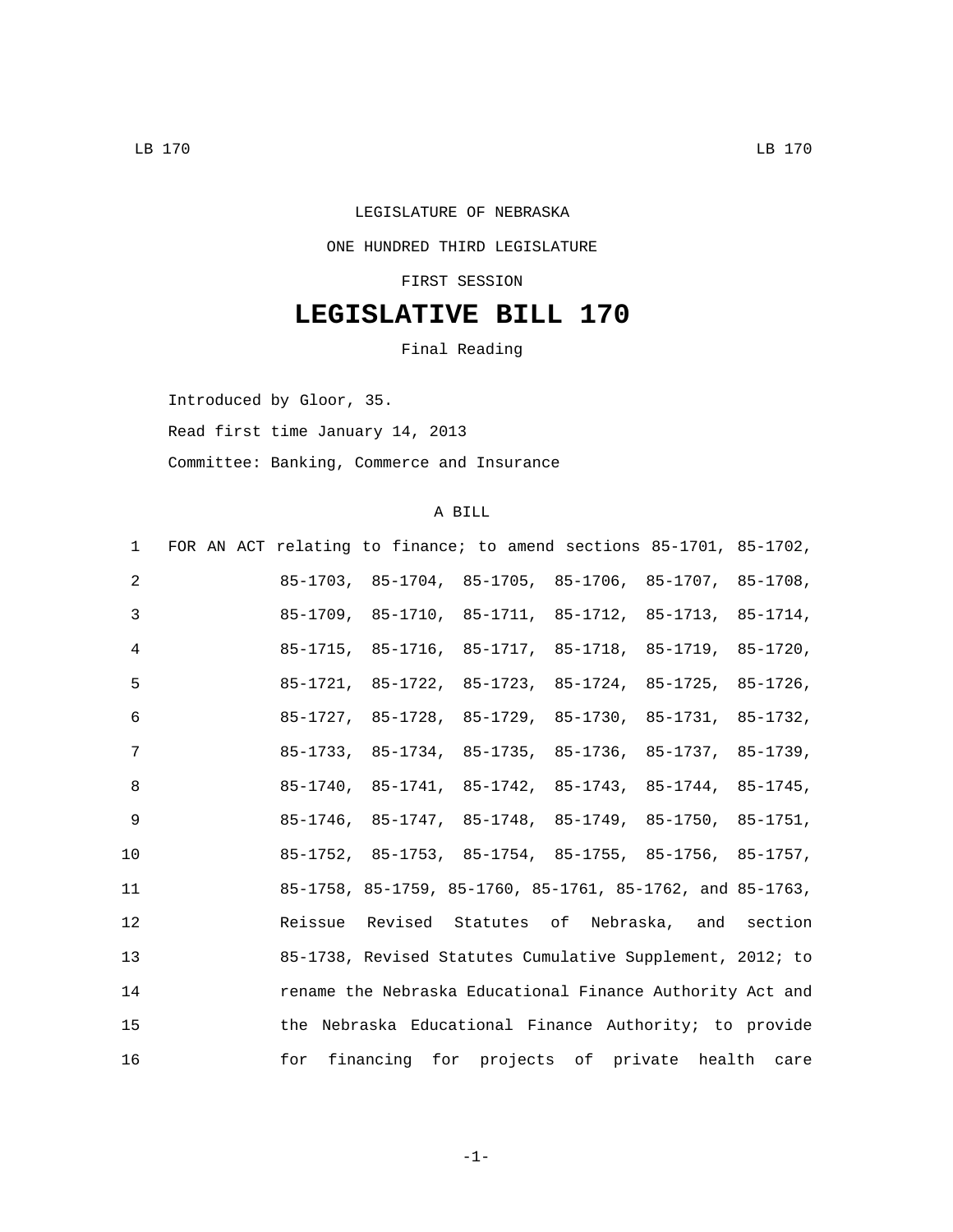## LEGISLATURE OF NEBRASKA

#### ONE HUNDRED THIRD LEGISLATURE

FIRST SESSION

# **LEGISLATIVE BILL 170**

Final Reading

Introduced by Gloor, 35.

Read first time January 14, 2013

Committee: Banking, Commerce and Insurance

## A BILL

|    | 1 FOR AN ACT relating to finance; to amend sections 85-1701, 85-1702, |                                                                         |  |  |
|----|-----------------------------------------------------------------------|-------------------------------------------------------------------------|--|--|
| 2  |                                                                       | 85-1703, 85-1704, 85-1705, 85-1706, 85-1707, 85-1708,                   |  |  |
| 3  |                                                                       | 85-1709, 85-1710, 85-1711, 85-1712, 85-1713, 85-1714,                   |  |  |
| 4  |                                                                       | 85-1715, 85-1716, 85-1717, 85-1718, 85-1719, 85-1720,                   |  |  |
| 5  |                                                                       | 85-1721, 85-1722, 85-1723, 85-1724, 85-1725, 85-1726,                   |  |  |
| 6  |                                                                       | 85-1727, 85-1728, 85-1729, 85-1730, 85-1731, 85-1732,                   |  |  |
| 7  |                                                                       | 85-1733, 85-1734, 85-1735, 85-1736, 85-1737, 85-1739,                   |  |  |
| 8  |                                                                       | 85-1740, 85-1741, 85-1742, 85-1743, 85-1744, 85-1745,                   |  |  |
| 9  |                                                                       | $85-1746$ , $85-1747$ , $85-1748$ , $85-1749$ , $85-1750$ , $85-1751$ , |  |  |
| 10 |                                                                       | 85-1752, 85-1753, 85-1754, 85-1755, 85-1756, 85-1757,                   |  |  |
| 11 |                                                                       | 85-1758, 85-1759, 85-1760, 85-1761, 85-1762, and 85-1763,               |  |  |
| 12 |                                                                       | Reissue Revised Statutes of Nebraska, and section                       |  |  |
| 13 |                                                                       | 85-1738, Revised Statutes Cumulative Supplement, 2012; to               |  |  |
| 14 |                                                                       | rename the Nebraska Educational Finance Authority Act and               |  |  |
| 15 |                                                                       | the Nebraska Educational Finance Authority; to provide                  |  |  |
| 16 |                                                                       | for financing for projects of private health care                       |  |  |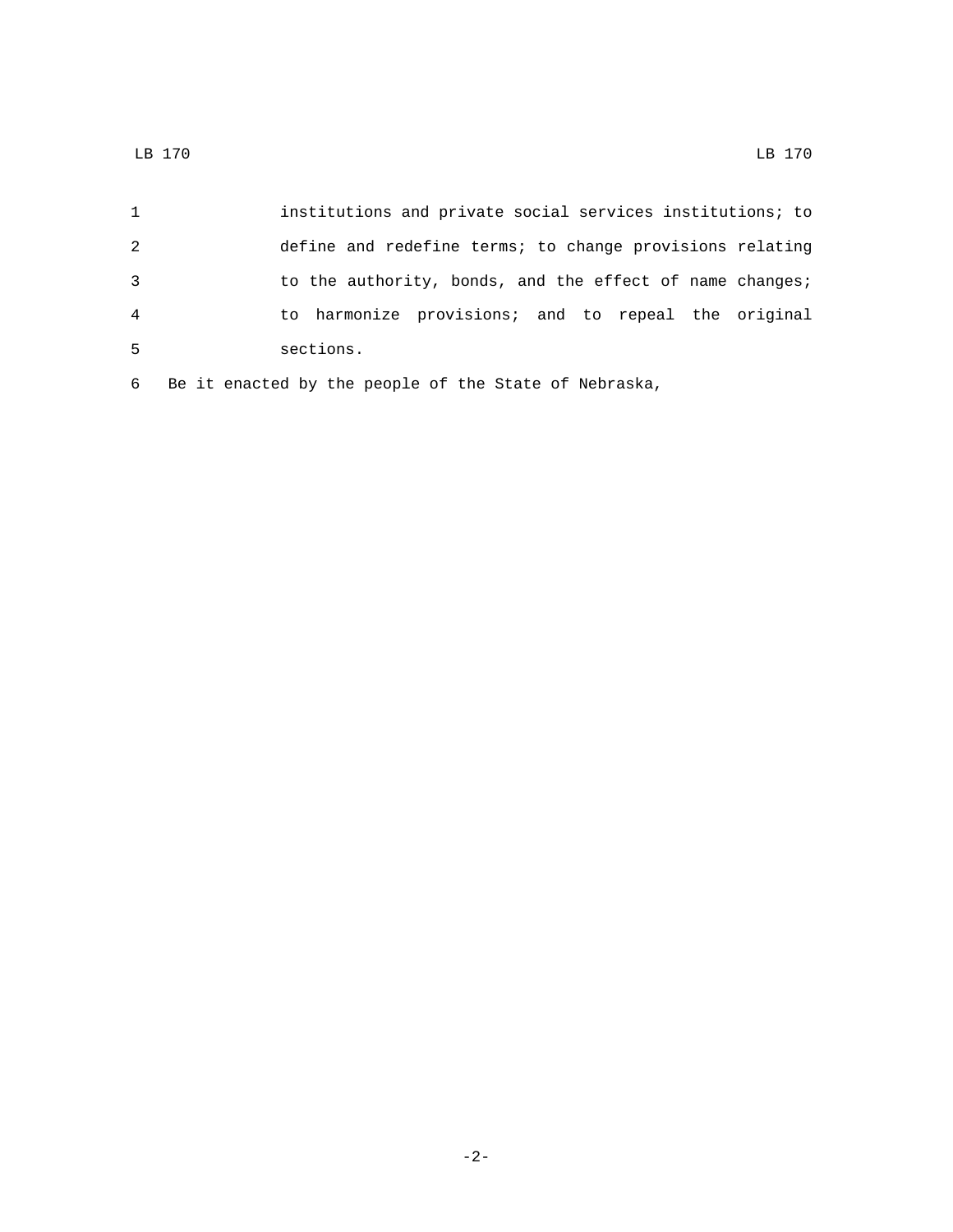|                | institutions and private social services institutions; to |
|----------------|-----------------------------------------------------------|
| 2              | define and redefine terms; to change provisions relating  |
| -3             | to the authority, bonds, and the effect of name changes;  |
| $\overline{4}$ | to harmonize provisions; and to repeal the original       |
| -5             | sections.                                                 |
|                |                                                           |

Be it enacted by the people of the State of Nebraska,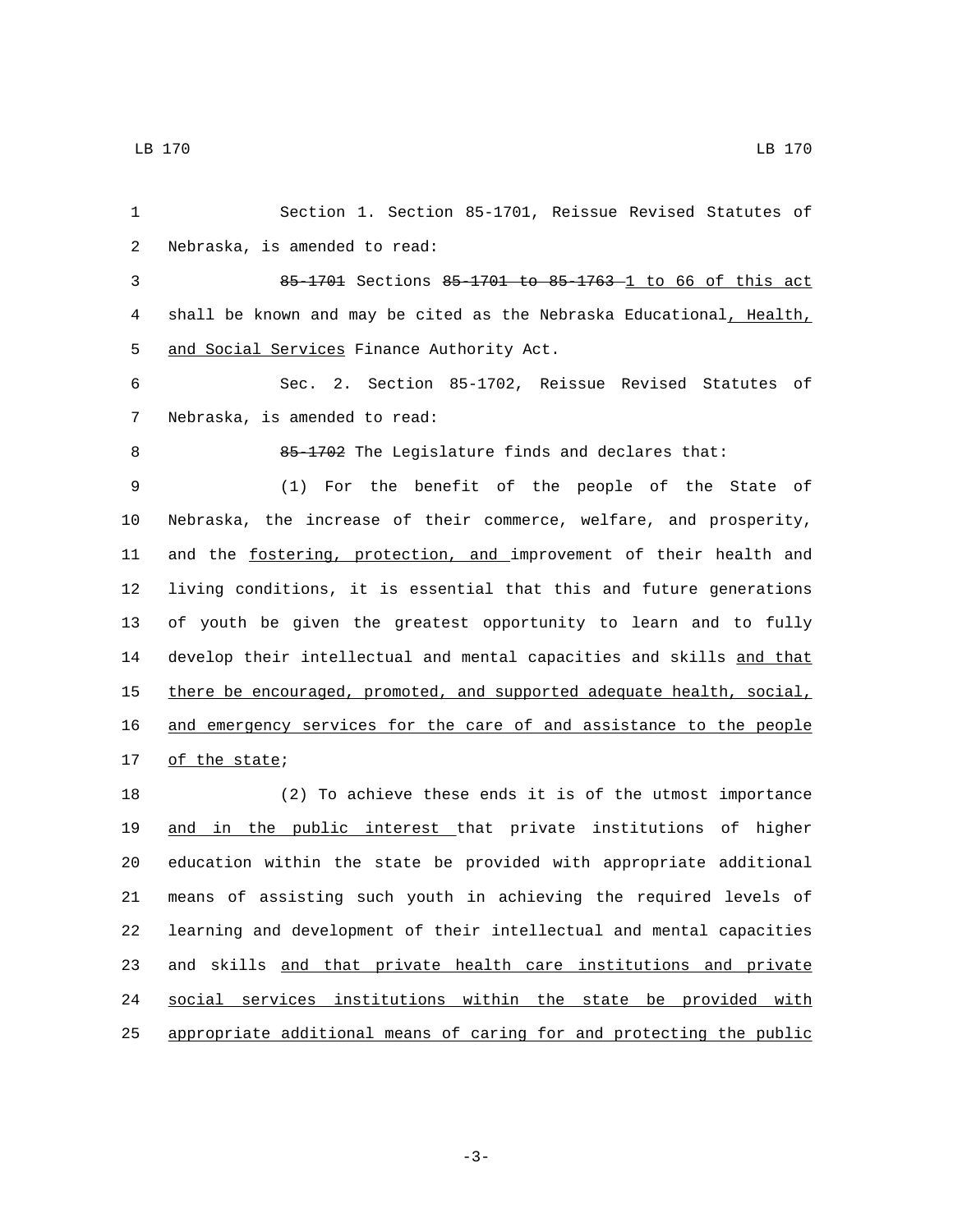| 1  | Section 1. Section 85-1701, Reissue Revised Statutes of               |
|----|-----------------------------------------------------------------------|
| 2  | Nebraska, is amended to read:                                         |
| 3  | 85-1701 Sections 85-1701 to 85-1763-1 to 66 of this act               |
| 4  | shall be known and may be cited as the Nebraska Educational, Health,  |
| 5  | and Social Services Finance Authority Act.                            |
| 6  | Sec. 2. Section 85-1702, Reissue Revised Statutes of                  |
| 7  | Nebraska, is amended to read:                                         |
| 8  | 85-1702 The Legislature finds and declares that:                      |
| 9  | (1) For the benefit of the people of the State of                     |
| 10 | Nebraska, the increase of their commerce, welfare, and prosperity,    |
| 11 | and the fostering, protection, and improvement of their health and    |
| 12 | living conditions, it is essential that this and future generations   |
| 13 | of youth be given the greatest opportunity to learn and to fully      |
| 14 | develop their intellectual and mental capacities and skills and that  |
| 15 | there be encouraged, promoted, and supported adequate health, social, |
| 16 | and emergency services for the care of and assistance to the people   |
| 17 | of the state;                                                         |
| 18 | (2) To achieve these ends it is of the utmost importance              |
| 19 | and in the public interest that private institutions of higher        |
| 20 | education within the state be provided with appropriate additional    |
| 21 | means of assisting such youth in achieving the required levels of     |
| 22 | learning and development of their intellectual and mental capacities  |
| 23 | and skills and that private health care institutions and private      |
| 24 | social services institutions within the state be provided with        |
| 25 | appropriate additional means of caring for and protecting the public  |

-3-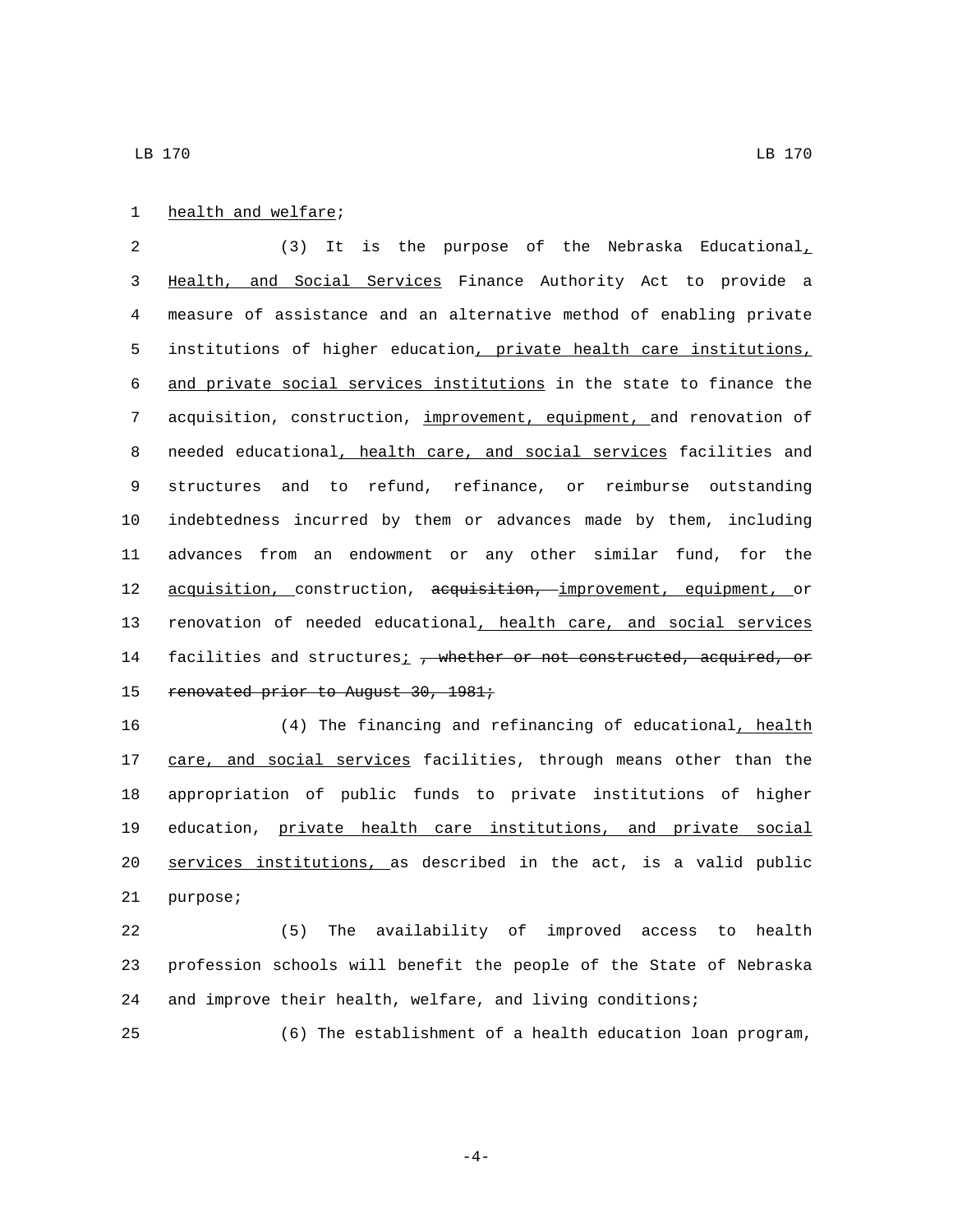### 1 health and welfare;

 (3) It is the purpose of the Nebraska Educational, Health, and Social Services Finance Authority Act to provide a measure of assistance and an alternative method of enabling private institutions of higher education, private health care institutions, and private social services institutions in the state to finance the acquisition, construction, improvement, equipment, and renovation of 8 needed educational, health care, and social services facilities and structures and to refund, refinance, or reimburse outstanding indebtedness incurred by them or advances made by them, including advances from an endowment or any other similar fund, for the 12 acquisition, construction, acquisition, improvement, equipment, or renovation of needed educational, health care, and social services 14 facilities and structures<sub>i</sub>, whether or not constructed, acquired, or 15 renovated prior to August 30, 1981;

 (4) The financing and refinancing of educational, health 17 care, and social services facilities, through means other than the appropriation of public funds to private institutions of higher education, private health care institutions, and private social services institutions, as described in the act, is a valid public 21 purpose;

 (5) The availability of improved access to health profession schools will benefit the people of the State of Nebraska and improve their health, welfare, and living conditions;

(6) The establishment of a health education loan program,

-4-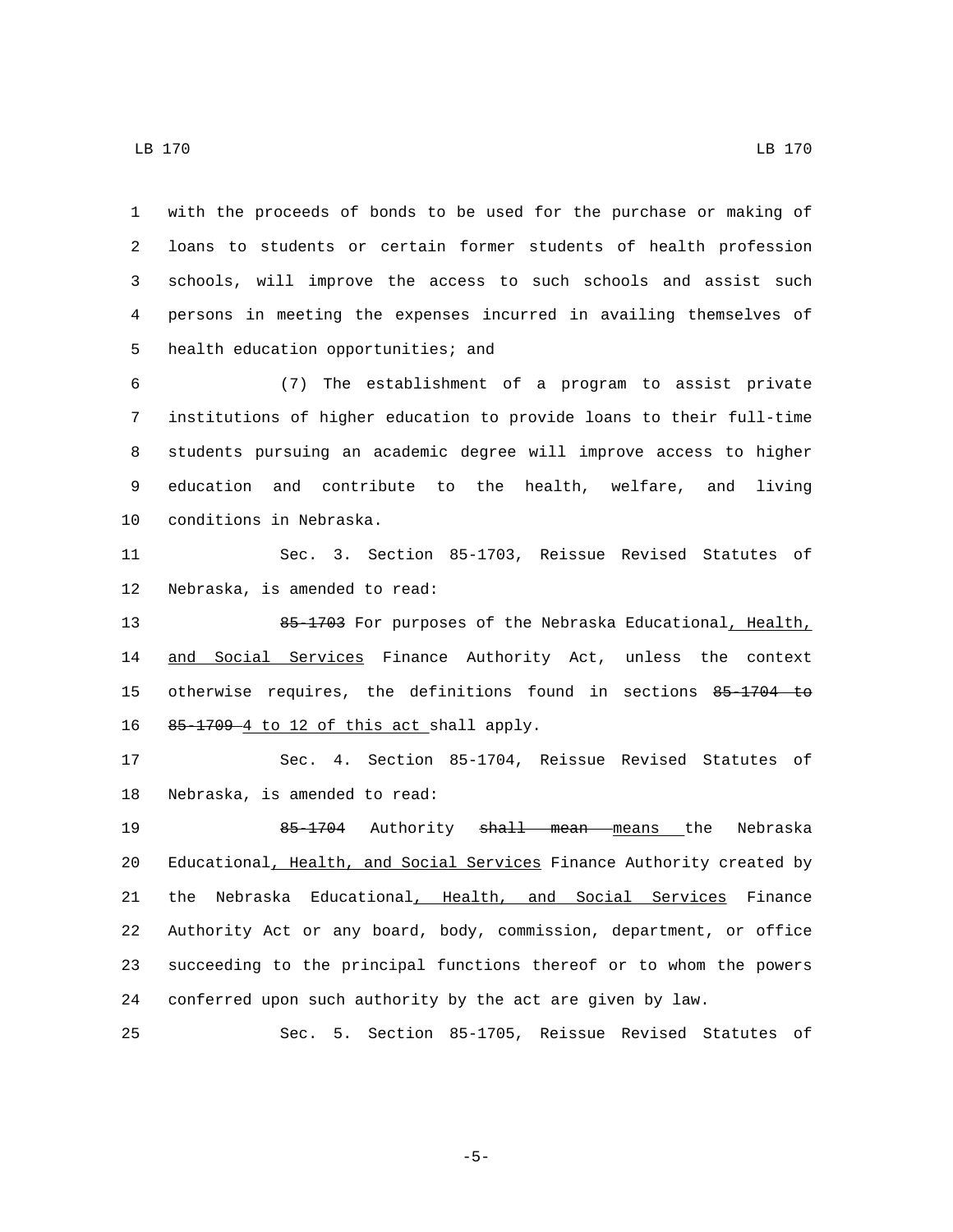with the proceeds of bonds to be used for the purchase or making of loans to students or certain former students of health profession schools, will improve the access to such schools and assist such persons in meeting the expenses incurred in availing themselves of 5 health education opportunities; and

 (7) The establishment of a program to assist private institutions of higher education to provide loans to their full-time students pursuing an academic degree will improve access to higher education and contribute to the health, welfare, and living 10 conditions in Nebraska.

11 Sec. 3. Section 85-1703, Reissue Revised Statutes of 12 Nebraska, is amended to read:

13 85-1703 For purposes of the Nebraska Educational, Health, 14 and Social Services Finance Authority Act, unless the context 15 otherwise requires, the definitions found in sections 85-1704 to 16  $85-1709-4$  to 12 of this act shall apply.

17 Sec. 4. Section 85-1704, Reissue Revised Statutes of 18 Nebraska, is amended to read:

19 65-1704 Authority shall mean means the Nebraska 20 Educational, Health, and Social Services Finance Authority created by 21 the Nebraska Educational, Health, and Social Services Finance 22 Authority Act or any board, body, commission, department, or office 23 succeeding to the principal functions thereof or to whom the powers 24 conferred upon such authority by the act are given by law.

25 Sec. 5. Section 85-1705, Reissue Revised Statutes of

-5-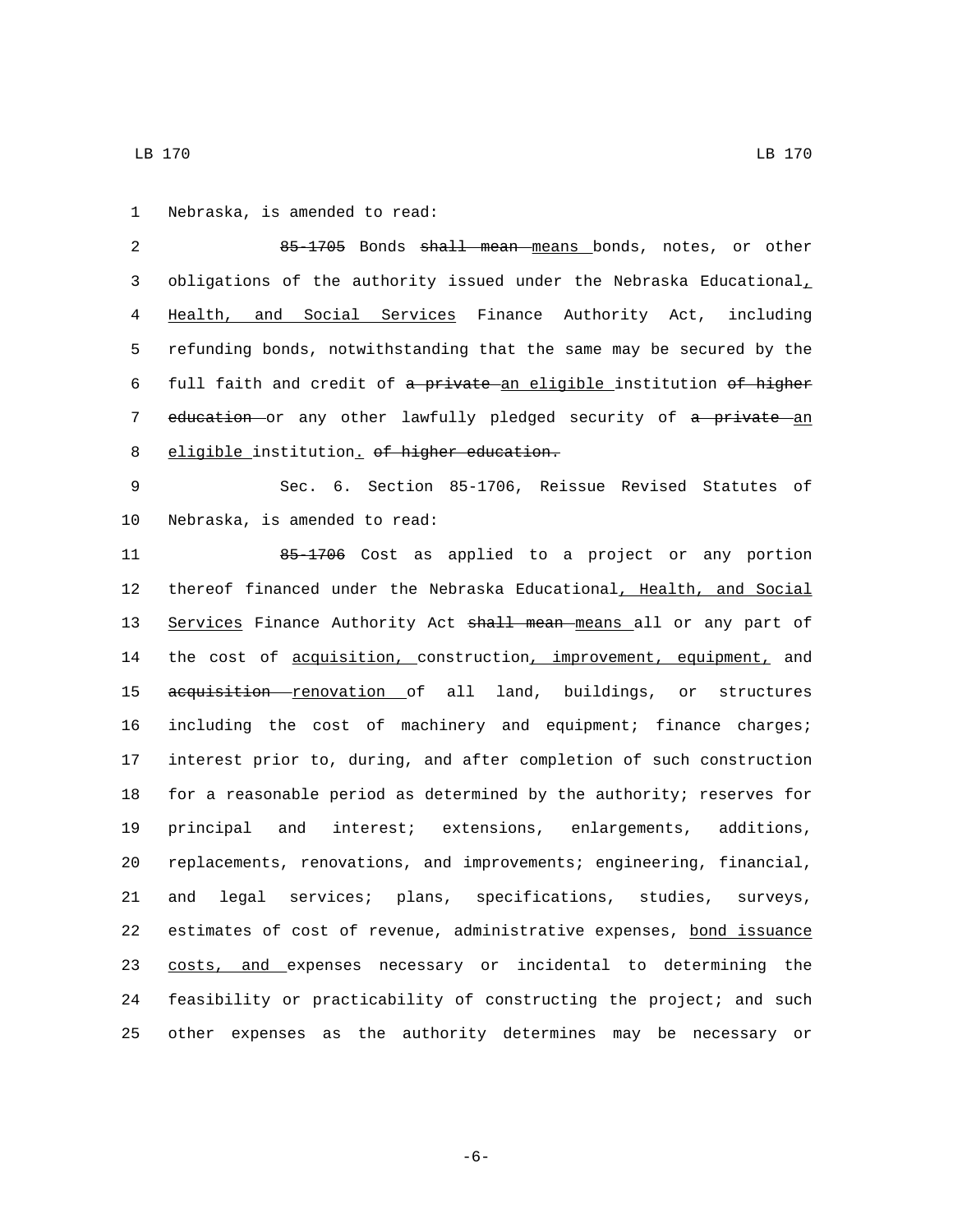1 Nebraska, is amended to read:

2 85-1705 Bonds shall mean means bonds, notes, or other 3 obligations of the authority issued under the Nebraska Educational<sub>1</sub> 4 Health, and Social Services Finance Authority Act, including 5 refunding bonds, notwithstanding that the same may be secured by the 6 full faith and credit of a private an eligible institution of higher 7 education or any other lawfully pledged security of a private an 8 eligible institution. of higher education.

9 Sec. 6. Section 85-1706, Reissue Revised Statutes of 10 Nebraska, is amended to read:

11 85-1706 Cost as applied to a project or any portion thereof financed under the Nebraska Educational, Health, and Social 13 Services Finance Authority Act shall mean means all or any part of 14 the cost of acquisition, construction, improvement, equipment, and 15 aequisition renovation of all land, buildings, or structures including the cost of machinery and equipment; finance charges; interest prior to, during, and after completion of such construction for a reasonable period as determined by the authority; reserves for principal and interest; extensions, enlargements, additions, replacements, renovations, and improvements; engineering, financial, and legal services; plans, specifications, studies, surveys, estimates of cost of revenue, administrative expenses, bond issuance 23 costs, and expenses necessary or incidental to determining the feasibility or practicability of constructing the project; and such other expenses as the authority determines may be necessary or

-6-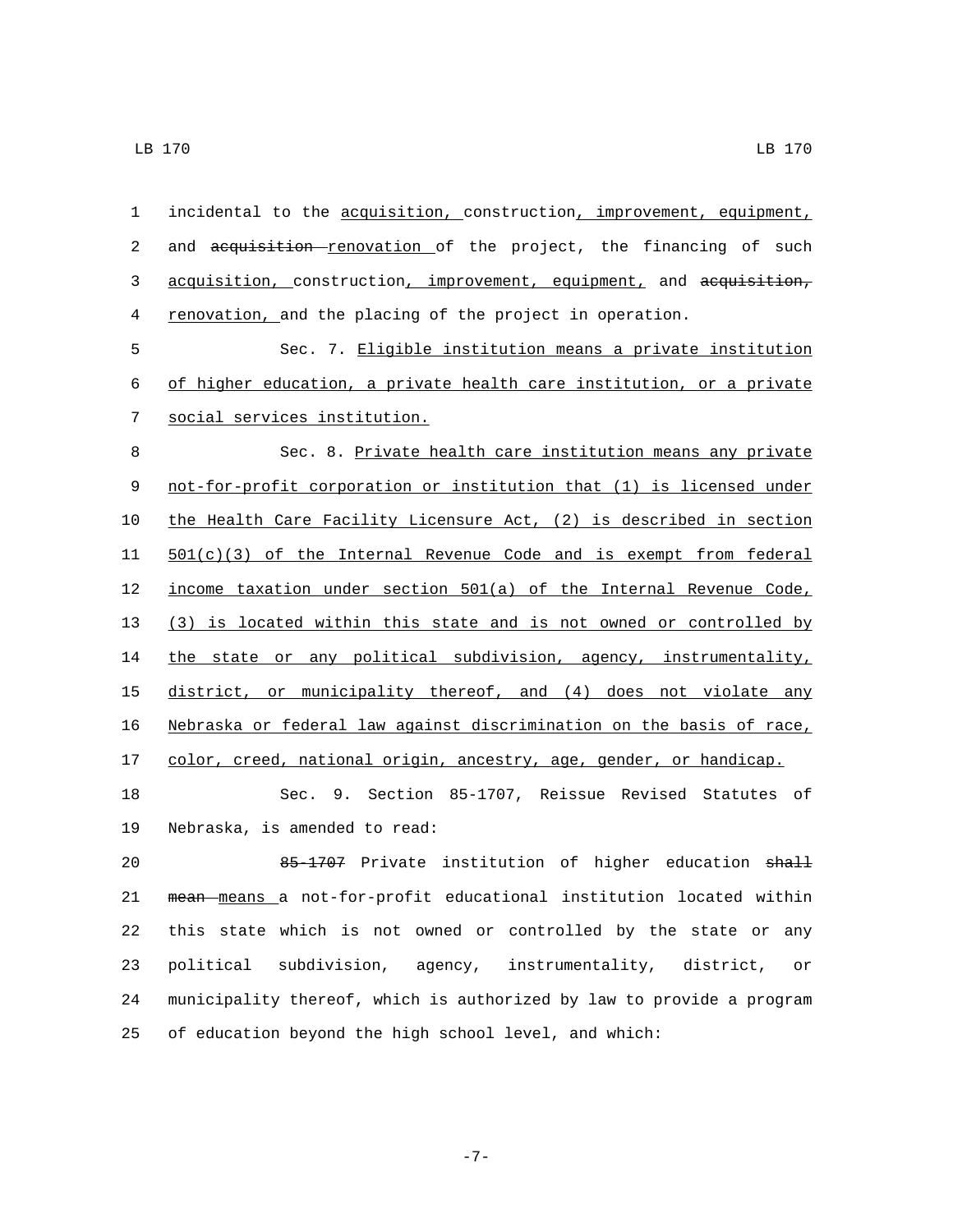| $\mathbf{1}$ | incidental to the acquisition, construction, improvement, equipment, |
|--------------|----------------------------------------------------------------------|
| 2            | and acquisition renovation of the project, the financing of such     |
| 3            | acquisition, construction, improvement, equipment, and acquisition,  |
| 4            | renovation, and the placing of the project in operation.             |
| 5            | Sec. 7. Eligible institution means a private institution             |
| 6            | of higher education, a private health care institution, or a private |
| 7            | social services institution.                                         |
| 8            | Sec. 8. Private health care institution means any private            |
| 9            | not-for-profit corporation or institution that (1) is licensed under |
| $10$         | the Health Care Facility Licensure Act, (2) is described in section  |
| 11           | $501(c)(3)$ of the Internal Revenue Code and is exempt from federal  |
| 12           | income taxation under section 501(a) of the Internal Revenue Code,   |
| 13           | (3) is located within this state and is not owned or controlled by   |
| 14           | the state or any political subdivision, agency, instrumentality,     |
| 15           | district, or municipality thereof, and (4) does not violate any      |
| 16           | Nebraska or federal law against discrimination on the basis of race, |
| 17           | color, creed, national origin, ancestry, age, gender, or handicap.   |
| 18           | Sec. 9. Section 85-1707, Reissue Revised Statutes of                 |
| 19           | Nebraska, is amended to read:                                        |
| 20           | 85-1707 Private institution of higher education shall                |
| 21           | mean means a not-for-profit educational institution located within   |
| 22           | this state which is not owned or controlled by the state or any      |
| 23           | political<br>subdivision, agency,<br>instrumentality, district, or   |

of education beyond the high school level, and which:

-7-

municipality thereof, which is authorized by law to provide a program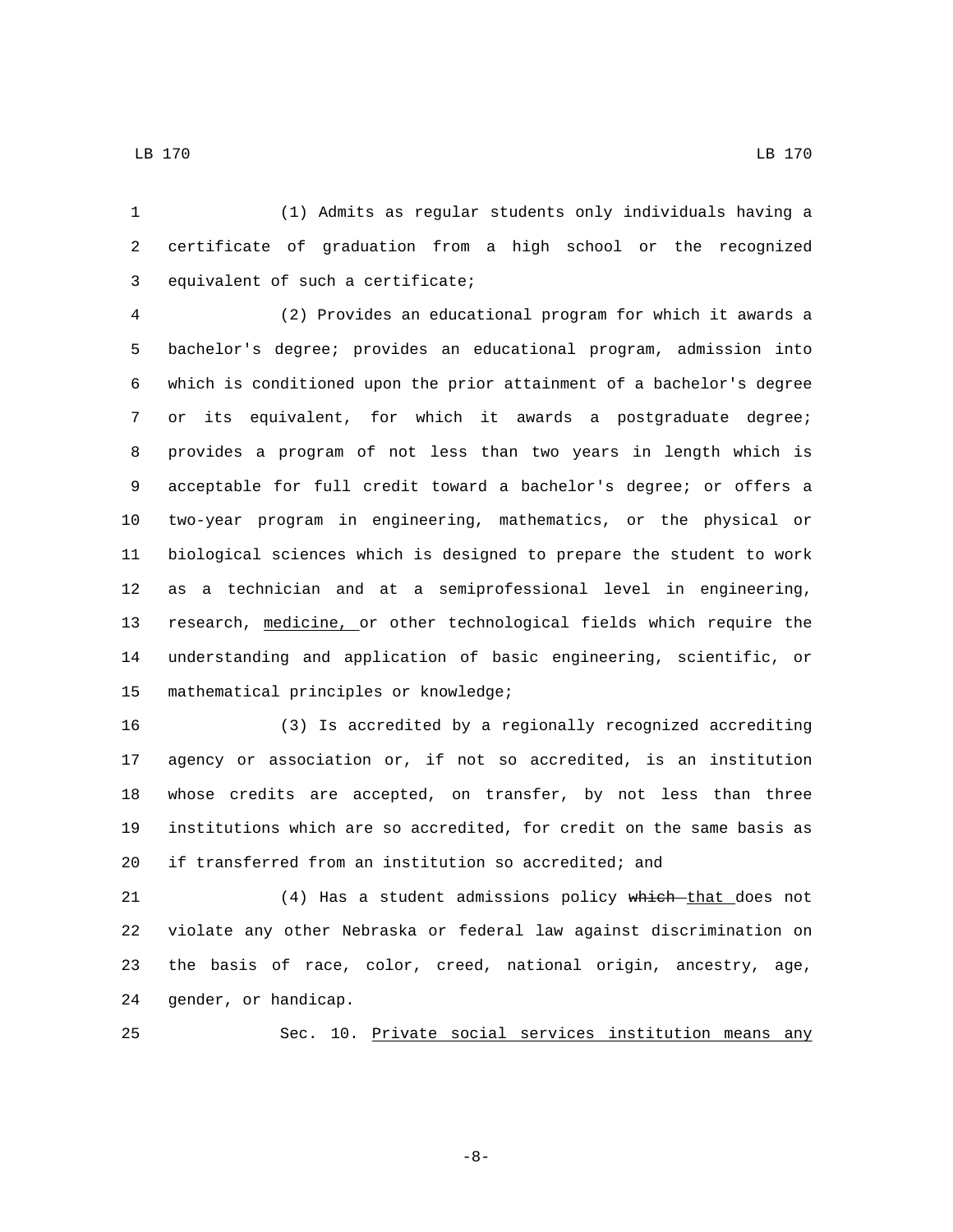(1) Admits as regular students only individuals having a certificate of graduation from a high school or the recognized 3 equivalent of such a certificate;

 (2) Provides an educational program for which it awards a bachelor's degree; provides an educational program, admission into which is conditioned upon the prior attainment of a bachelor's degree or its equivalent, for which it awards a postgraduate degree; provides a program of not less than two years in length which is acceptable for full credit toward a bachelor's degree; or offers a two-year program in engineering, mathematics, or the physical or biological sciences which is designed to prepare the student to work as a technician and at a semiprofessional level in engineering, research, medicine, or other technological fields which require the understanding and application of basic engineering, scientific, or 15 mathematical principles or knowledge;

 (3) Is accredited by a regionally recognized accrediting agency or association or, if not so accredited, is an institution whose credits are accepted, on transfer, by not less than three institutions which are so accredited, for credit on the same basis as if transferred from an institution so accredited; and

21 (4) Has a student admissions policy which that does not violate any other Nebraska or federal law against discrimination on the basis of race, color, creed, national origin, ancestry, age, 24 gender, or handicap.

Sec. 10. Private social services institution means any

-8-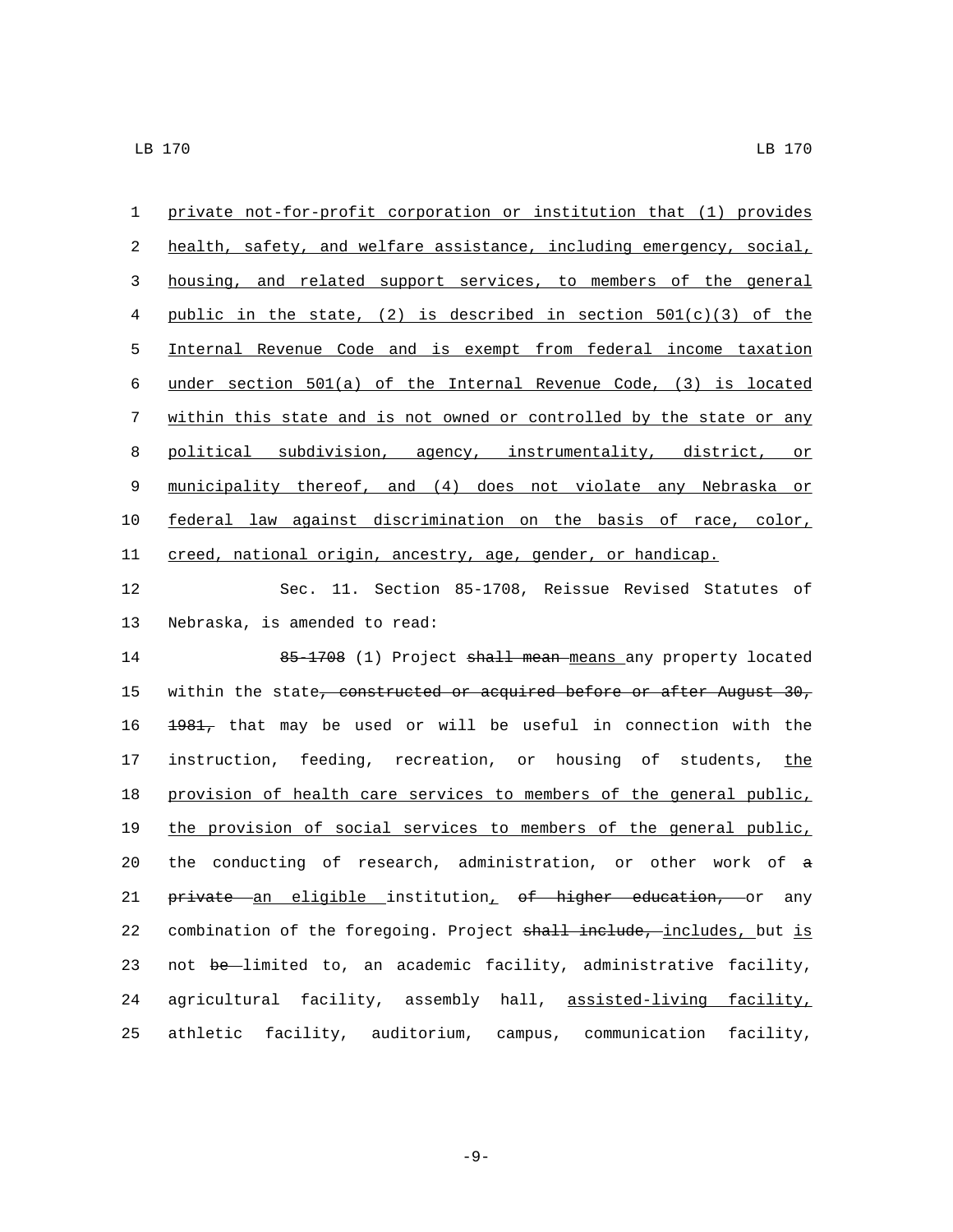private not-for-profit corporation or institution that (1) provides health, safety, and welfare assistance, including emergency, social, housing, and related support services, to members of the general 4 public in the state, (2) is described in section  $501(c)(3)$  of the Internal Revenue Code and is exempt from federal income taxation under section 501(a) of the Internal Revenue Code, (3) is located within this state and is not owned or controlled by the state or any political subdivision, agency, instrumentality, district, or municipality thereof, and (4) does not violate any Nebraska or federal law against discrimination on the basis of race, color, creed, national origin, ancestry, age, gender, or handicap.

12 Sec. 11. Section 85-1708, Reissue Revised Statutes of 13 Nebraska, is amended to read:

14 65-1708 (1) Project shall mean means any property located 15 within the state, constructed or acquired before or after August 30, 16 1981, that may be used or will be useful in connection with the 17 instruction, feeding, recreation, or housing of students, the 18 provision of health care services to members of the general public, 19 the provision of social services to members of the general public, 20 the conducting of research, administration, or other work of a 21 private an eligible institution, of higher education, or any 22 combination of the foregoing. Project shall include, includes, but is 23 not be-limited to, an academic facility, administrative facility, 24 agricultural facility, assembly hall, assisted-living facility, 25 athletic facility, auditorium, campus, communication facility,

-9-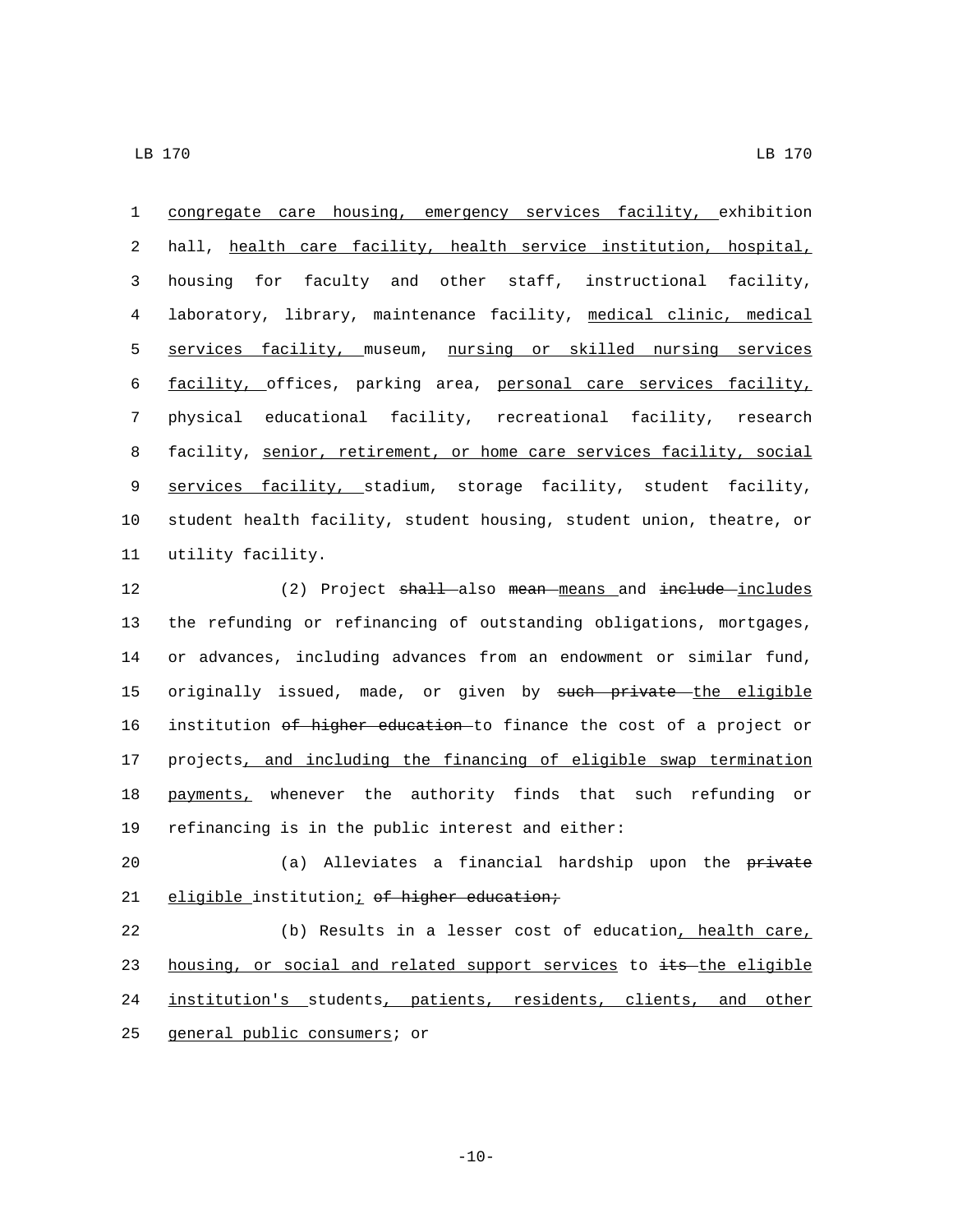congregate care housing, emergency services facility, exhibition hall, health care facility, health service institution, hospital, housing for faculty and other staff, instructional facility, laboratory, library, maintenance facility, medical clinic, medical services facility, museum, nursing or skilled nursing services facility, offices, parking area, personal care services facility, physical educational facility, recreational facility, research facility, senior, retirement, or home care services facility, social services facility, stadium, storage facility, student facility, student health facility, student housing, student union, theatre, or 11 utility facility.

12 (2) Project shall also mean means and include includes 13 the refunding or refinancing of outstanding obligations, mortgages, 14 or advances, including advances from an endowment or similar fund, 15 originally issued, made, or given by such private the eligible 16 institution of higher education to finance the cost of a project or 17 projects, and including the financing of eligible swap termination 18 payments, whenever the authority finds that such refunding or 19 refinancing is in the public interest and either:

20 (a) Alleviates a financial hardship upon the private 21 eligible institution; of higher education;

22 (b) Results in a lesser cost of education, health care, 23 housing, or social and related support services to its the eligible 24 institution's students, patients, residents, clients, and other 25 general public consumers; or

 $-10-$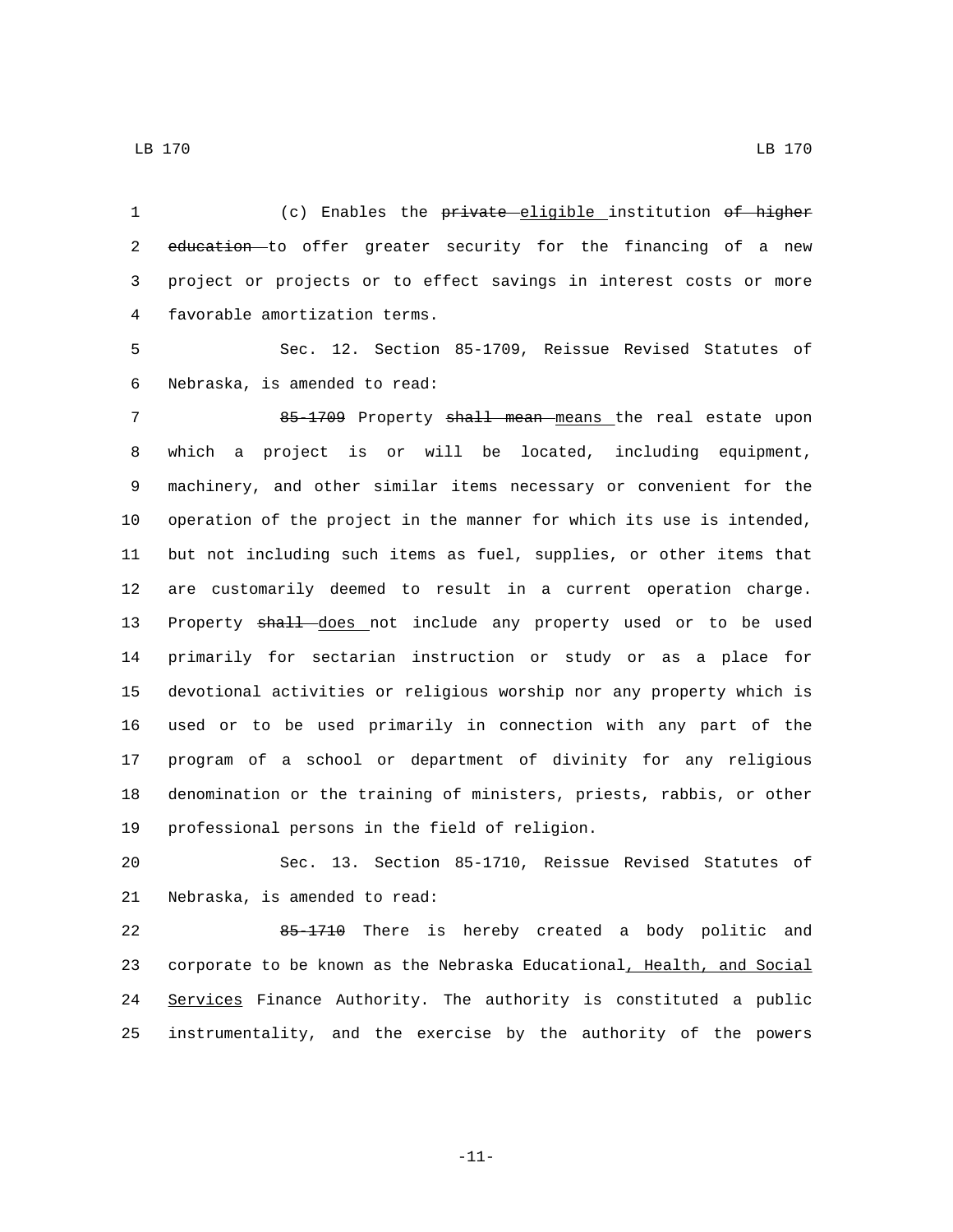(c) Enables the private eligible institution of higher 2 education to offer greater security for the financing of a new project or projects or to effect savings in interest costs or more 4 favorable amortization terms.

 Sec. 12. Section 85-1709, Reissue Revised Statutes of 6 Nebraska, is amended to read:

7 85-1709 Property shall mean means the real estate upon which a project is or will be located, including equipment, machinery, and other similar items necessary or convenient for the operation of the project in the manner for which its use is intended, but not including such items as fuel, supplies, or other items that are customarily deemed to result in a current operation charge. 13 Property shall does not include any property used or to be used primarily for sectarian instruction or study or as a place for devotional activities or religious worship nor any property which is used or to be used primarily in connection with any part of the program of a school or department of divinity for any religious denomination or the training of ministers, priests, rabbis, or other 19 professional persons in the field of religion.

 Sec. 13. Section 85-1710, Reissue Revised Statutes of 21 Nebraska, is amended to read:

 85-1710 There is hereby created a body politic and 23 corporate to be known as the Nebraska Educational, Health, and Social Services Finance Authority. The authority is constituted a public instrumentality, and the exercise by the authority of the powers

LB 170 LB 170

-11-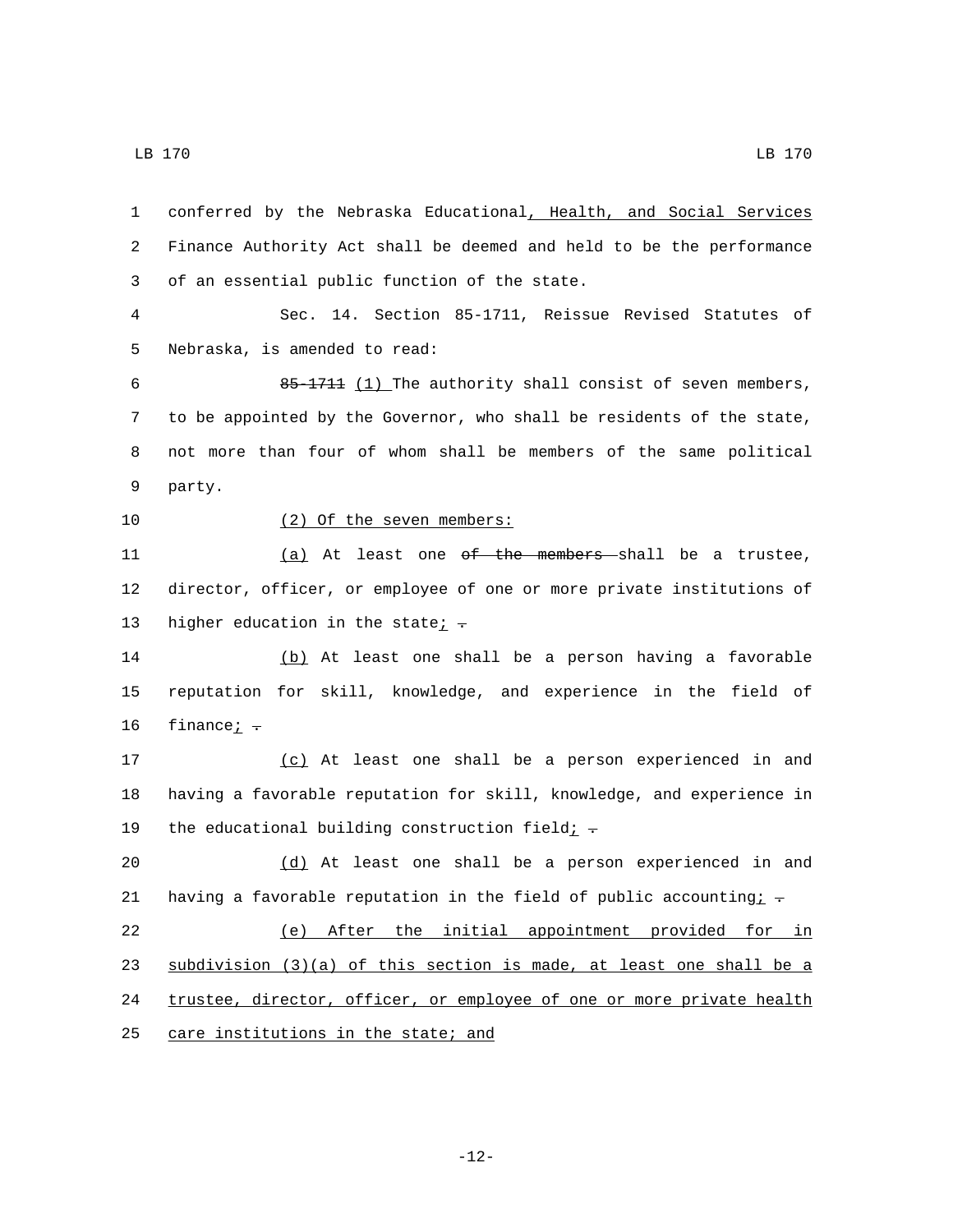1 conferred by the Nebraska Educational, Health, and Social Services 2 Finance Authority Act shall be deemed and held to be the performance 3 of an essential public function of the state. 4 Sec. 14. Section 85-1711, Reissue Revised Statutes of 5 Nebraska, is amended to read: 6 85-1711 (1) The authority shall consist of seven members, 7 to be appointed by the Governor, who shall be residents of the state, 8 not more than four of whom shall be members of the same political 9 party. 10 (2) Of the seven members: 11 (a) At least one <del>of the members s</del>hall be a trustee, 12 director, officer, or employee of one or more private institutions of 13 higher education in the state $\frac{i}{r}$ . 14 (b) At least one shall be a person having a favorable 15 reputation for skill, knowledge, and experience in the field of 16  $f$ inance $\frac{1}{f}$ . 17 (c) At least one shall be a person experienced in and 18 having a favorable reputation for skill, knowledge, and experience in 19 the educational building construction field;  $\div$ 20 (d) At least one shall be a person experienced in and 21 having a favorable reputation in the field of public accounting:  $\pm$ 22 (e) After the initial appointment provided for in 23 subdivision (3)(a) of this section is made, at least one shall be a 24 trustee, director, officer, or employee of one or more private health 25 care institutions in the state; and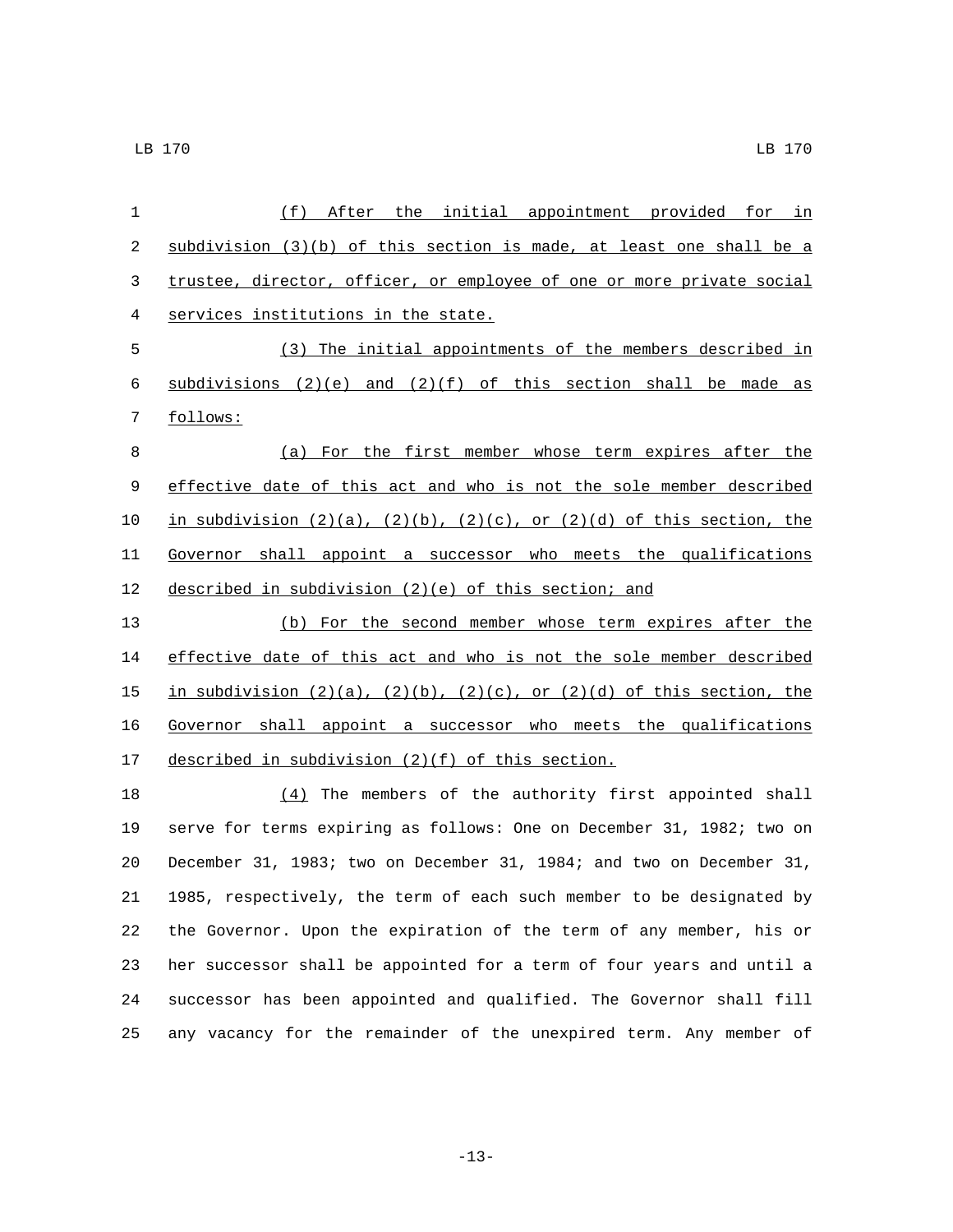| 1           | (f) After the initial appointment provided for in                                |
|-------------|----------------------------------------------------------------------------------|
| 2           | subdivision $(3)(b)$ of this section is made, at least one shall be a            |
| 3           | trustee, director, officer, or employee of one or more private social            |
| 4           | services institutions in the state.                                              |
| 5           | (3) The initial appointments of the members described in                         |
| 6           | subdivisions $(2)(e)$ and $(2)(f)$ of this section shall be made as              |
| 7           | follows:                                                                         |
| 8           | (a) For the first member whose term expires after the                            |
| $\mathsf 9$ | effective date of this act and who is not the sole member described              |
| 10          | in subdivision $(2)(a)$ , $(2)(b)$ , $(2)(c)$ , or $(2)(d)$ of this section, the |
| 11          | Governor shall appoint a successor who meets the qualifications                  |
| 12          | described in subdivision (2)(e) of this section; and                             |
| 13          | (b) For the second member whose term expires after the                           |
| 14          | effective date of this act and who is not the sole member described              |
| 15          | in subdivision $(2)(a)$ , $(2)(b)$ , $(2)(c)$ , or $(2)(d)$ of this section, the |
| 16          | Governor shall appoint a successor who meets the qualifications                  |
| 17          | described in subdivision (2)(f) of this section.                                 |
| 18          | $(4)$ The members of the authority first appointed shall                         |
| 19          | serve for terms expiring as follows: One on December 31, 1982; two on            |
| 20          | December 31, 1983; two on December 31, 1984; and two on December 31,             |
| 21          | 1985, respectively, the term of each such member to be designated by             |
| 22          | the Governor. Upon the expiration of the term of any member, his or              |
| 23          | her successor shall be appointed for a term of four years and until a            |
| 24          | successor has been appointed and qualified. The Governor shall fill              |

any vacancy for the remainder of the unexpired term. Any member of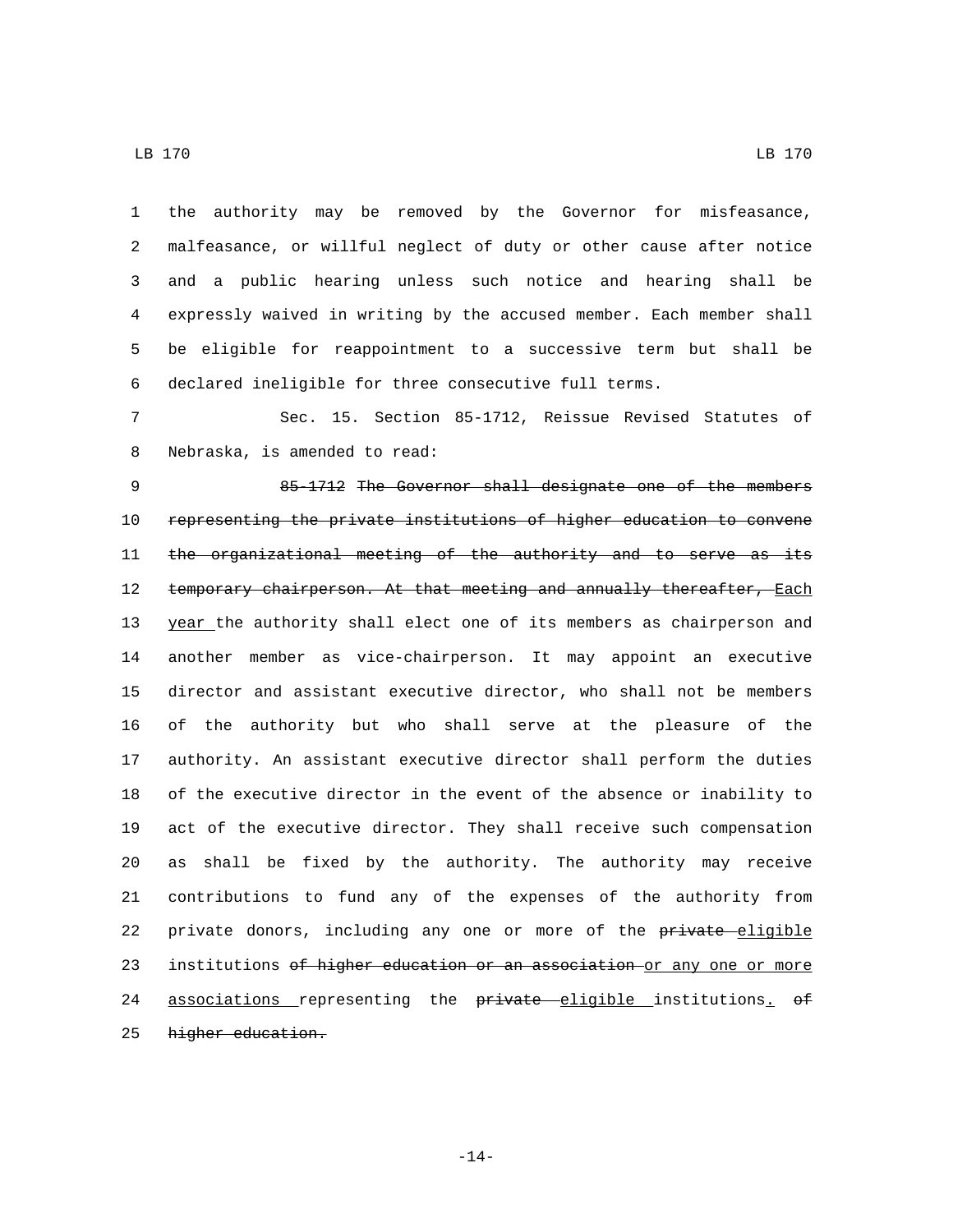the authority may be removed by the Governor for misfeasance, malfeasance, or willful neglect of duty or other cause after notice and a public hearing unless such notice and hearing shall be expressly waived in writing by the accused member. Each member shall be eligible for reappointment to a successive term but shall be declared ineligible for three consecutive full terms.

 Sec. 15. Section 85-1712, Reissue Revised Statutes of 8 Nebraska, is amended to read:

 85-1712 The Governor shall designate one of the members representing the private institutions of higher education to convene 11 the organizational meeting of the authority and to serve as its 12 temporary chairperson. At that meeting and annually thereafter, Each 13 year the authority shall elect one of its members as chairperson and another member as vice-chairperson. It may appoint an executive director and assistant executive director, who shall not be members of the authority but who shall serve at the pleasure of the authority. An assistant executive director shall perform the duties of the executive director in the event of the absence or inability to act of the executive director. They shall receive such compensation as shall be fixed by the authority. The authority may receive contributions to fund any of the expenses of the authority from 22 private donors, including any one or more of the private eligible 23 institutions of higher education or an association or any one or more 24 associations representing the private eligible institutions. of 25 higher education.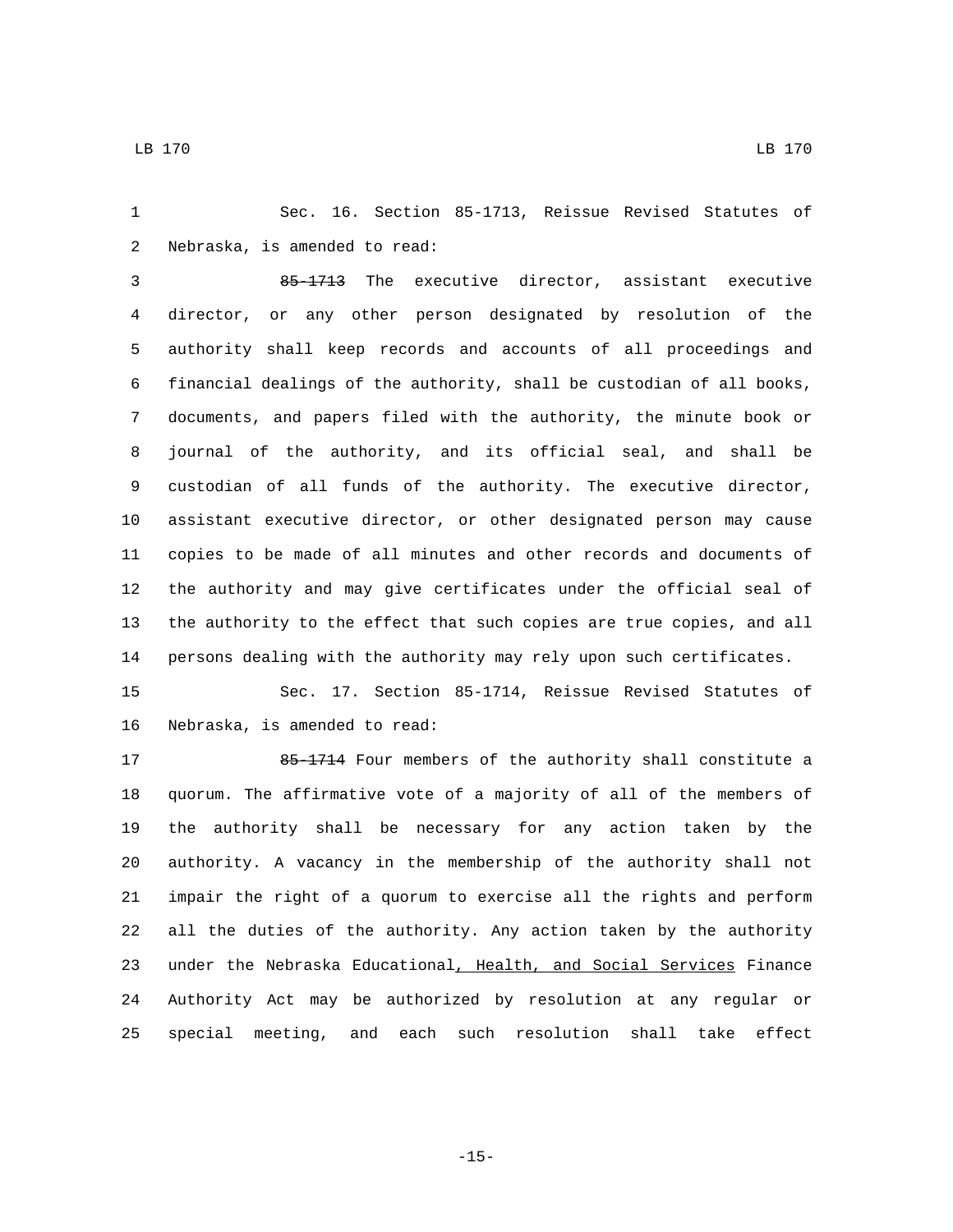Sec. 16. Section 85-1713, Reissue Revised Statutes of 2 Nebraska, is amended to read:

 85-1713 The executive director, assistant executive director, or any other person designated by resolution of the authority shall keep records and accounts of all proceedings and financial dealings of the authority, shall be custodian of all books, documents, and papers filed with the authority, the minute book or journal of the authority, and its official seal, and shall be custodian of all funds of the authority. The executive director, assistant executive director, or other designated person may cause copies to be made of all minutes and other records and documents of the authority and may give certificates under the official seal of the authority to the effect that such copies are true copies, and all persons dealing with the authority may rely upon such certificates.

 Sec. 17. Section 85-1714, Reissue Revised Statutes of 16 Nebraska, is amended to read:

17 85-1714 Four members of the authority shall constitute a quorum. The affirmative vote of a majority of all of the members of the authority shall be necessary for any action taken by the authority. A vacancy in the membership of the authority shall not impair the right of a quorum to exercise all the rights and perform all the duties of the authority. Any action taken by the authority 23 under the Nebraska Educational, Health, and Social Services Finance Authority Act may be authorized by resolution at any regular or special meeting, and each such resolution shall take effect

-15-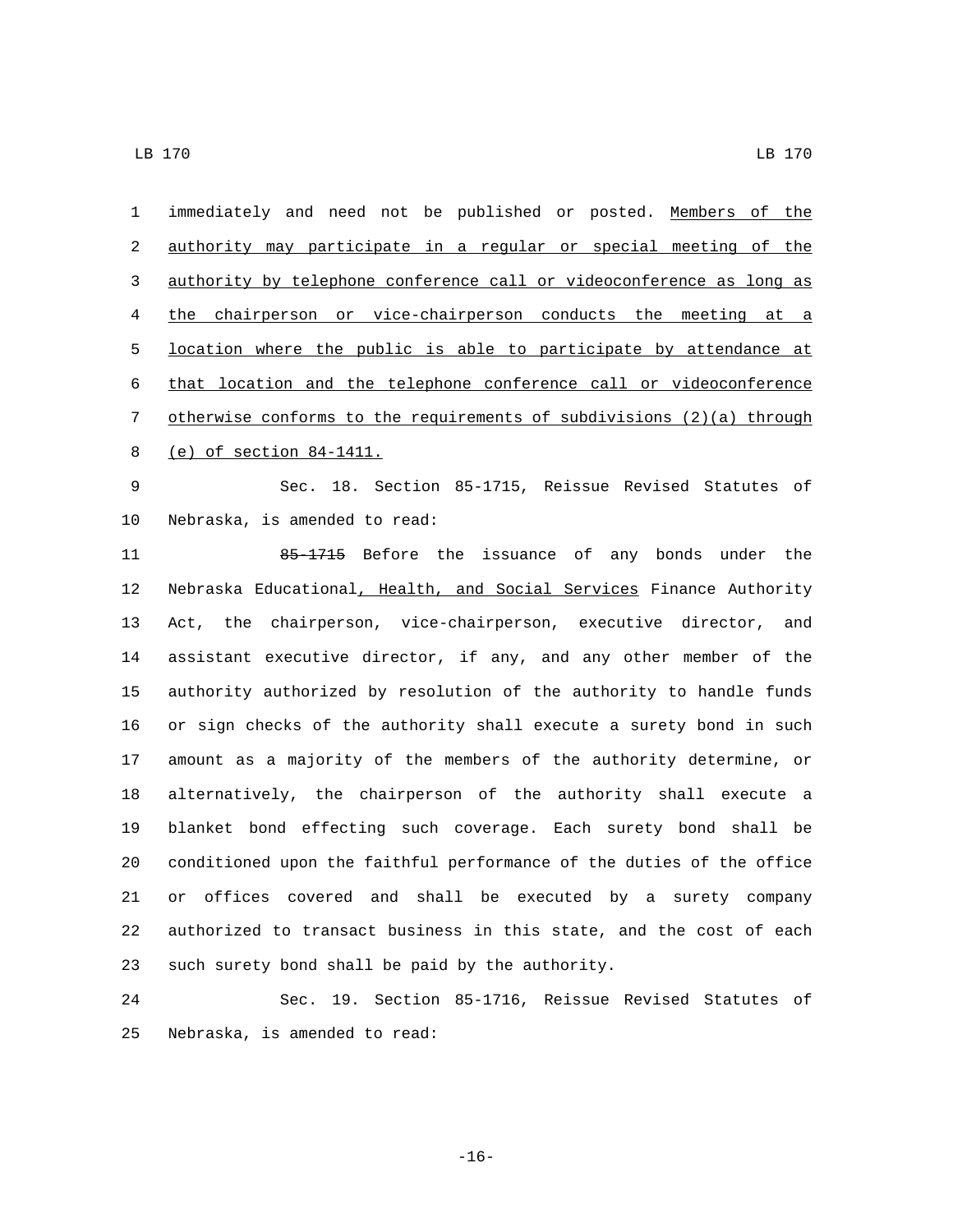immediately and need not be published or posted. Members of the authority may participate in a regular or special meeting of the authority by telephone conference call or videoconference as long as the chairperson or vice-chairperson conducts the meeting at a location where the public is able to participate by attendance at that location and the telephone conference call or videoconference otherwise conforms to the requirements of subdivisions (2)(a) through 8 (e) of section 84-1411.

 Sec. 18. Section 85-1715, Reissue Revised Statutes of 10 Nebraska, is amended to read:

 85-1715 Before the issuance of any bonds under the Nebraska Educational, Health, and Social Services Finance Authority Act, the chairperson, vice-chairperson, executive director, and assistant executive director, if any, and any other member of the authority authorized by resolution of the authority to handle funds or sign checks of the authority shall execute a surety bond in such amount as a majority of the members of the authority determine, or alternatively, the chairperson of the authority shall execute a blanket bond effecting such coverage. Each surety bond shall be conditioned upon the faithful performance of the duties of the office or offices covered and shall be executed by a surety company authorized to transact business in this state, and the cost of each 23 such surety bond shall be paid by the authority.

 Sec. 19. Section 85-1716, Reissue Revised Statutes of 25 Nebraska, is amended to read:

-16-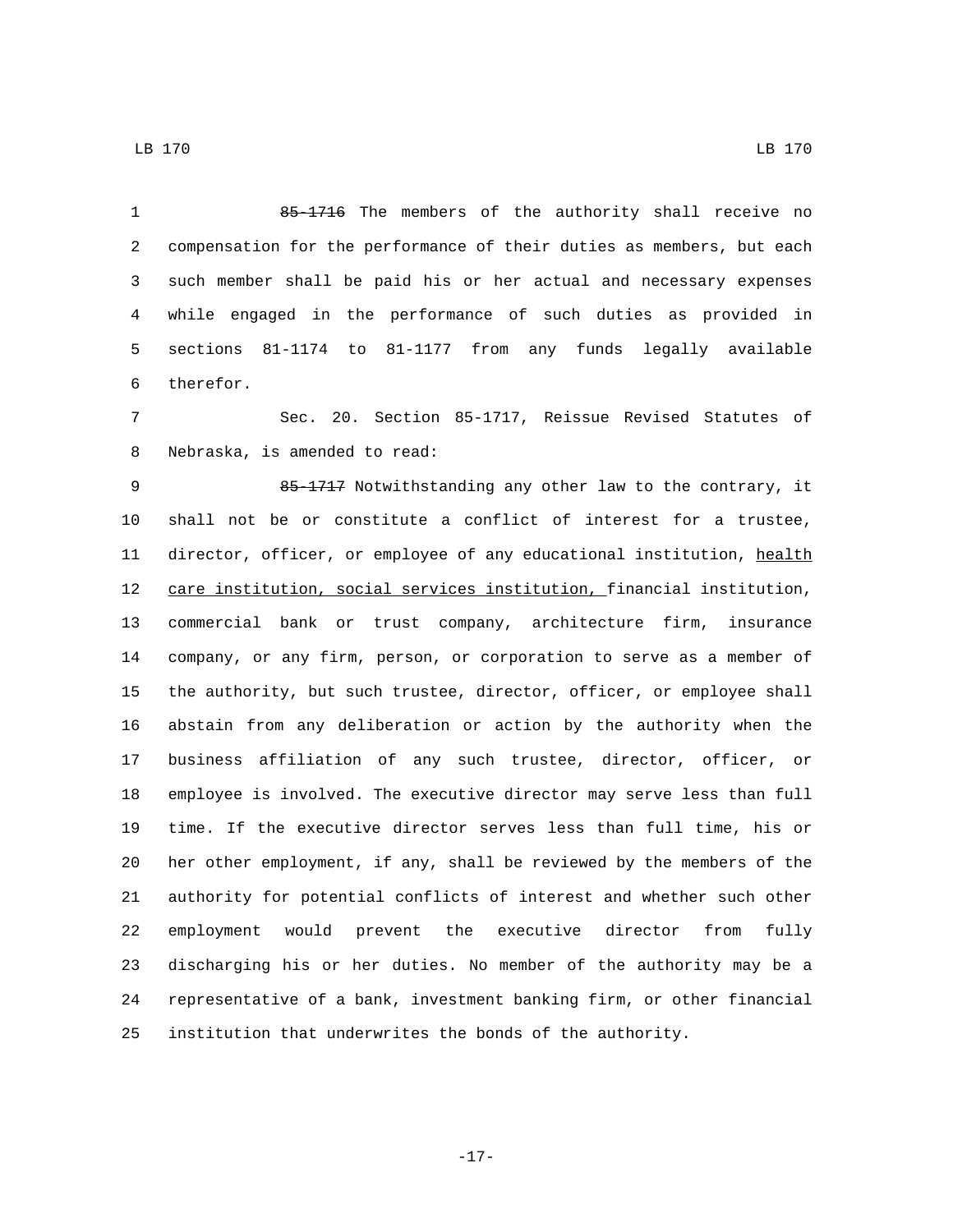85-1716 The members of the authority shall receive no compensation for the performance of their duties as members, but each such member shall be paid his or her actual and necessary expenses while engaged in the performance of such duties as provided in

 sections 81-1174 to 81-1177 from any funds legally available 6 therefor.

 Sec. 20. Section 85-1717, Reissue Revised Statutes of 8 Nebraska, is amended to read:

 85-1717 Notwithstanding any other law to the contrary, it shall not be or constitute a conflict of interest for a trustee, 11 director, officer, or employee of any educational institution, health care institution, social services institution, financial institution, commercial bank or trust company, architecture firm, insurance company, or any firm, person, or corporation to serve as a member of the authority, but such trustee, director, officer, or employee shall abstain from any deliberation or action by the authority when the business affiliation of any such trustee, director, officer, or employee is involved. The executive director may serve less than full time. If the executive director serves less than full time, his or her other employment, if any, shall be reviewed by the members of the authority for potential conflicts of interest and whether such other employment would prevent the executive director from fully discharging his or her duties. No member of the authority may be a representative of a bank, investment banking firm, or other financial institution that underwrites the bonds of the authority.

LB 170 LB 170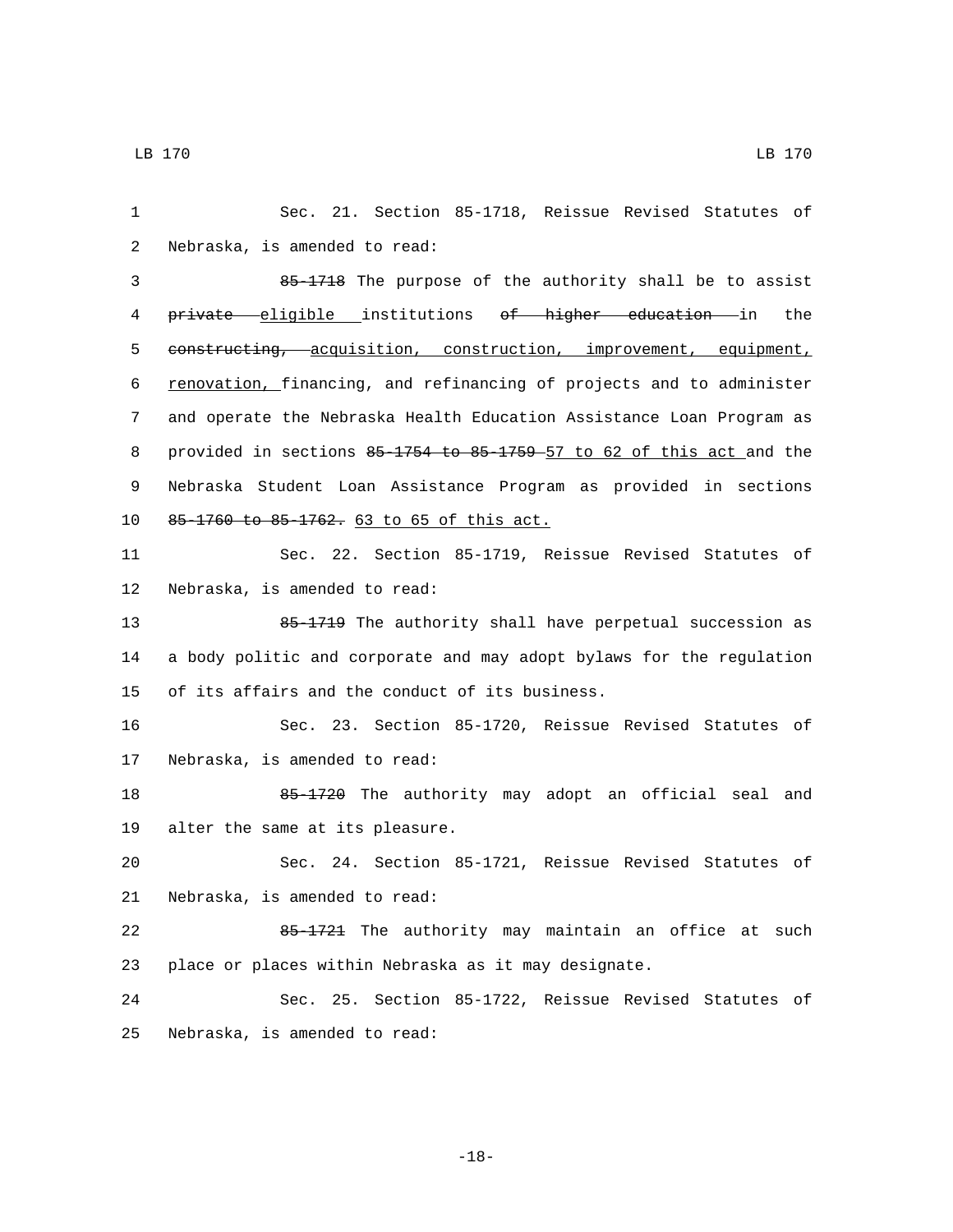1 Sec. 21. Section 85-1718, Reissue Revised Statutes of 2 Nebraska, is amended to read: 3 85-1718 The purpose of the authority shall be to assist 4 private eligible institutions of higher education in the 5 constructing, acquisition, construction, improvement, equipment, 6 renovation, financing, and refinancing of projects and to administer 7 and operate the Nebraska Health Education Assistance Loan Program as 8 provided in sections 85-1754 to 85-1759 57 to 62 of this act and the 9 Nebraska Student Loan Assistance Program as provided in sections 10 85-1760 to 85-1762. 63 to 65 of this act. 11 Sec. 22. Section 85-1719, Reissue Revised Statutes of 12 Nebraska, is amended to read: 13 65-1719 The authority shall have perpetual succession as 14 a body politic and corporate and may adopt bylaws for the regulation 15 of its affairs and the conduct of its business. 16 Sec. 23. Section 85-1720, Reissue Revised Statutes of 17 Nebraska, is amended to read: 18 65-1720 The authority may adopt an official seal and 19 alter the same at its pleasure. 20 Sec. 24. Section 85-1721, Reissue Revised Statutes of 21 Nebraska, is amended to read: 22 85-1721 The authority may maintain an office at such 23 place or places within Nebraska as it may designate. 24 Sec. 25. Section 85-1722, Reissue Revised Statutes of 25 Nebraska, is amended to read:

-18-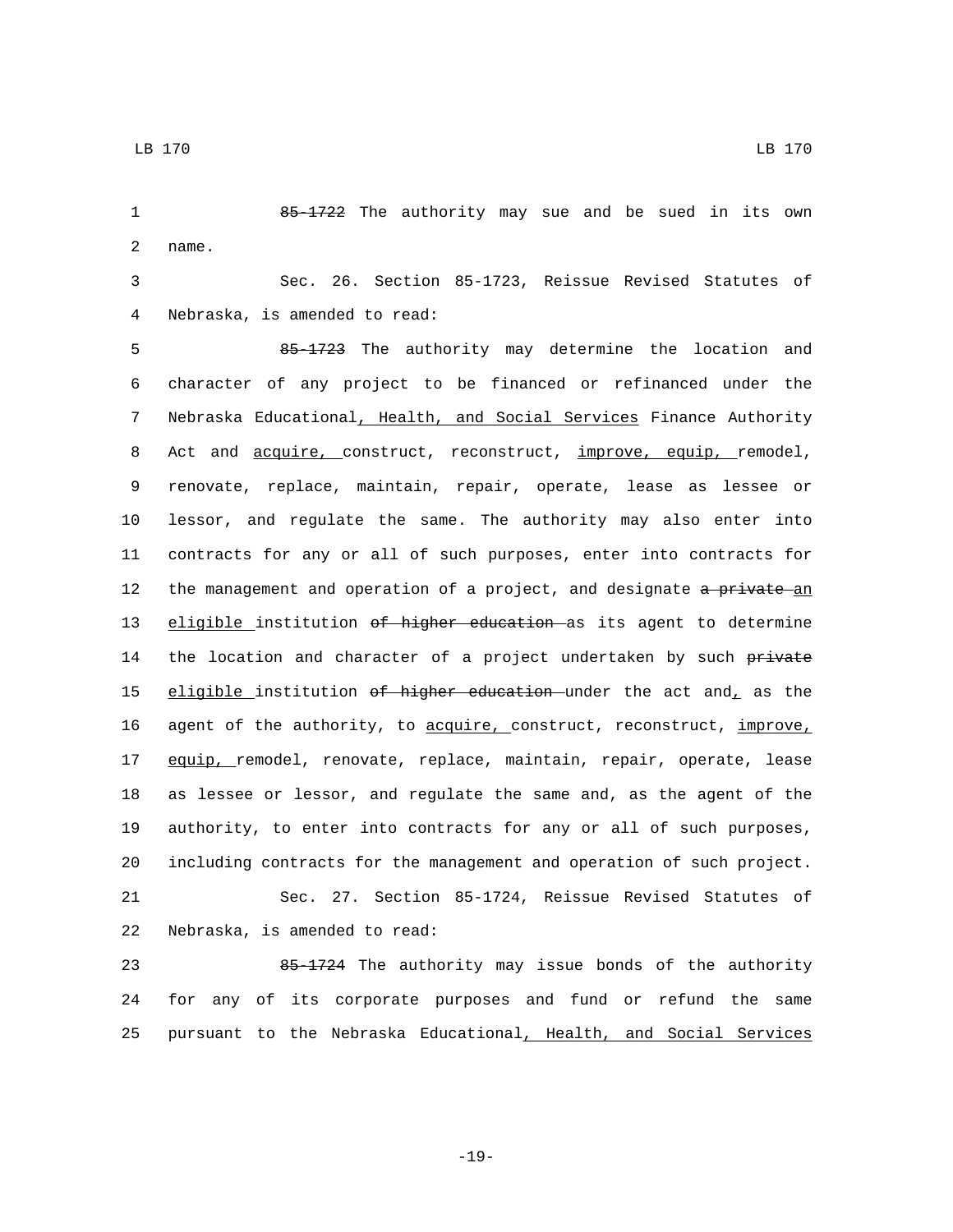2 name.

1 85-1722 The authority may sue and be sued in its own

3 Sec. 26. Section 85-1723, Reissue Revised Statutes of Nebraska, is amended to read:4

5 85-1723 The authority may determine the location and 6 character of any project to be financed or refinanced under the 7 Nebraska Educational, Health, and Social Services Finance Authority 8 Act and <u>acquire, construct</u>, reconstruct, improve, equip, remodel, 9 renovate, replace, maintain, repair, operate, lease as lessee or 10 lessor, and regulate the same. The authority may also enter into 11 contracts for any or all of such purposes, enter into contracts for 12 the management and operation of a project, and designate a private an 13 eligible institution of higher education as its agent to determine 14 the location and character of a project undertaken by such private 15 eligible institution of higher education under the act and, as the 16 agent of the authority, to acquire, construct, reconstruct, improve, 17 equip, remodel, renovate, replace, maintain, repair, operate, lease 18 as lessee or lessor, and regulate the same and, as the agent of the 19 authority, to enter into contracts for any or all of such purposes, 20 including contracts for the management and operation of such project. 21 Sec. 27. Section 85-1724, Reissue Revised Statutes of 22 Nebraska, is amended to read:

23 85-1724 The authority may issue bonds of the authority 24 for any of its corporate purposes and fund or refund the same 25 pursuant to the Nebraska Educational, Health, and Social Services

LB 170 LB 170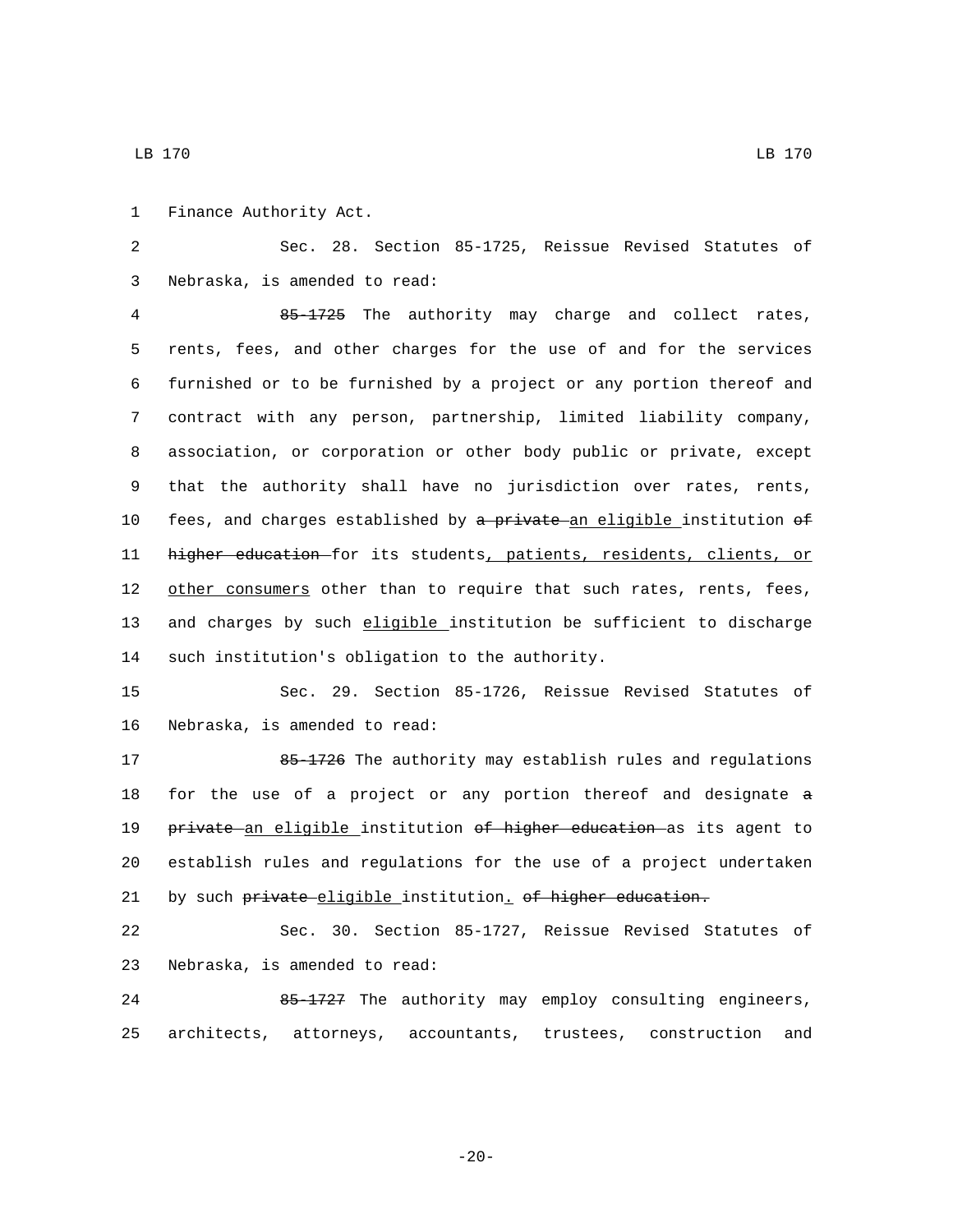1 Finance Authority Act.

2 Sec. 28. Section 85-1725, Reissue Revised Statutes of 3 Nebraska, is amended to read:

4 85-1725 The authority may charge and collect rates, 5 rents, fees, and other charges for the use of and for the services 6 furnished or to be furnished by a project or any portion thereof and 7 contract with any person, partnership, limited liability company, 8 association, or corporation or other body public or private, except 9 that the authority shall have no jurisdiction over rates, rents, 10 fees, and charges established by a private an eligible institution of 11 higher education for its students, patients, residents, clients, or 12 other consumers other than to require that such rates, rents, fees, 13 and charges by such eligible institution be sufficient to discharge 14 such institution's obligation to the authority.

15 Sec. 29. Section 85-1726, Reissue Revised Statutes of 16 Nebraska, is amended to read:

17 85-1726 The authority may establish rules and regulations 18 for the use of a project or any portion thereof and designate a 19 private an eligible institution of higher education as its agent to 20 establish rules and regulations for the use of a project undertaken 21 by such private-eligible institution. of higher education.

22 Sec. 30. Section 85-1727, Reissue Revised Statutes of 23 Nebraska, is amended to read:

24 85-1727 The authority may employ consulting engineers, 25 architects, attorneys, accountants, trustees, construction and

LB 170 LB 170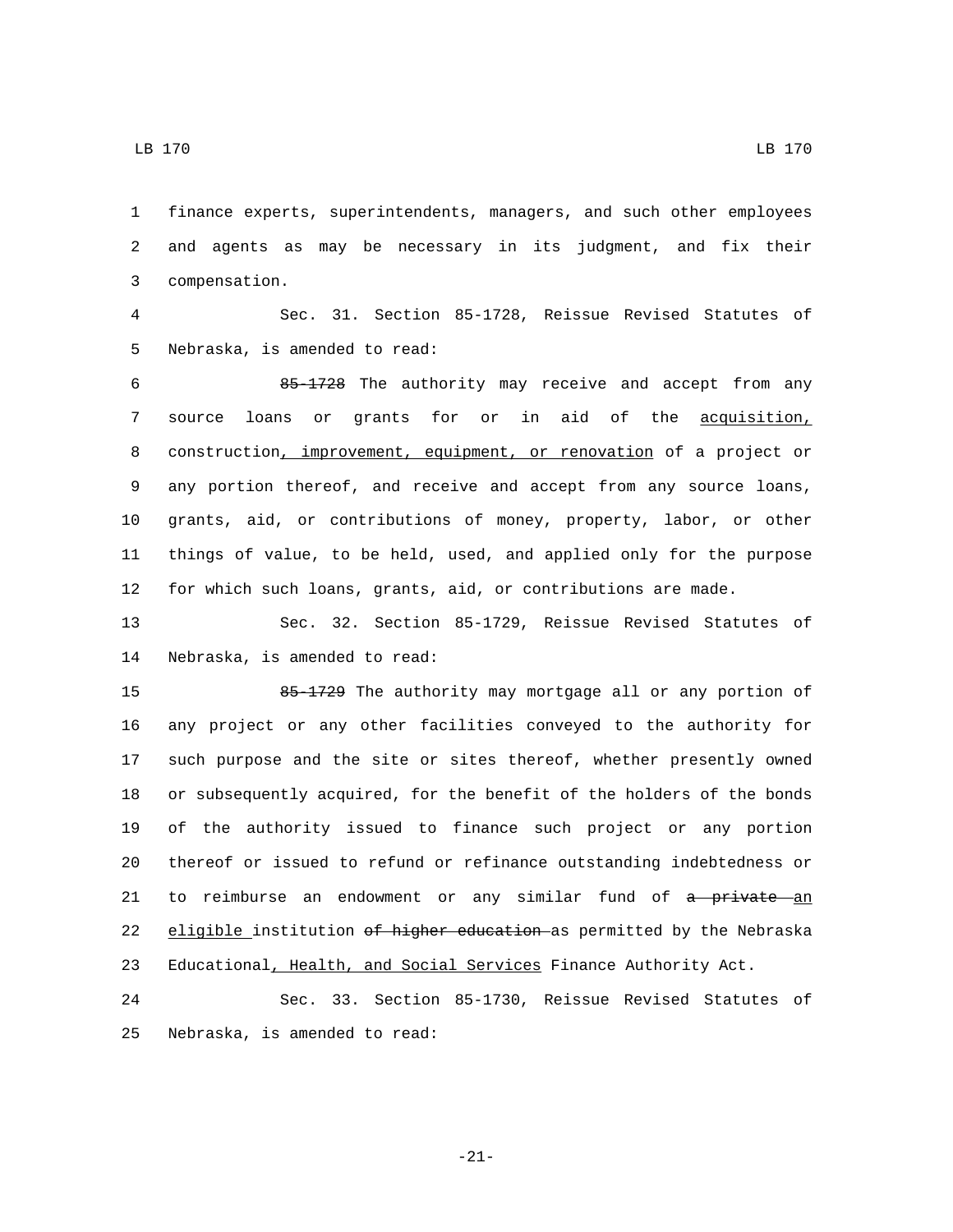LB 170 LB 170

 finance experts, superintendents, managers, and such other employees and agents as may be necessary in its judgment, and fix their compensation.3

 Sec. 31. Section 85-1728, Reissue Revised Statutes of 5 Nebraska, is amended to read:

 85-1728 The authority may receive and accept from any source loans or grants for or in aid of the acquisition, construction, improvement, equipment, or renovation of a project or any portion thereof, and receive and accept from any source loans, grants, aid, or contributions of money, property, labor, or other things of value, to be held, used, and applied only for the purpose for which such loans, grants, aid, or contributions are made.

 Sec. 32. Section 85-1729, Reissue Revised Statutes of 14 Nebraska, is amended to read:

15 85-1729 The authority may mortgage all or any portion of any project or any other facilities conveyed to the authority for such purpose and the site or sites thereof, whether presently owned or subsequently acquired, for the benefit of the holders of the bonds of the authority issued to finance such project or any portion thereof or issued to refund or refinance outstanding indebtedness or 21 to reimburse an endowment or any similar fund of a private an 22 eligible institution of higher education as permitted by the Nebraska 23 Educational, Health, and Social Services Finance Authority Act.

 Sec. 33. Section 85-1730, Reissue Revised Statutes of 25 Nebraska, is amended to read:

-21-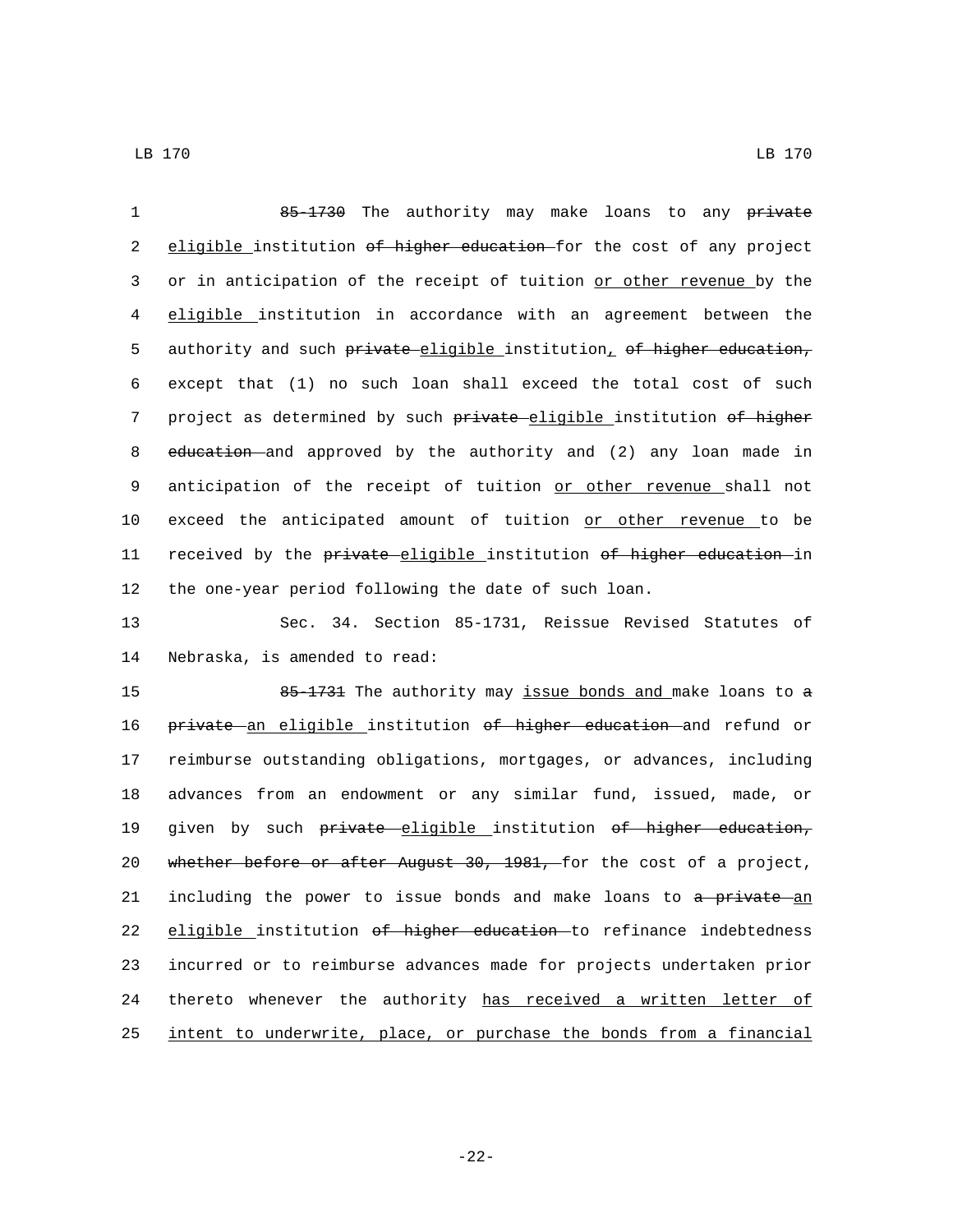| $\mathbf{1}$ | 85-1730 The authority may make loans to any private                   |
|--------------|-----------------------------------------------------------------------|
| 2            | eligible institution of higher education for the cost of any project  |
| 3            | or in anticipation of the receipt of tuition or other revenue by the  |
| 4            | eligible institution in accordance with an agreement between the      |
| 5            | authority and such private eligible institution, of higher education, |
| 6            | except that (1) no such loan shall exceed the total cost of such      |
| 7            | project as determined by such private-eligible institution of higher  |
| 8            | education and approved by the authority and (2) any loan made in      |
| 9            | anticipation of the receipt of tuition or other revenue shall not     |
| 10           | exceed the anticipated amount of tuition or other revenue to be       |
| 11           | received by the private eligible institution of higher education in   |
| 12           | the one-year period following the date of such loan.                  |
| 13           | Sec. 34. Section 85-1731, Reissue Revised Statutes of                 |
| 14           | Nebraska, is amended to read:                                         |

15 85-1731 The authority may issue bonds and make loans to a 16 private an eligible institution of higher education and refund or reimburse outstanding obligations, mortgages, or advances, including advances from an endowment or any similar fund, issued, made, or 19 given by such private eligible institution of higher education, whether before or after August 30, 1981, for the cost of a project, 21 including the power to issue bonds and make loans to a private an 22 eligible institution of higher education to refinance indebtedness incurred or to reimburse advances made for projects undertaken prior 24 thereto whenever the authority has received a written letter of intent to underwrite, place, or purchase the bonds from a financial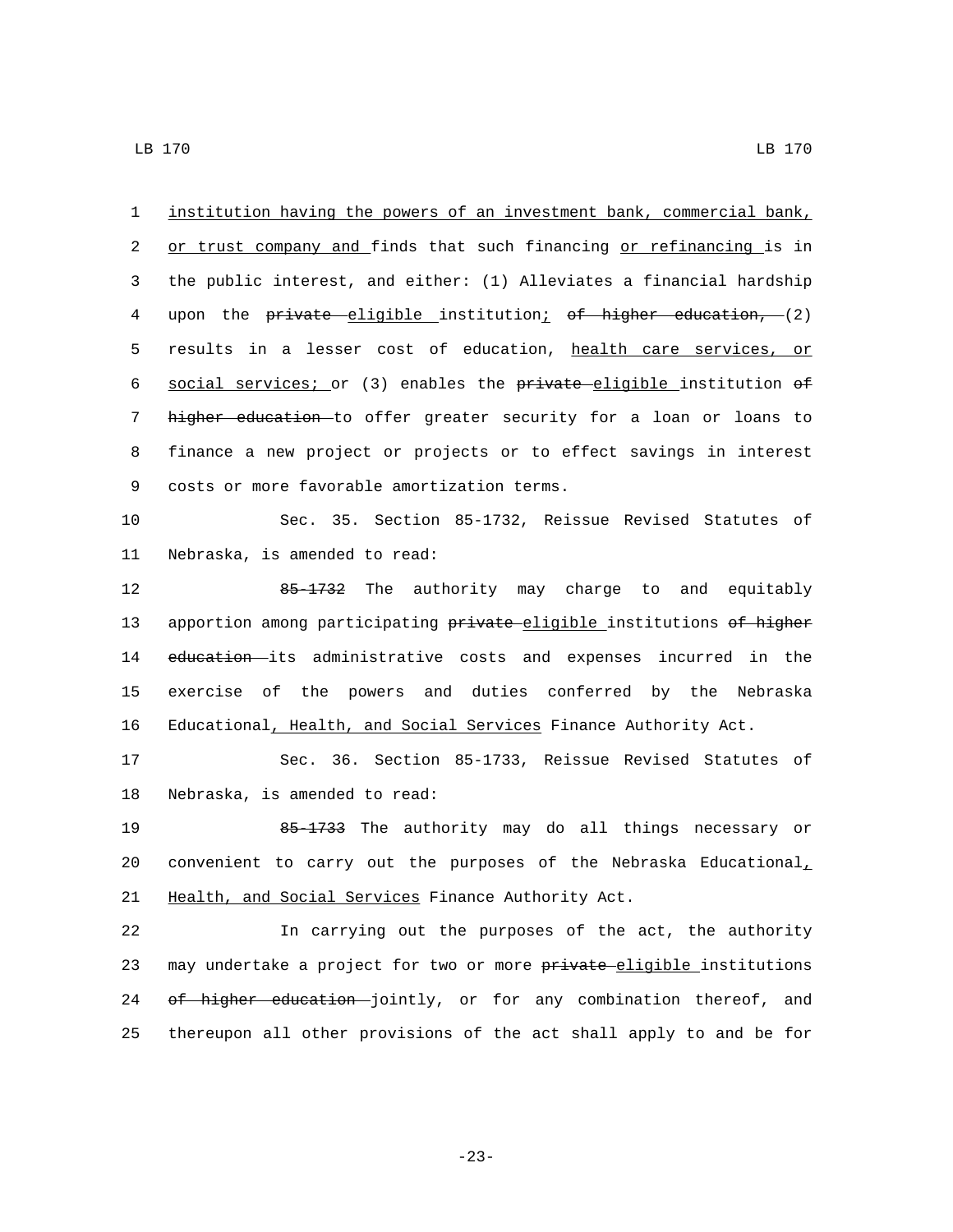1 institution having the powers of an investment bank, commercial bank, 2 or trust company and finds that such financing or refinancing is in 3 the public interest, and either: (1) Alleviates a financial hardship 4 upon the private eligible institution; of higher education, (2) 5 results in a lesser cost of education, health care services, or 6 social services; or (3) enables the private eligible institution of 7 higher education to offer greater security for a loan or loans to 8 finance a new project or projects or to effect savings in interest 9 costs or more favorable amortization terms.

10 Sec. 35. Section 85-1732, Reissue Revised Statutes of 11 Nebraska, is amended to read:

12 65-1732 The authority may charge to and equitably 13 apportion among participating private-eligible institutions of higher 14 education its administrative costs and expenses incurred in the 15 exercise of the powers and duties conferred by the Nebraska 16 Educational, Health, and Social Services Finance Authority Act.

17 Sec. 36. Section 85-1733, Reissue Revised Statutes of 18 Nebraska, is amended to read:

19 85-1733 The authority may do all things necessary or 20 convenient to carry out the purposes of the Nebraska Educational<sub> $<sub>L</sub>$ </sub></sub> 21 Health, and Social Services Finance Authority Act.

22 In carrying out the purposes of the act, the authority 23 may undertake a project for two or more private eligible institutions 24 of higher education jointly, or for any combination thereof, and 25 thereupon all other provisions of the act shall apply to and be for

-23-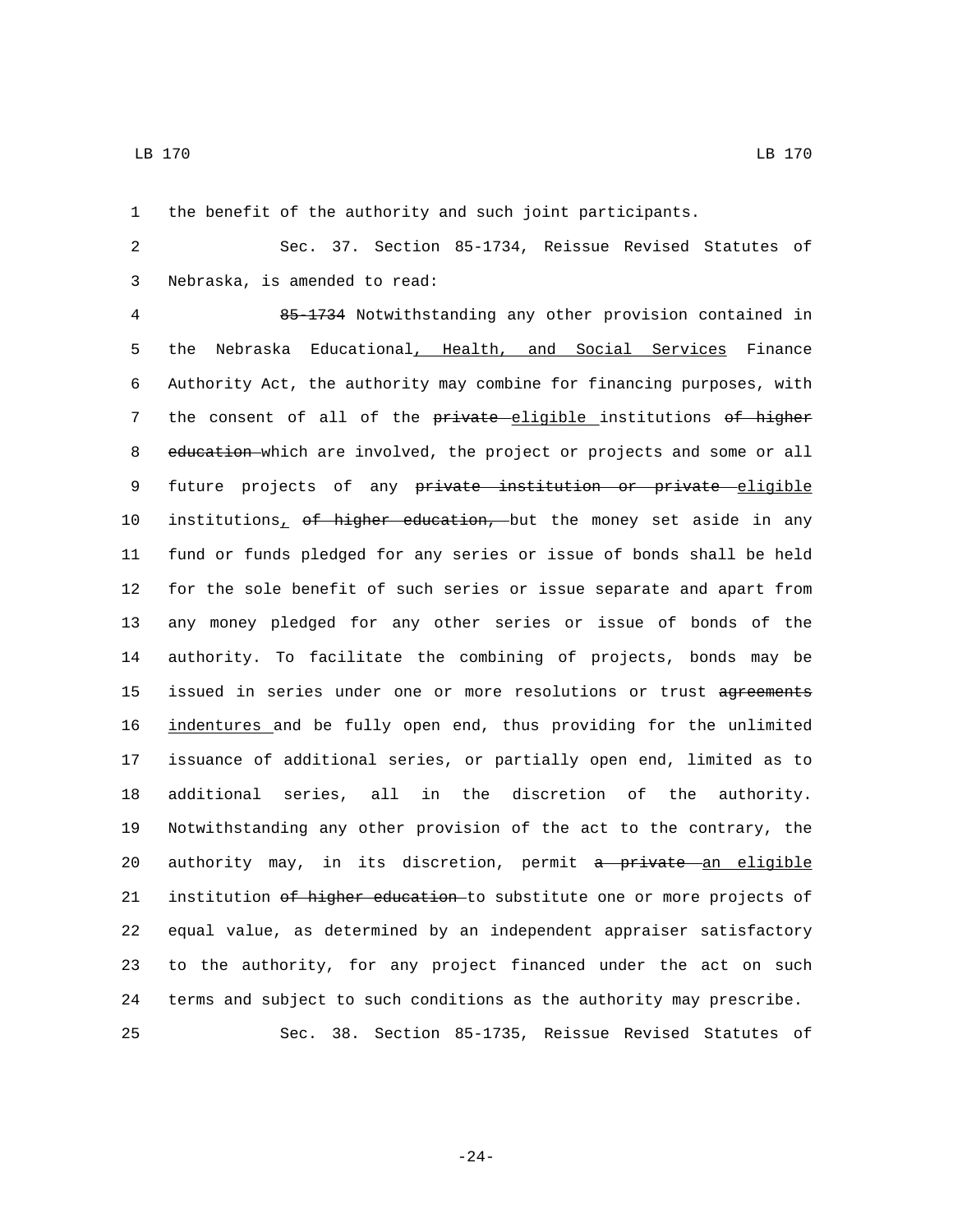the benefit of the authority and such joint participants.

 Sec. 37. Section 85-1734, Reissue Revised Statutes of Nebraska, is amended to read:3

 85-1734 Notwithstanding any other provision contained in the Nebraska Educational, Health, and Social Services Finance Authority Act, the authority may combine for financing purposes, with 7 the consent of all of the private eligible institutions of higher 8 education which are involved, the project or projects and some or all 9 future projects of any private institution or private eligible 10 institutions, of higher education, but the money set aside in any fund or funds pledged for any series or issue of bonds shall be held for the sole benefit of such series or issue separate and apart from any money pledged for any other series or issue of bonds of the authority. To facilitate the combining of projects, bonds may be 15 issued in series under one or more resolutions or trust agreements indentures and be fully open end, thus providing for the unlimited issuance of additional series, or partially open end, limited as to additional series, all in the discretion of the authority. Notwithstanding any other provision of the act to the contrary, the 20 authority may, in its discretion, permit a private an eligible 21 institution of higher education to substitute one or more projects of equal value, as determined by an independent appraiser satisfactory to the authority, for any project financed under the act on such terms and subject to such conditions as the authority may prescribe. Sec. 38. Section 85-1735, Reissue Revised Statutes of

-24-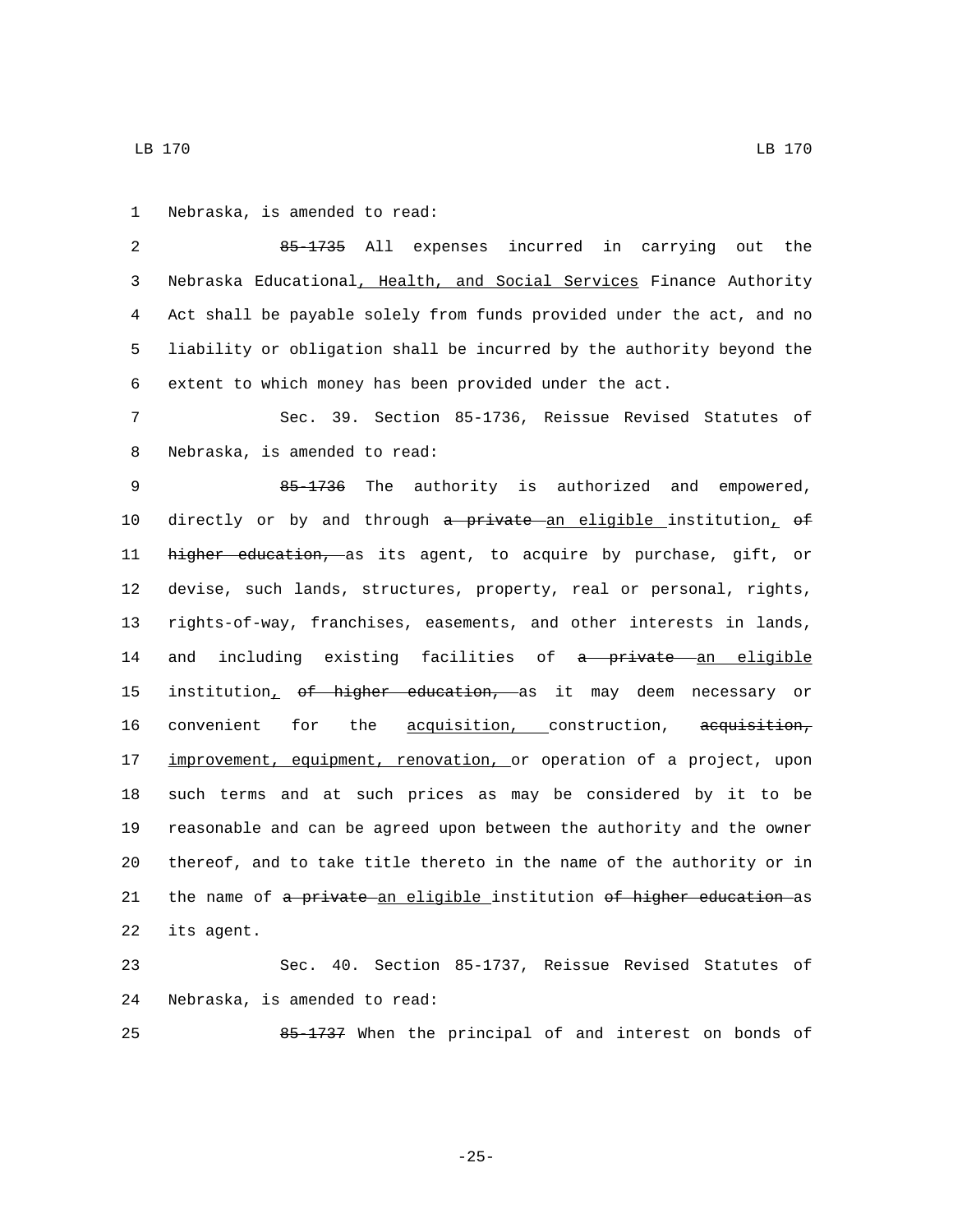1 Nebraska, is amended to read:

 85-1735 All expenses incurred in carrying out the Nebraska Educational, Health, and Social Services Finance Authority Act shall be payable solely from funds provided under the act, and no liability or obligation shall be incurred by the authority beyond the extent to which money has been provided under the act.

7 Sec. 39. Section 85-1736, Reissue Revised Statutes of 8 Nebraska, is amended to read:

9 85-1736 The authority is authorized and empowered, 10 directly or by and through a private an eligible institution,  $\theta$ f 11 higher education, as its agent, to acquire by purchase, gift, or 12 devise, such lands, structures, property, real or personal, rights, 13 rights-of-way, franchises, easements, and other interests in lands, 14 and including existing facilities of a private an eligible 15 institution<sub>1</sub> of higher education, as it may deem necessary or 16 convenient for the acquisition, construction, acquisition, 17 improvement, equipment, renovation, or operation of a project, upon 18 such terms and at such prices as may be considered by it to be 19 reasonable and can be agreed upon between the authority and the owner 20 thereof, and to take title thereto in the name of the authority or in 21 the name of a private an eligible institution of higher education as 22 its agent.

23 Sec. 40. Section 85-1737, Reissue Revised Statutes of 24 Nebraska, is amended to read:

25 85-1737 When the principal of and interest on bonds of

-25-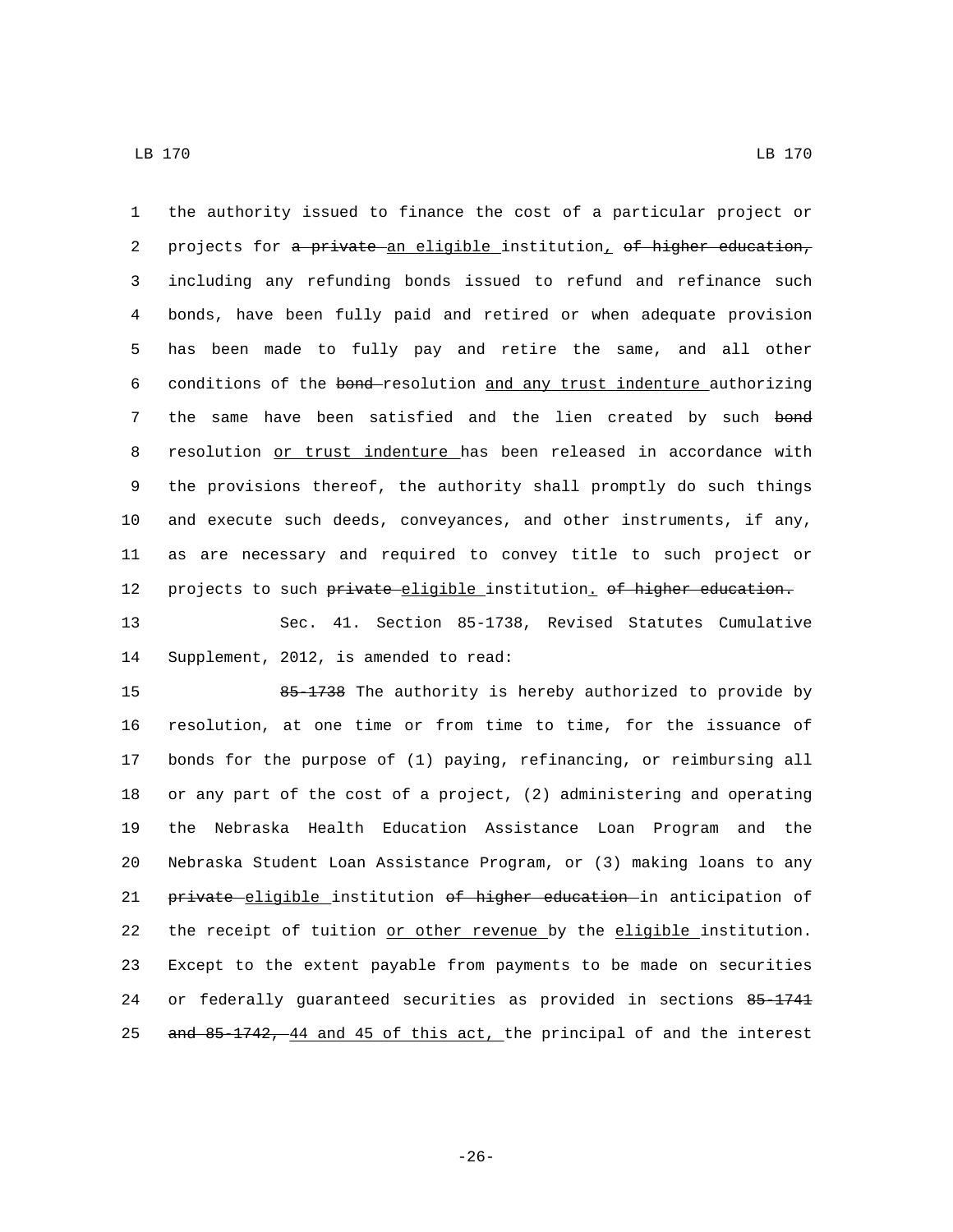the authority issued to finance the cost of a particular project or 2 projects for a private an eligible institution, of higher education, including any refunding bonds issued to refund and refinance such bonds, have been fully paid and retired or when adequate provision has been made to fully pay and retire the same, and all other conditions of the bond resolution and any trust indenture authorizing 7 the same have been satisfied and the lien created by such bond 8 resolution or trust indenture has been released in accordance with the provisions thereof, the authority shall promptly do such things and execute such deeds, conveyances, and other instruments, if any, as are necessary and required to convey title to such project or 12 projects to such private-eligible institution. of higher education.

 Sec. 41. Section 85-1738, Revised Statutes Cumulative 14 Supplement, 2012, is amended to read:

 85-1738 The authority is hereby authorized to provide by resolution, at one time or from time to time, for the issuance of bonds for the purpose of (1) paying, refinancing, or reimbursing all or any part of the cost of a project, (2) administering and operating the Nebraska Health Education Assistance Loan Program and the Nebraska Student Loan Assistance Program, or (3) making loans to any 21 private eligible institution of higher education in anticipation of the receipt of tuition or other revenue by the eligible institution. Except to the extent payable from payments to be made on securities 24 or federally guaranteed securities as provided in sections 85 1741 25 and 85-1742, 44 and 45 of this act, the principal of and the interest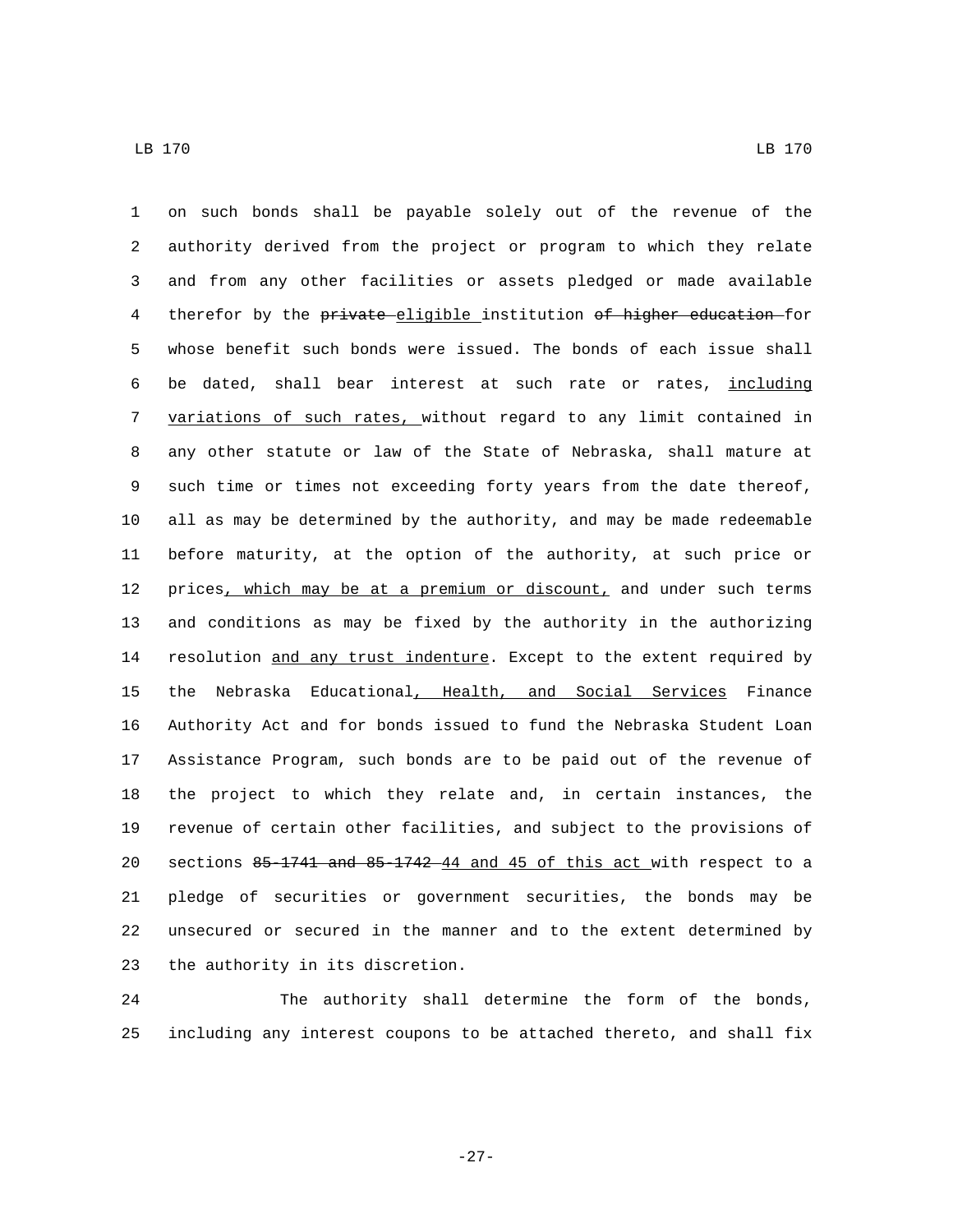on such bonds shall be payable solely out of the revenue of the authority derived from the project or program to which they relate and from any other facilities or assets pledged or made available 4 therefor by the private eligible institution of higher education for whose benefit such bonds were issued. The bonds of each issue shall 6 be dated, shall bear interest at such rate or rates, including variations of such rates, without regard to any limit contained in any other statute or law of the State of Nebraska, shall mature at such time or times not exceeding forty years from the date thereof, all as may be determined by the authority, and may be made redeemable before maturity, at the option of the authority, at such price or 12 prices, which may be at a premium or discount, and under such terms and conditions as may be fixed by the authority in the authorizing 14 resolution and any trust indenture. Except to the extent required by the Nebraska Educational, Health, and Social Services Finance Authority Act and for bonds issued to fund the Nebraska Student Loan Assistance Program, such bonds are to be paid out of the revenue of the project to which they relate and, in certain instances, the revenue of certain other facilities, and subject to the provisions of sections 85-1741 and 85-1742 44 and 45 of this act with respect to a pledge of securities or government securities, the bonds may be unsecured or secured in the manner and to the extent determined by 23 the authority in its discretion.

 The authority shall determine the form of the bonds, including any interest coupons to be attached thereto, and shall fix

-27-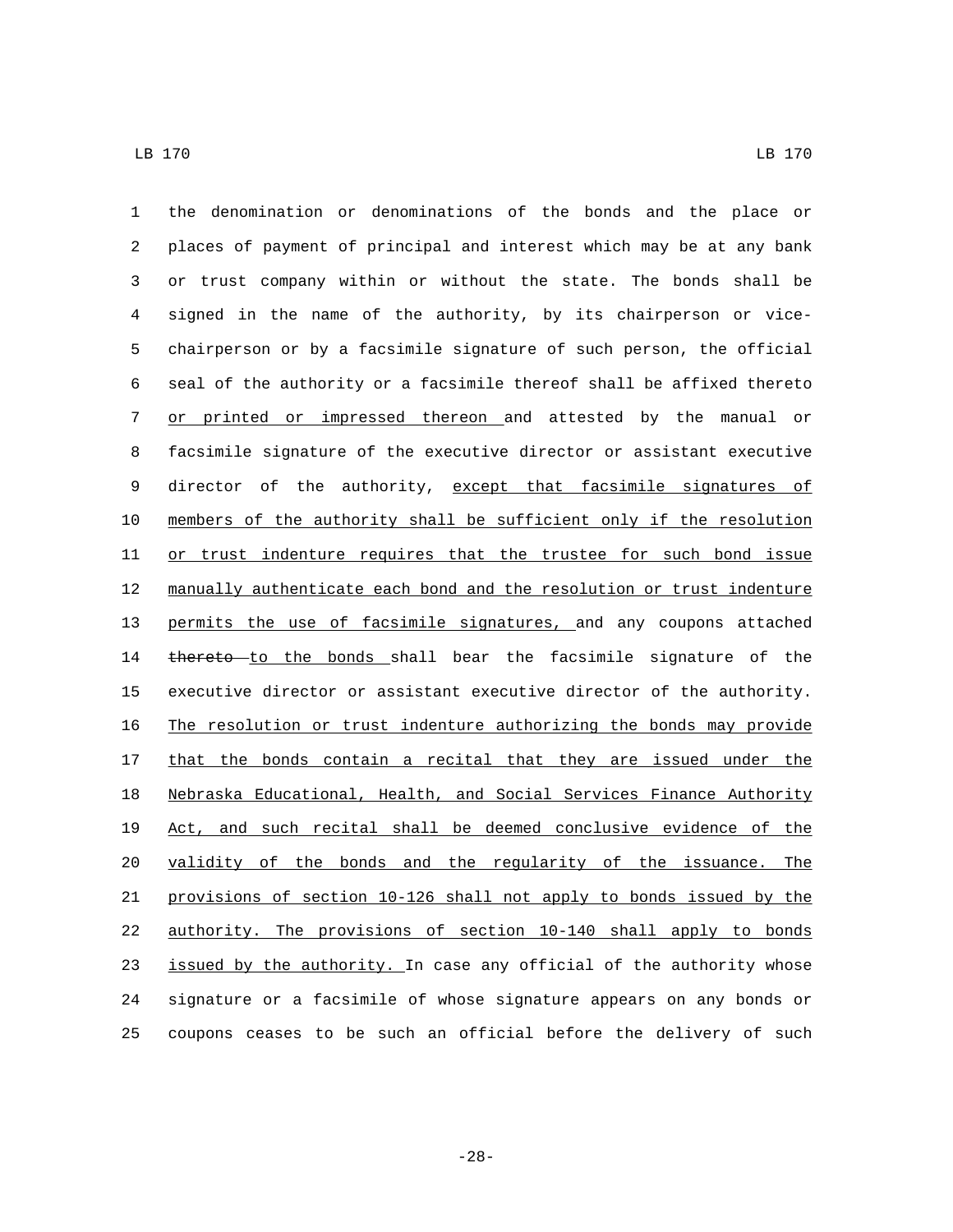the denomination or denominations of the bonds and the place or places of payment of principal and interest which may be at any bank or trust company within or without the state. The bonds shall be signed in the name of the authority, by its chairperson or vice- chairperson or by a facsimile signature of such person, the official seal of the authority or a facsimile thereof shall be affixed thereto or printed or impressed thereon and attested by the manual or facsimile signature of the executive director or assistant executive 9 director of the authority, except that facsimile signatures of members of the authority shall be sufficient only if the resolution 11 or trust indenture requires that the trustee for such bond issue manually authenticate each bond and the resolution or trust indenture permits the use of facsimile signatures, and any coupons attached 14 thereto to the bonds shall bear the facsimile signature of the executive director or assistant executive director of the authority. The resolution or trust indenture authorizing the bonds may provide 17 that the bonds contain a recital that they are issued under the Nebraska Educational, Health, and Social Services Finance Authority Act, and such recital shall be deemed conclusive evidence of the validity of the bonds and the regularity of the issuance. The provisions of section 10-126 shall not apply to bonds issued by the authority. The provisions of section 10-140 shall apply to bonds 23 issued by the authority. In case any official of the authority whose signature or a facsimile of whose signature appears on any bonds or coupons ceases to be such an official before the delivery of such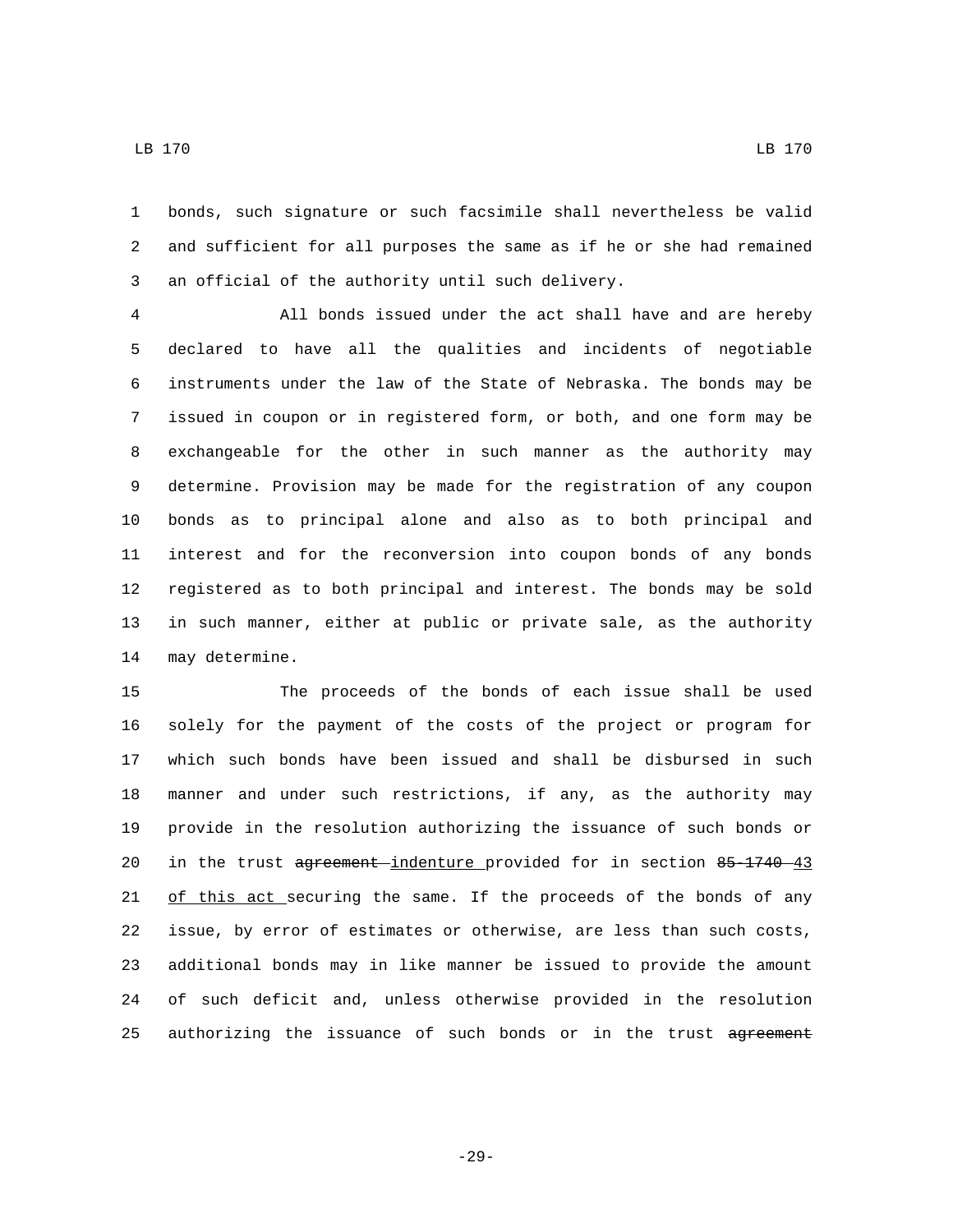bonds, such signature or such facsimile shall nevertheless be valid

 and sufficient for all purposes the same as if he or she had remained 3 an official of the authority until such delivery.

 All bonds issued under the act shall have and are hereby declared to have all the qualities and incidents of negotiable instruments under the law of the State of Nebraska. The bonds may be issued in coupon or in registered form, or both, and one form may be exchangeable for the other in such manner as the authority may determine. Provision may be made for the registration of any coupon bonds as to principal alone and also as to both principal and interest and for the reconversion into coupon bonds of any bonds registered as to both principal and interest. The bonds may be sold in such manner, either at public or private sale, as the authority 14 may determine.

 The proceeds of the bonds of each issue shall be used solely for the payment of the costs of the project or program for which such bonds have been issued and shall be disbursed in such manner and under such restrictions, if any, as the authority may provide in the resolution authorizing the issuance of such bonds or 20 in the trust agreement indenture provided for in section 85-1740 43 21 of this act securing the same. If the proceeds of the bonds of any issue, by error of estimates or otherwise, are less than such costs, additional bonds may in like manner be issued to provide the amount of such deficit and, unless otherwise provided in the resolution 25 authorizing the issuance of such bonds or in the trust agreement

LB 170 LB 170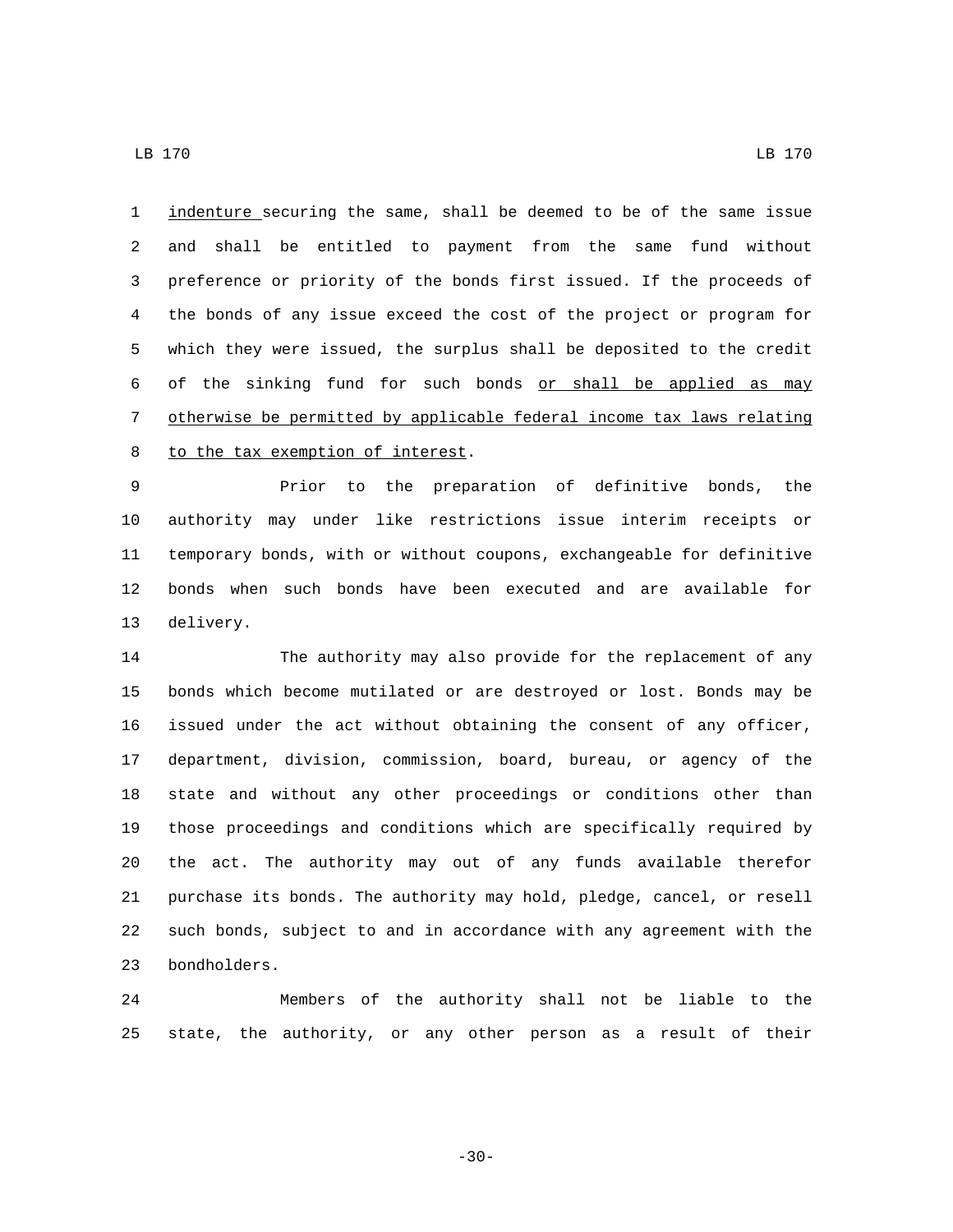indenture securing the same, shall be deemed to be of the same issue and shall be entitled to payment from the same fund without preference or priority of the bonds first issued. If the proceeds of the bonds of any issue exceed the cost of the project or program for which they were issued, the surplus shall be deposited to the credit 6 of the sinking fund for such bonds or shall be applied as may otherwise be permitted by applicable federal income tax laws relating 8 to the tax exemption of interest.

 Prior to the preparation of definitive bonds, the authority may under like restrictions issue interim receipts or temporary bonds, with or without coupons, exchangeable for definitive bonds when such bonds have been executed and are available for 13 delivery.

 The authority may also provide for the replacement of any bonds which become mutilated or are destroyed or lost. Bonds may be issued under the act without obtaining the consent of any officer, department, division, commission, board, bureau, or agency of the state and without any other proceedings or conditions other than those proceedings and conditions which are specifically required by the act. The authority may out of any funds available therefor purchase its bonds. The authority may hold, pledge, cancel, or resell such bonds, subject to and in accordance with any agreement with the 23 bondholders.

 Members of the authority shall not be liable to the state, the authority, or any other person as a result of their

-30-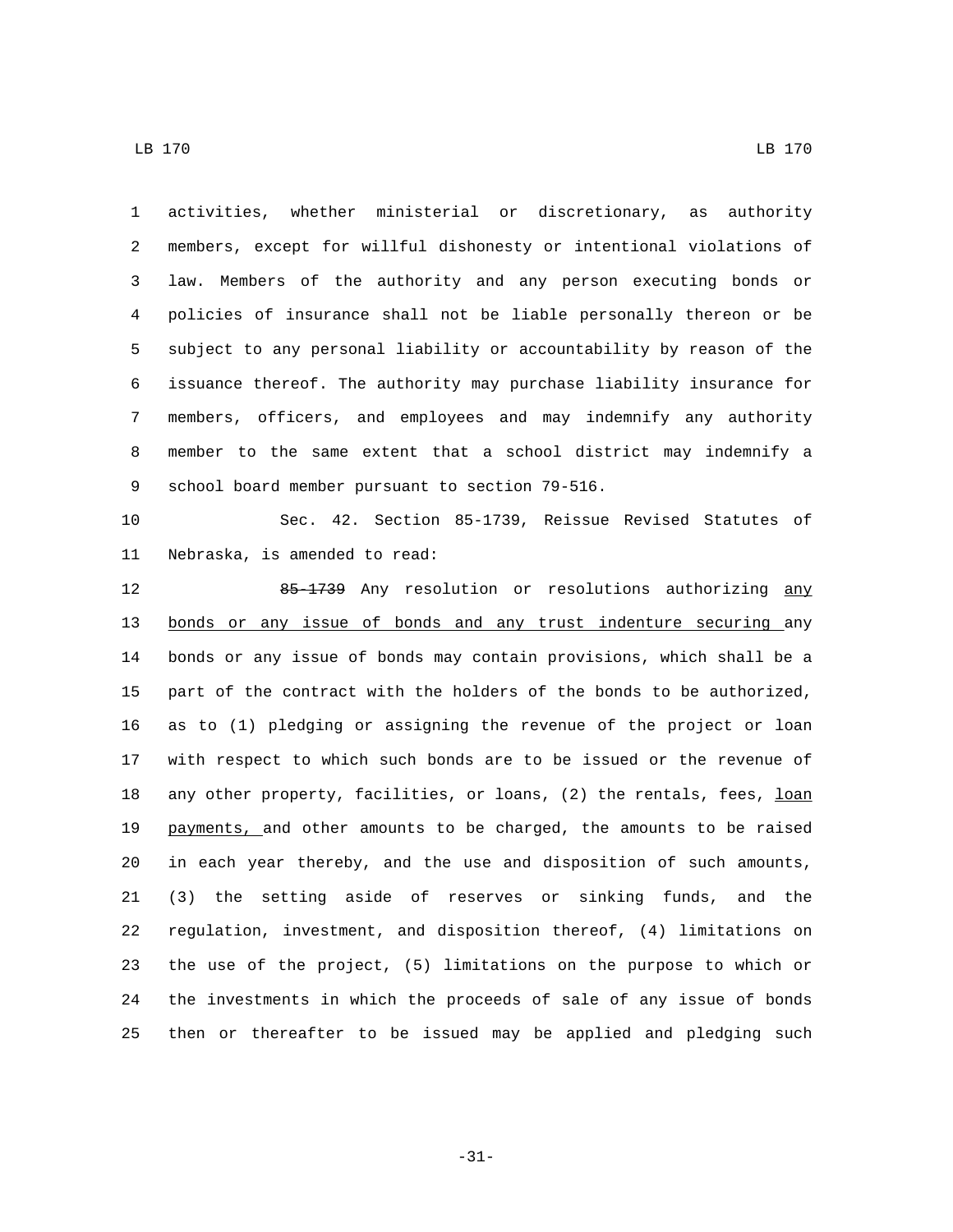activities, whether ministerial or discretionary, as authority members, except for willful dishonesty or intentional violations of law. Members of the authority and any person executing bonds or policies of insurance shall not be liable personally thereon or be subject to any personal liability or accountability by reason of the issuance thereof. The authority may purchase liability insurance for members, officers, and employees and may indemnify any authority member to the same extent that a school district may indemnify a 9 school board member pursuant to section 79-516. Sec. 42. Section 85-1739, Reissue Revised Statutes of 11 Nebraska, is amended to read: 12 85-1739 Any resolution or resolutions authorizing any bonds or any issue of bonds and any trust indenture securing any bonds or any issue of bonds may contain provisions, which shall be a part of the contract with the holders of the bonds to be authorized, as to (1) pledging or assigning the revenue of the project or loan with respect to which such bonds are to be issued or the revenue of 18 any other property, facilities, or loans, (2) the rentals, fees, loan payments, and other amounts to be charged, the amounts to be raised in each year thereby, and the use and disposition of such amounts, (3) the setting aside of reserves or sinking funds, and the regulation, investment, and disposition thereof, (4) limitations on the use of the project, (5) limitations on the purpose to which or the investments in which the proceeds of sale of any issue of bonds

LB 170 LB 170

-31-

then or thereafter to be issued may be applied and pledging such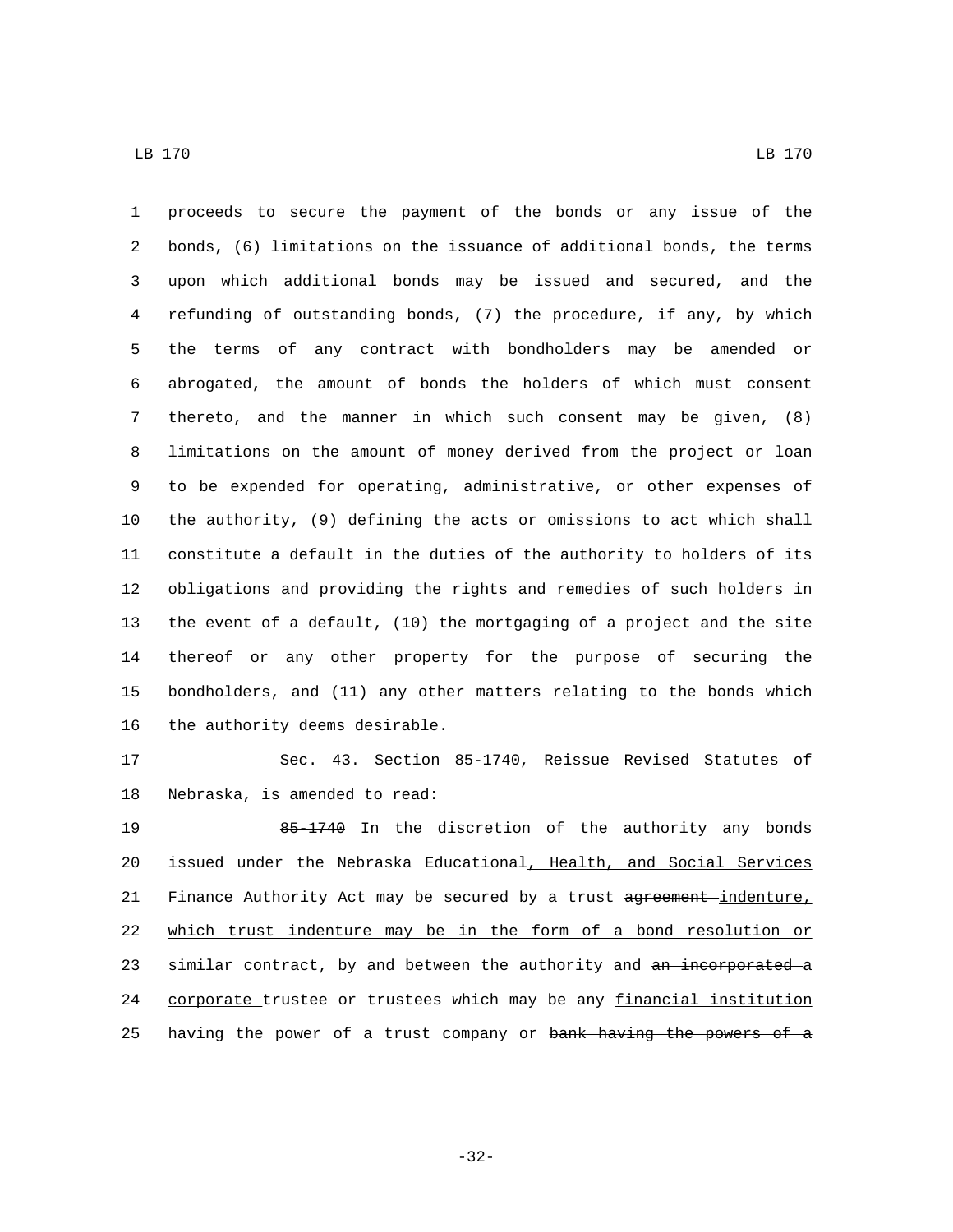proceeds to secure the payment of the bonds or any issue of the bonds, (6) limitations on the issuance of additional bonds, the terms upon which additional bonds may be issued and secured, and the refunding of outstanding bonds, (7) the procedure, if any, by which the terms of any contract with bondholders may be amended or abrogated, the amount of bonds the holders of which must consent thereto, and the manner in which such consent may be given, (8) limitations on the amount of money derived from the project or loan to be expended for operating, administrative, or other expenses of the authority, (9) defining the acts or omissions to act which shall constitute a default in the duties of the authority to holders of its obligations and providing the rights and remedies of such holders in the event of a default, (10) the mortgaging of a project and the site thereof or any other property for the purpose of securing the bondholders, and (11) any other matters relating to the bonds which 16 the authority deems desirable.

 Sec. 43. Section 85-1740, Reissue Revised Statutes of 18 Nebraska, is amended to read:

19 65-1740 In the discretion of the authority any bonds 20 issued under the Nebraska Educational, Health, and Social Services 21 Finance Authority Act may be secured by a trust agreement-indenture, which trust indenture may be in the form of a bond resolution or 23 similar contract, by and between the authority and an incorporated a 24 corporate trustee or trustees which may be any financial institution 25 having the power of a trust company or bank having the powers of a

-32-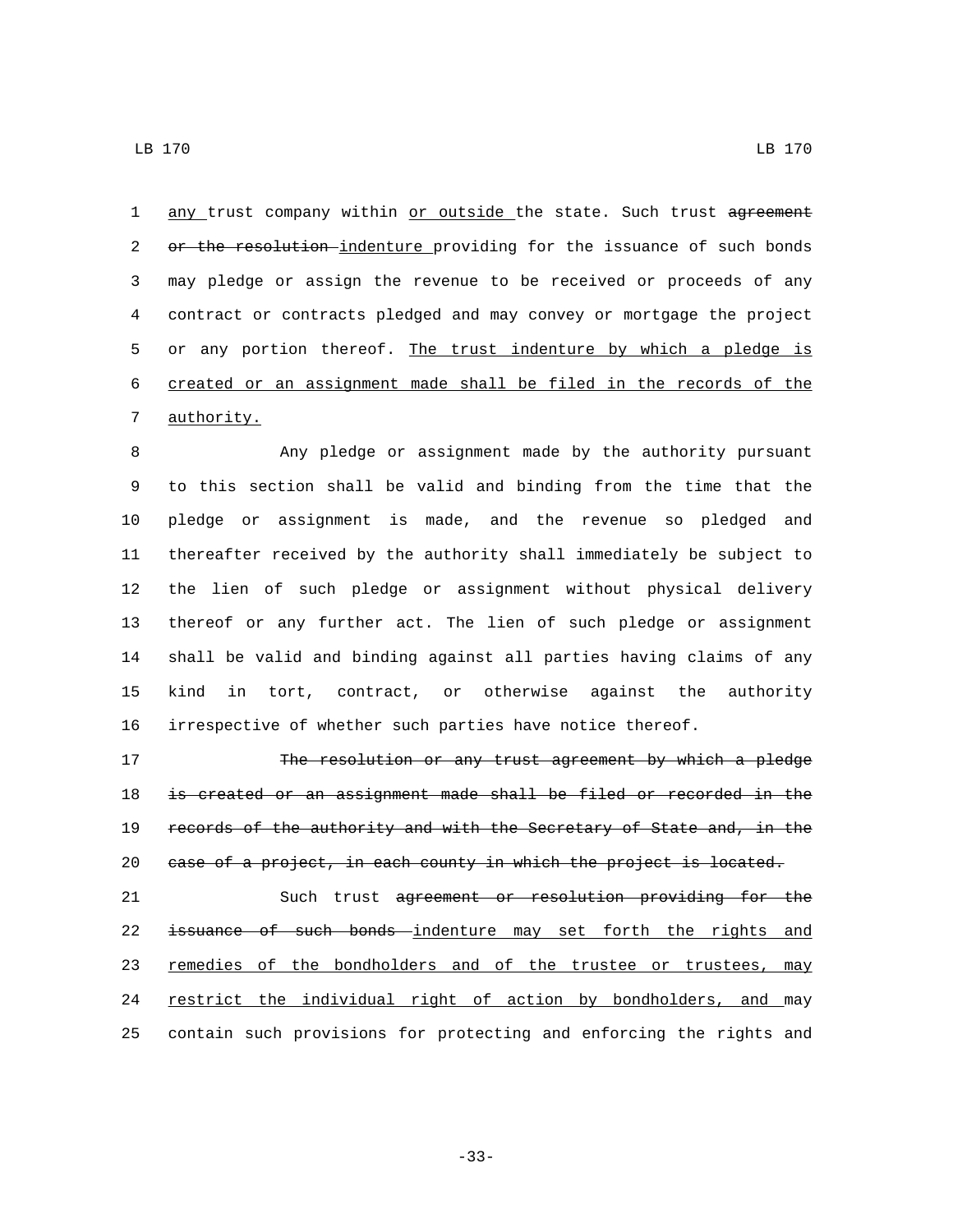LB 170 LB 170

1 any trust company within or outside the state. Such trust agreement 2 or the resolution-indenture providing for the issuance of such bonds may pledge or assign the revenue to be received or proceeds of any contract or contracts pledged and may convey or mortgage the project 5 or any portion thereof. The trust indenture by which a pledge is created or an assignment made shall be filed in the records of the 7 authority.

 Any pledge or assignment made by the authority pursuant to this section shall be valid and binding from the time that the pledge or assignment is made, and the revenue so pledged and thereafter received by the authority shall immediately be subject to the lien of such pledge or assignment without physical delivery thereof or any further act. The lien of such pledge or assignment shall be valid and binding against all parties having claims of any kind in tort, contract, or otherwise against the authority irrespective of whether such parties have notice thereof.

17 The resolution or any trust agreement by which a pledge is created or an assignment made shall be filed or recorded in the records of the authority and with the Secretary of State and, in the 20 case of a project, in each county in which the project is located.

 Such trust agreement or resolution providing for the issuance of such bonds indenture may set forth the rights and 23 remedies of the bondholders and of the trustee or trustees, may 24 restrict the individual right of action by bondholders, and may contain such provisions for protecting and enforcing the rights and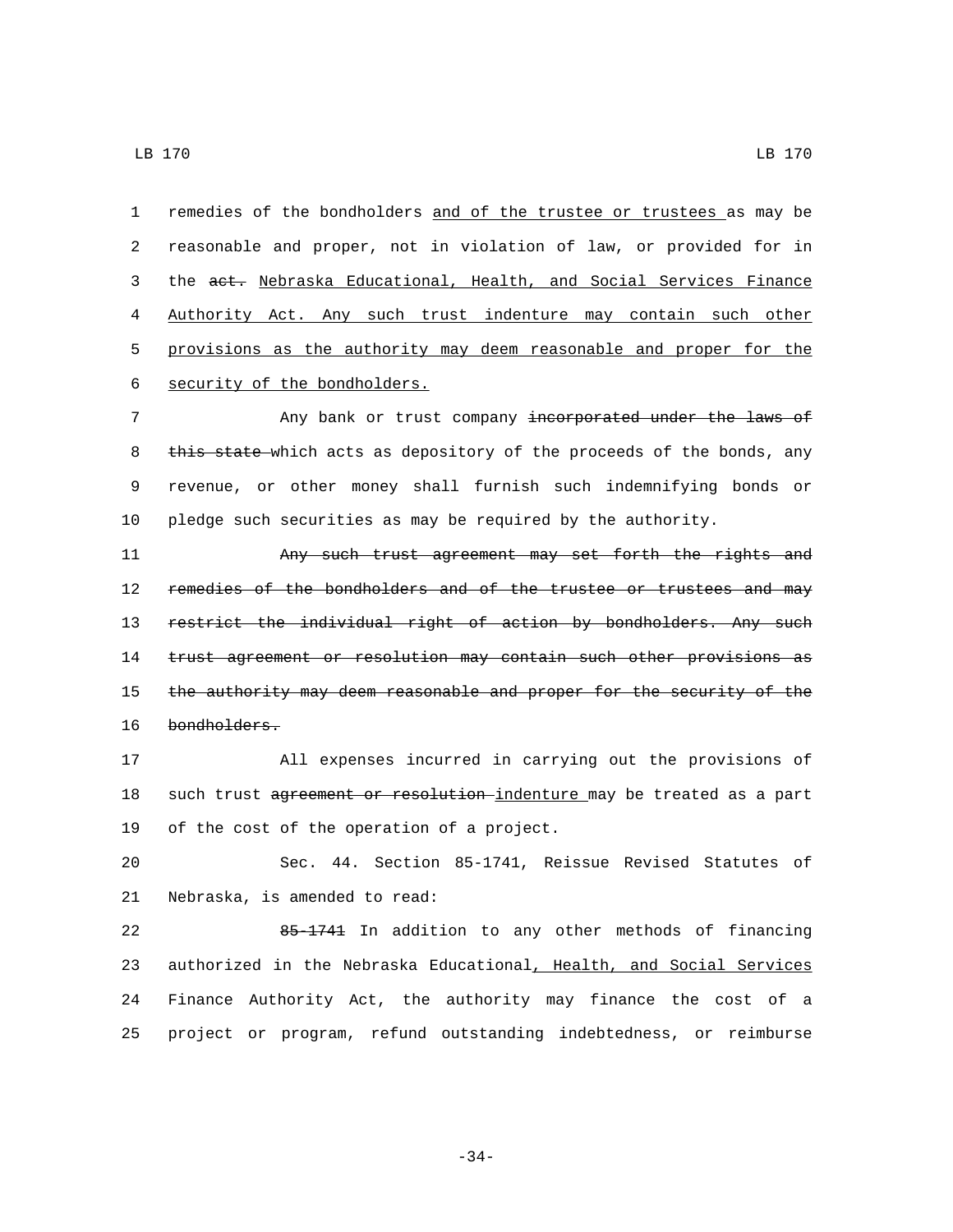remedies of the bondholders and of the trustee or trustees as may be reasonable and proper, not in violation of law, or provided for in the act. Nebraska Educational, Health, and Social Services Finance Authority Act. Any such trust indenture may contain such other provisions as the authority may deem reasonable and proper for the 6 security of the bondholders.

7 Any bank or trust company incorporated under the laws of 8 this state which acts as depository of the proceeds of the bonds, any 9 revenue, or other money shall furnish such indemnifying bonds or 10 pledge such securities as may be required by the authority.

11 Any such trust agreement may set forth the rights and 12 remedies of the bondholders and of the trustee or trustees and may 13 restrict the individual right of action by bondholders. Any such 14 trust agreement or resolution may contain such other provisions as 15 the authority may deem reasonable and proper for the security of the 16 bondholders.

17 All expenses incurred in carrying out the provisions of 18 such trust agreement or resolution indenture may be treated as a part 19 of the cost of the operation of a project.

20 Sec. 44. Section 85-1741, Reissue Revised Statutes of 21 Nebraska, is amended to read:

 85-1741 In addition to any other methods of financing 23 authorized in the Nebraska Educational, Health, and Social Services Finance Authority Act, the authority may finance the cost of a project or program, refund outstanding indebtedness, or reimburse

-34-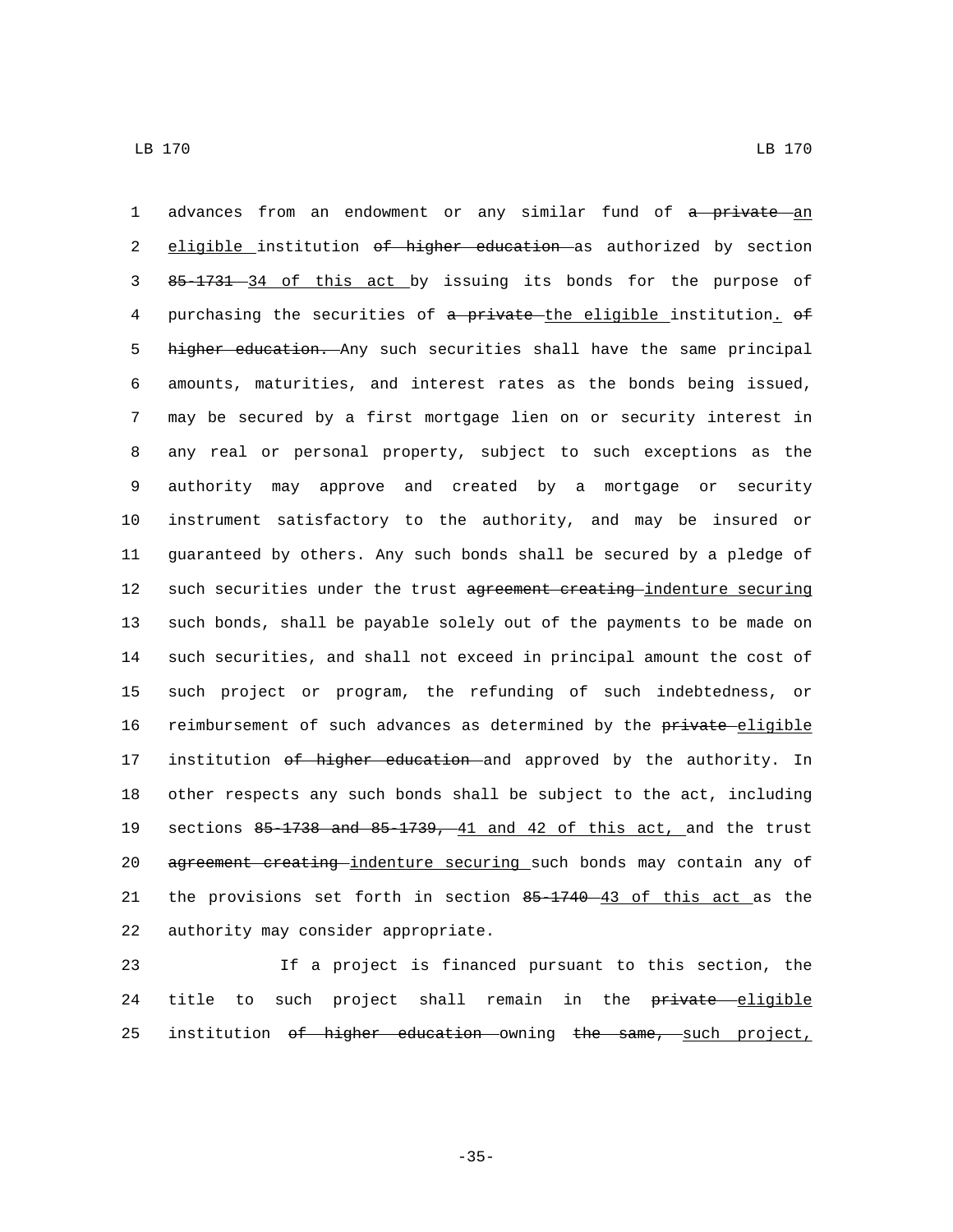1 advances from an endowment or any similar fund of a private an 2 eligible institution of higher education as authorized by section 3 85-1731 34 of this act by issuing its bonds for the purpose of 4 purchasing the securities of a private the eligible institution. of 5 higher education. Any such securities shall have the same principal 6 amounts, maturities, and interest rates as the bonds being issued, 7 may be secured by a first mortgage lien on or security interest in 8 any real or personal property, subject to such exceptions as the 9 authority may approve and created by a mortgage or security 10 instrument satisfactory to the authority, and may be insured or 11 guaranteed by others. Any such bonds shall be secured by a pledge of 12 such securities under the trust agreement creating-indenture securing 13 such bonds, shall be payable solely out of the payments to be made on 14 such securities, and shall not exceed in principal amount the cost of 15 such project or program, the refunding of such indebtedness, or 16 reimbursement of such advances as determined by the private eligible 17 institution of higher education and approved by the authority. In 18 other respects any such bonds shall be subject to the act, including 19 sections 85-1738 and 85-1739, 41 and 42 of this act, and the trust 20 agreement creating indenture securing such bonds may contain any of 21 the provisions set forth in section 85-1740 43 of this act as the 22 authority may consider appropriate.

23 If a project is financed pursuant to this section, the 24 title to such project shall remain in the private eligible 25 institution of higher education owning the same, such project,

-35-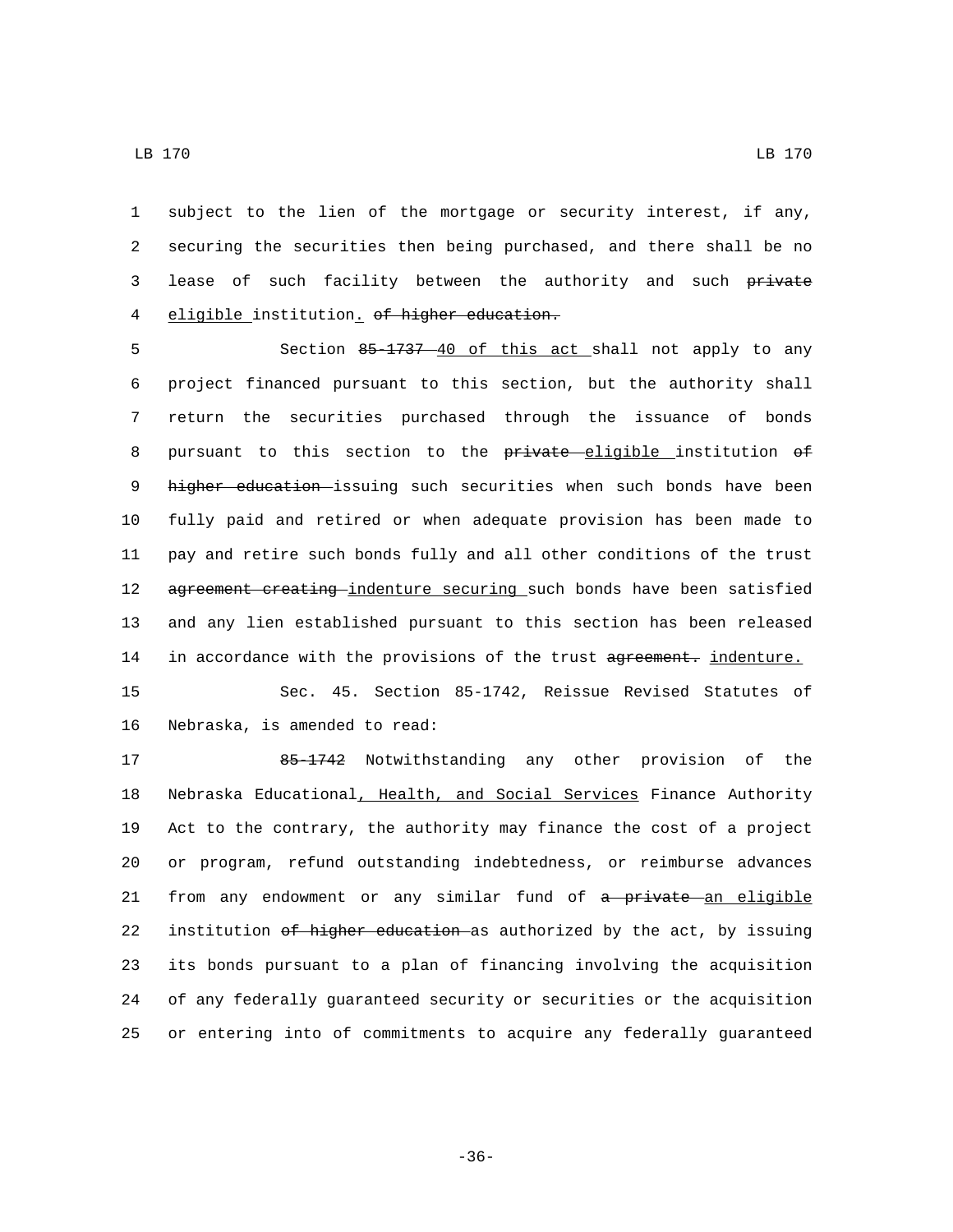1 subject to the lien of the mortgage or security interest, if any, 2 securing the securities then being purchased, and there shall be no 3 lease of such facility between the authority and such private

4 eligible institution. of higher education.

5 Section 85-1737 40 of this act shall not apply to any 6 project financed pursuant to this section, but the authority shall 7 return the securities purchased through the issuance of bonds 8 pursuant to this section to the private eligible institution of 9 higher education issuing such securities when such bonds have been 10 fully paid and retired or when adequate provision has been made to 11 pay and retire such bonds fully and all other conditions of the trust 12 agreement creating indenture securing such bonds have been satisfied 13 and any lien established pursuant to this section has been released 14 in accordance with the provisions of the trust agreement. indenture.

15 Sec. 45. Section 85-1742, Reissue Revised Statutes of 16 Nebraska, is amended to read:

 85-1742 Notwithstanding any other provision of the Nebraska Educational, Health, and Social Services Finance Authority Act to the contrary, the authority may finance the cost of a project or program, refund outstanding indebtedness, or reimburse advances 21 from any endowment or any similar fund of a private an eligible 22 institution of higher education as authorized by the act, by issuing its bonds pursuant to a plan of financing involving the acquisition of any federally guaranteed security or securities or the acquisition or entering into of commitments to acquire any federally guaranteed

-36-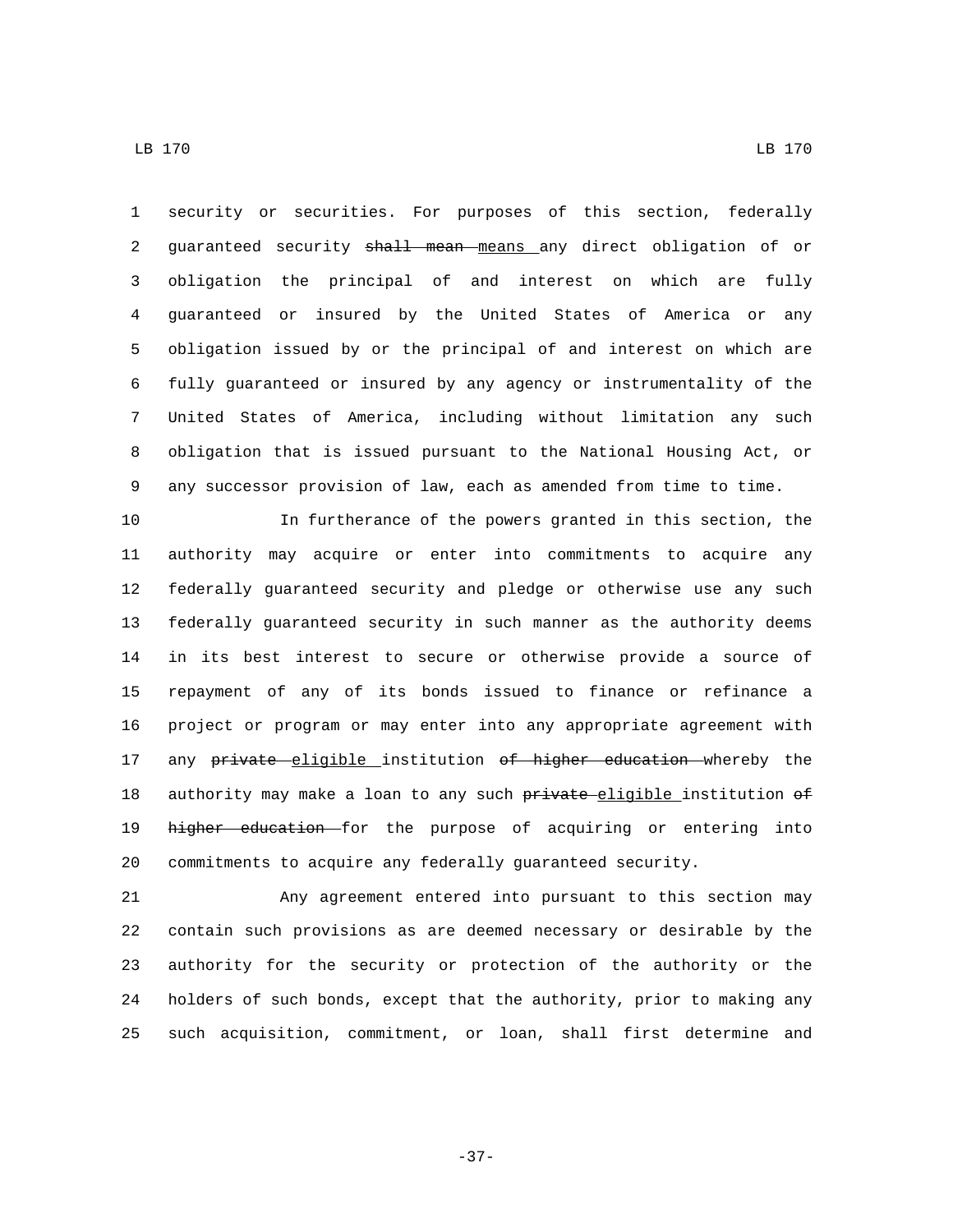security or securities. For purposes of this section, federally 2 guaranteed security shall mean means any direct obligation of or obligation the principal of and interest on which are fully guaranteed or insured by the United States of America or any obligation issued by or the principal of and interest on which are fully guaranteed or insured by any agency or instrumentality of the United States of America, including without limitation any such obligation that is issued pursuant to the National Housing Act, or any successor provision of law, each as amended from time to time.

 In furtherance of the powers granted in this section, the authority may acquire or enter into commitments to acquire any federally guaranteed security and pledge or otherwise use any such federally guaranteed security in such manner as the authority deems in its best interest to secure or otherwise provide a source of repayment of any of its bonds issued to finance or refinance a project or program or may enter into any appropriate agreement with 17 any private eligible institution of higher education whereby the 18 authority may make a loan to any such private eligible institution of 19 higher education for the purpose of acquiring or entering into commitments to acquire any federally guaranteed security.

 Any agreement entered into pursuant to this section may contain such provisions as are deemed necessary or desirable by the authority for the security or protection of the authority or the holders of such bonds, except that the authority, prior to making any such acquisition, commitment, or loan, shall first determine and

-37-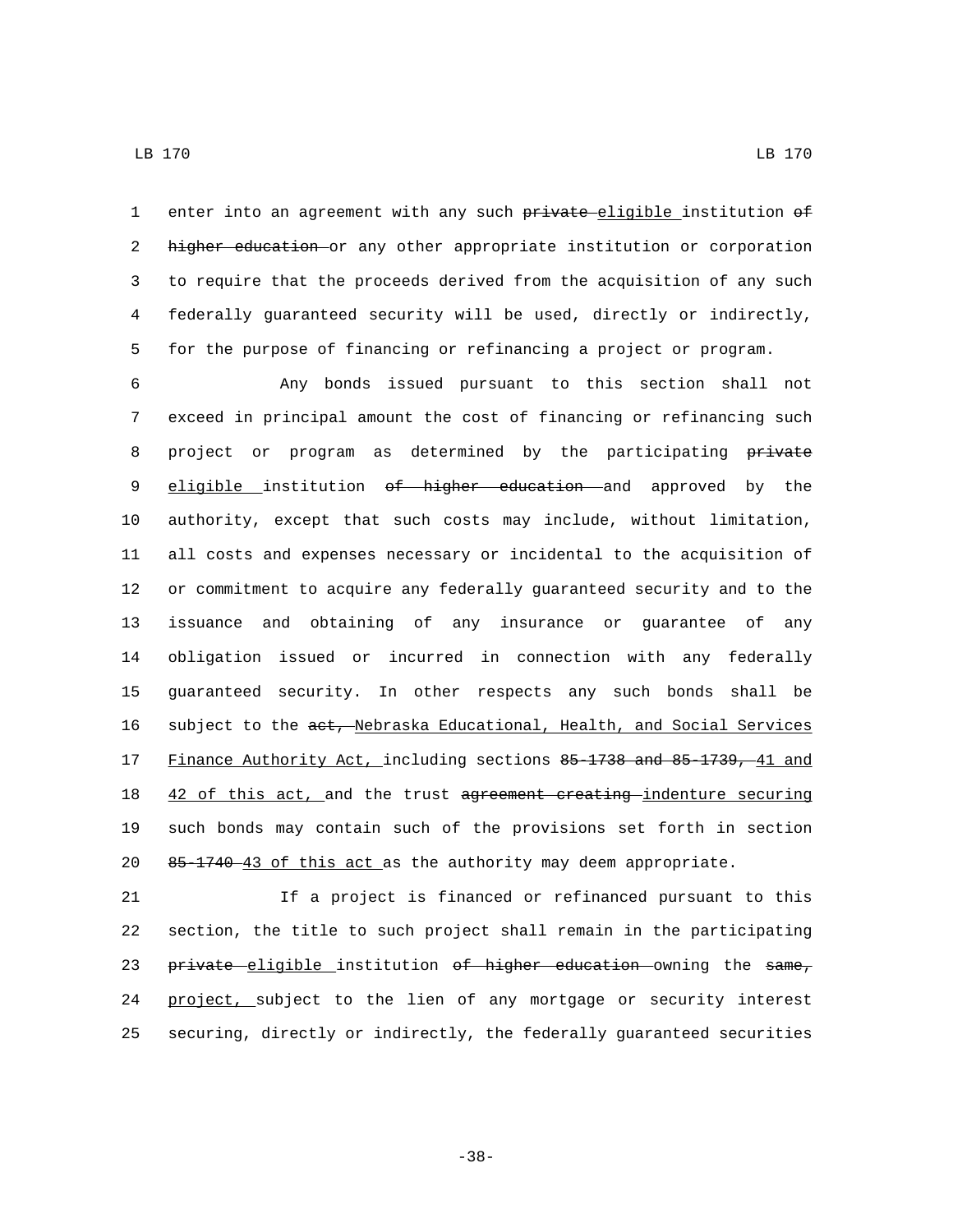1 enter into an agreement with any such private eligible institution of 2 higher education or any other appropriate institution or corporation to require that the proceeds derived from the acquisition of any such federally guaranteed security will be used, directly or indirectly, for the purpose of financing or refinancing a project or program.

 Any bonds issued pursuant to this section shall not exceed in principal amount the cost of financing or refinancing such 8 project or program as determined by the participating private 9 eligible institution of higher education and approved by the authority, except that such costs may include, without limitation, all costs and expenses necessary or incidental to the acquisition of or commitment to acquire any federally guaranteed security and to the issuance and obtaining of any insurance or guarantee of any obligation issued or incurred in connection with any federally guaranteed security. In other respects any such bonds shall be 16 subject to the act, Nebraska Educational, Health, and Social Services Finance Authority Act, including sections 85-1738 and 85-1739, 41 and 18 42 of this act, and the trust agreement creating indenture securing such bonds may contain such of the provisions set forth in section 85-1740 43 of this act as the authority may deem appropriate.

 If a project is financed or refinanced pursuant to this section, the title to such project shall remain in the participating 23 private eligible institution of higher education owning the same, 24 project, subject to the lien of any mortgage or security interest securing, directly or indirectly, the federally guaranteed securities

-38-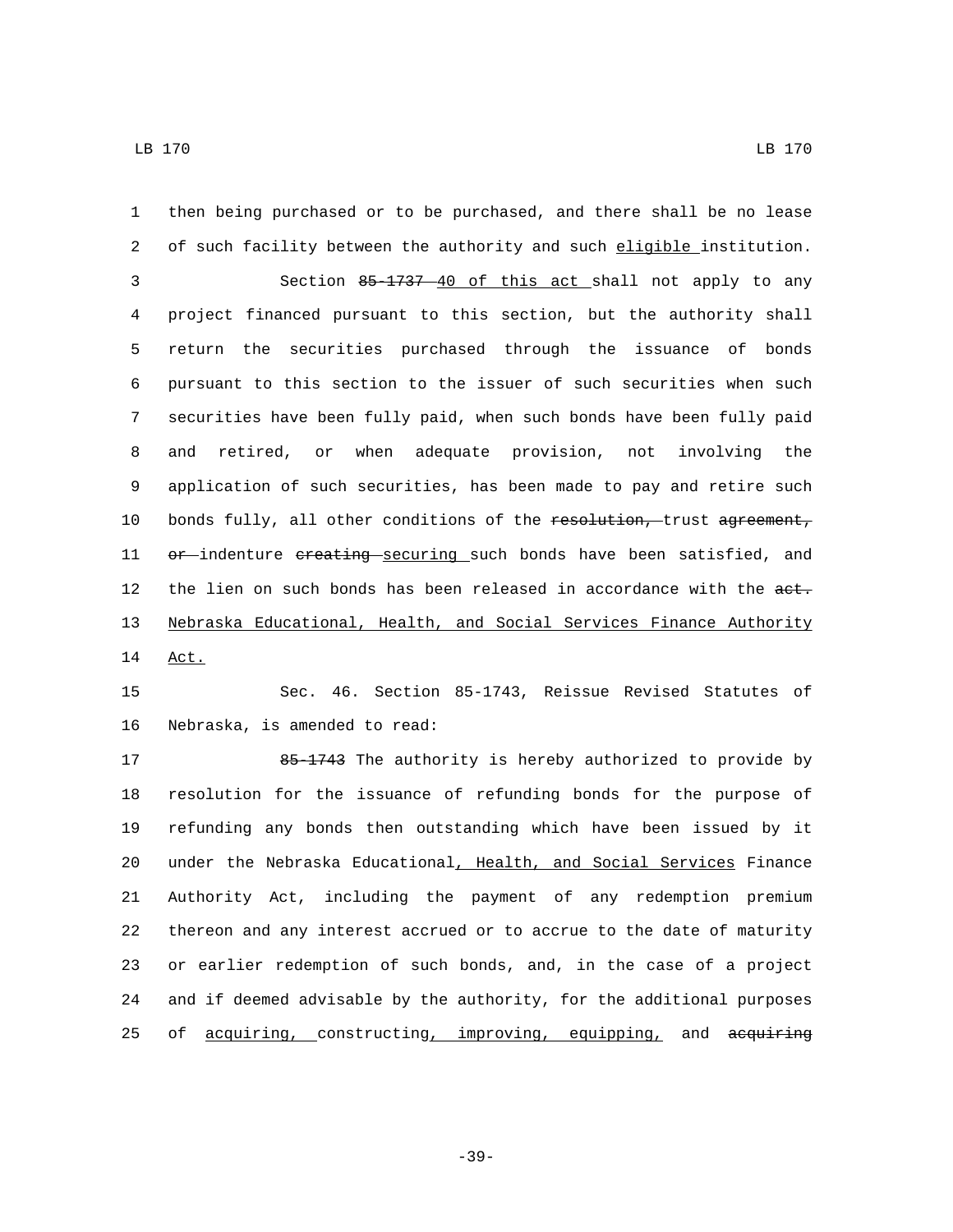then being purchased or to be purchased, and there shall be no lease 2 of such facility between the authority and such eligible institution. Section 85-1737 40 of this act shall not apply to any project financed pursuant to this section, but the authority shall return the securities purchased through the issuance of bonds pursuant to this section to the issuer of such securities when such securities have been fully paid, when such bonds have been fully paid and retired, or when adequate provision, not involving the application of such securities, has been made to pay and retire such 10 bonds fully, all other conditions of the resolution, trust agreement, 11 or indenture creating securing such bonds have been satisfied, and 12 the lien on such bonds has been released in accordance with the aet. Nebraska Educational, Health, and Social Services Finance Authority 14 Act.

15 Sec. 46. Section 85-1743, Reissue Revised Statutes of 16 Nebraska, is amended to read:

17 85-1743 The authority is hereby authorized to provide by resolution for the issuance of refunding bonds for the purpose of refunding any bonds then outstanding which have been issued by it 20 under the Nebraska Educational, Health, and Social Services Finance Authority Act, including the payment of any redemption premium thereon and any interest accrued or to accrue to the date of maturity or earlier redemption of such bonds, and, in the case of a project and if deemed advisable by the authority, for the additional purposes 25 of acquiring, constructing, improving, equipping, and acquiring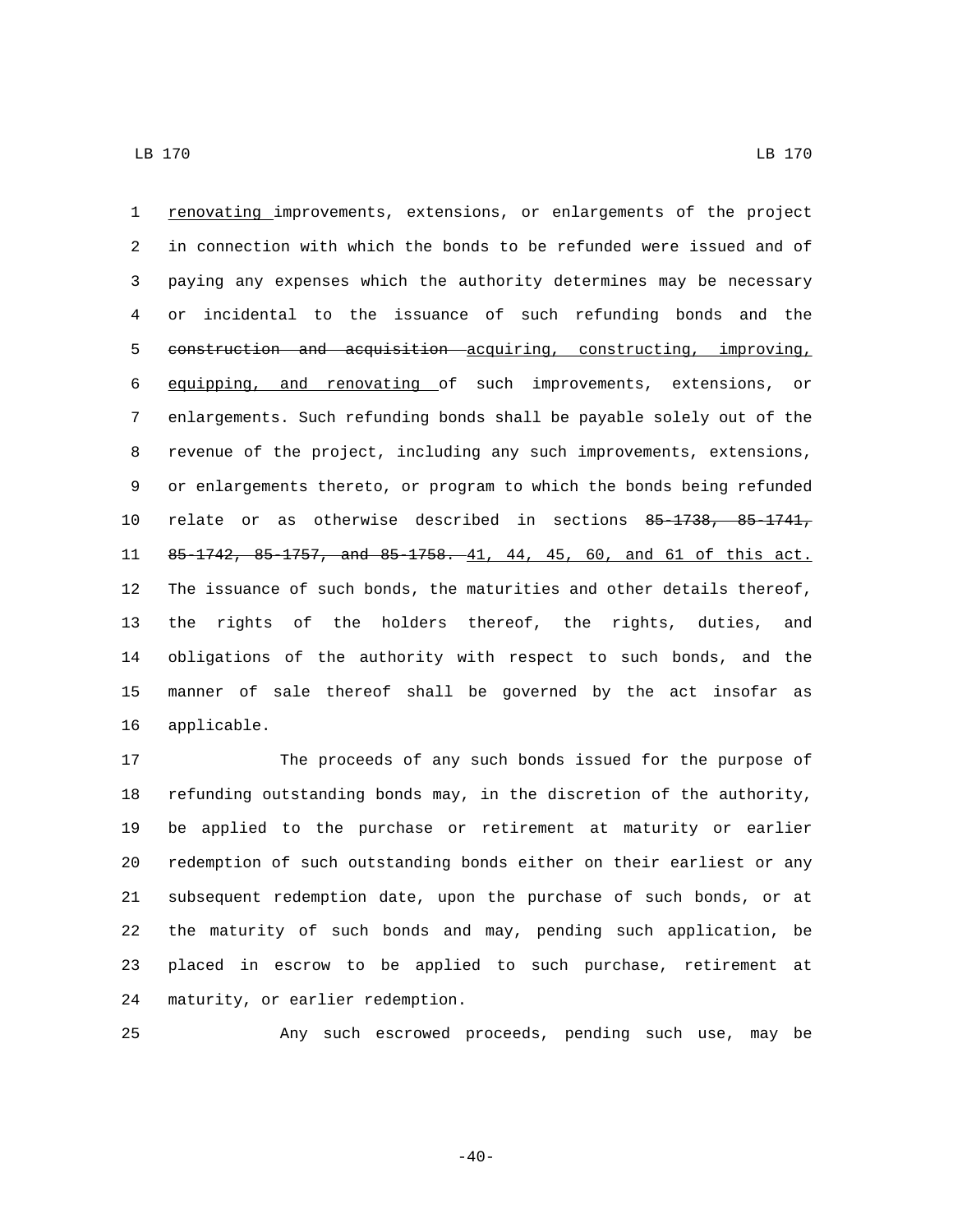renovating improvements, extensions, or enlargements of the project in connection with which the bonds to be refunded were issued and of paying any expenses which the authority determines may be necessary or incidental to the issuance of such refunding bonds and the 5 construction and acquisition acquiring, constructing, improving, equipping, and renovating of such improvements, extensions, or enlargements. Such refunding bonds shall be payable solely out of the revenue of the project, including any such improvements, extensions, or enlargements thereto, or program to which the bonds being refunded relate or as otherwise described in sections 85-1738, 85-1741, 85-1742, 85-1757, and 85-1758. 41, 44, 45, 60, and 61 of this act. The issuance of such bonds, the maturities and other details thereof, the rights of the holders thereof, the rights, duties, and obligations of the authority with respect to such bonds, and the manner of sale thereof shall be governed by the act insofar as 16 applicable.

 The proceeds of any such bonds issued for the purpose of refunding outstanding bonds may, in the discretion of the authority, be applied to the purchase or retirement at maturity or earlier redemption of such outstanding bonds either on their earliest or any subsequent redemption date, upon the purchase of such bonds, or at the maturity of such bonds and may, pending such application, be placed in escrow to be applied to such purchase, retirement at 24 maturity, or earlier redemption.

Any such escrowed proceeds, pending such use, may be

 $-40-$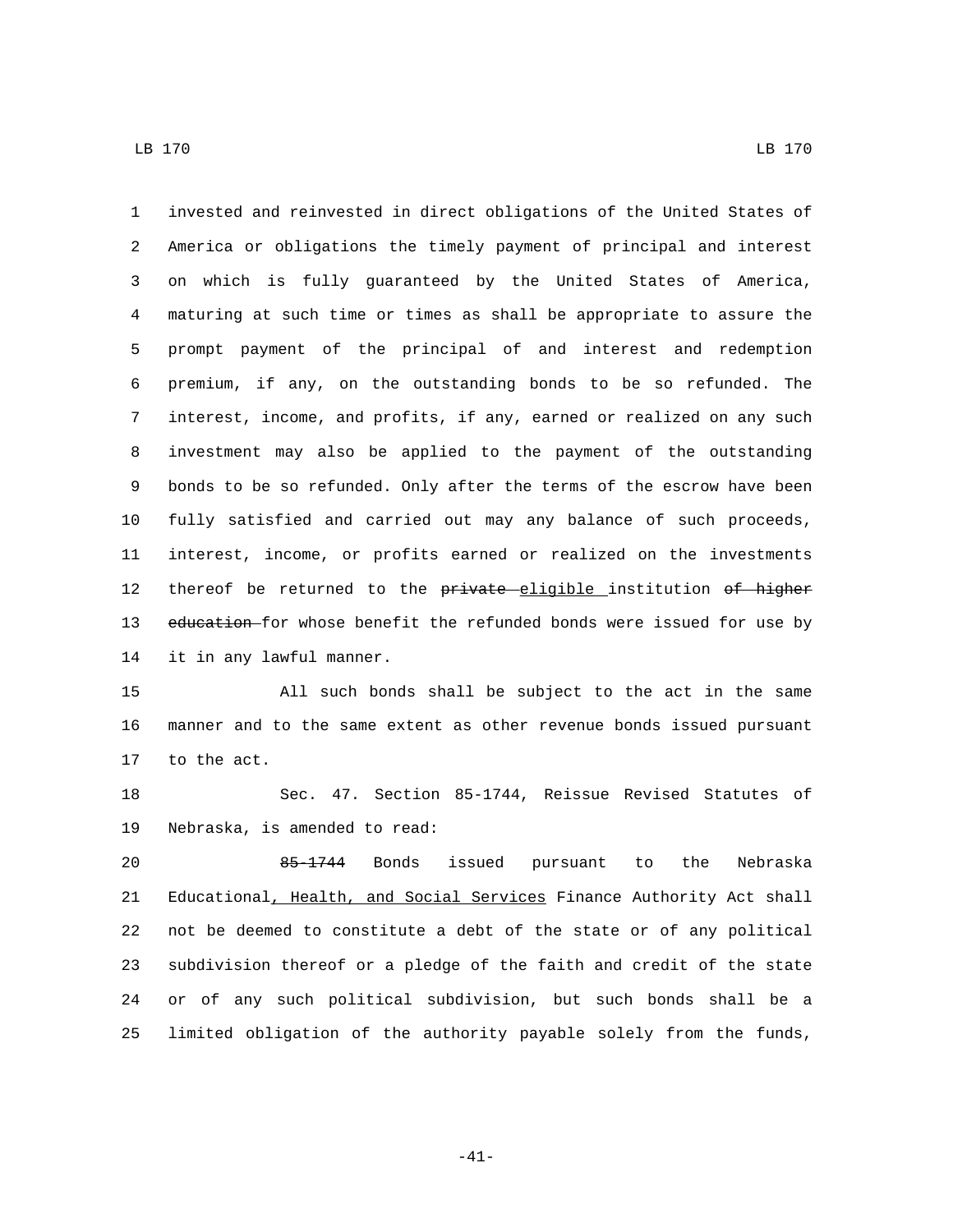invested and reinvested in direct obligations of the United States of America or obligations the timely payment of principal and interest on which is fully guaranteed by the United States of America, maturing at such time or times as shall be appropriate to assure the prompt payment of the principal of and interest and redemption premium, if any, on the outstanding bonds to be so refunded. The interest, income, and profits, if any, earned or realized on any such investment may also be applied to the payment of the outstanding bonds to be so refunded. Only after the terms of the escrow have been fully satisfied and carried out may any balance of such proceeds, interest, income, or profits earned or realized on the investments 12 thereof be returned to the private eligible institution of higher 13 education for whose benefit the refunded bonds were issued for use by 14 it in any lawful manner.

 All such bonds shall be subject to the act in the same manner and to the same extent as other revenue bonds issued pursuant 17 to the act.

 Sec. 47. Section 85-1744, Reissue Revised Statutes of 19 Nebraska, is amended to read:

 85-1744 Bonds issued pursuant to the Nebraska 21 Educational, Health, and Social Services Finance Authority Act shall not be deemed to constitute a debt of the state or of any political subdivision thereof or a pledge of the faith and credit of the state or of any such political subdivision, but such bonds shall be a limited obligation of the authority payable solely from the funds,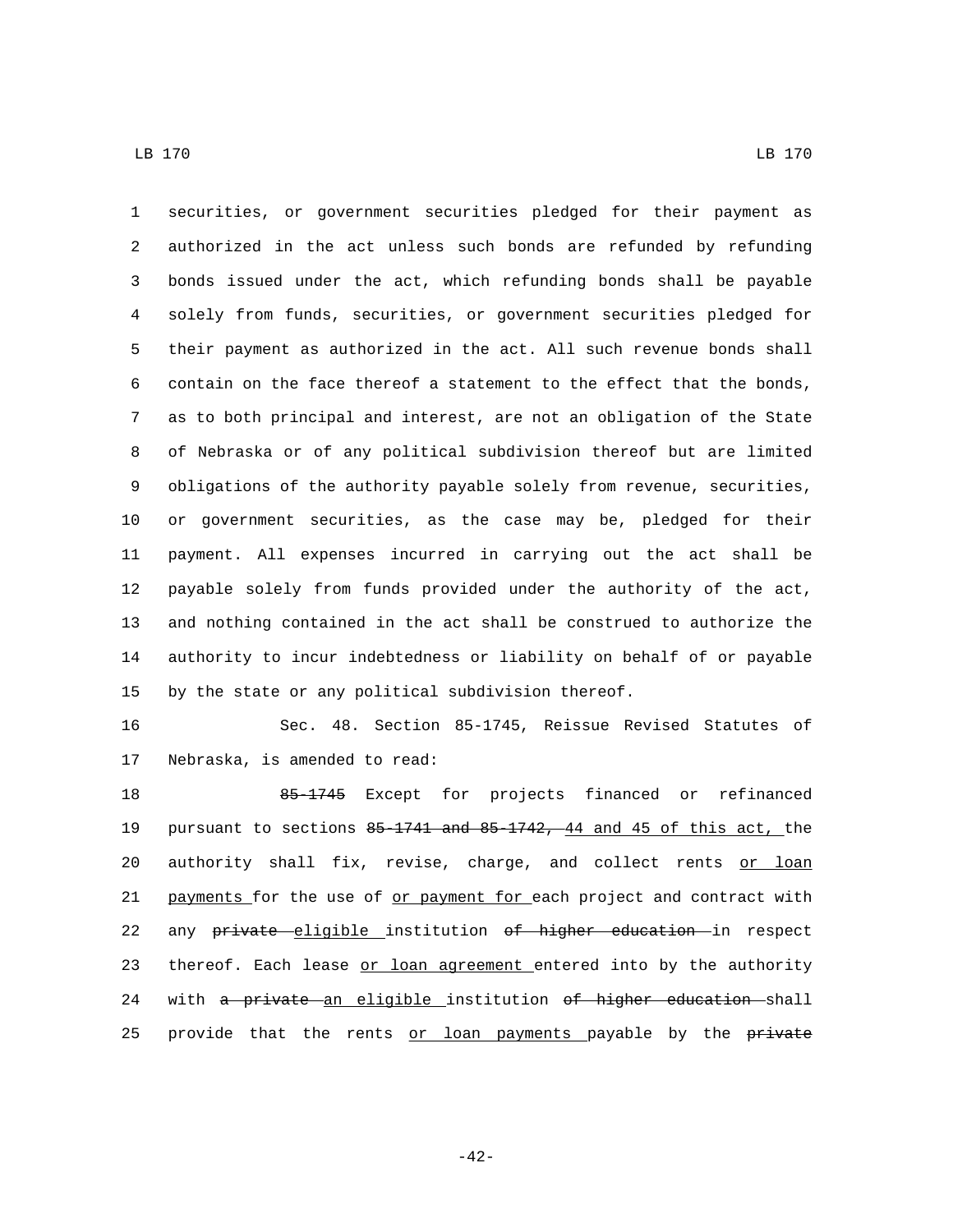securities, or government securities pledged for their payment as authorized in the act unless such bonds are refunded by refunding bonds issued under the act, which refunding bonds shall be payable solely from funds, securities, or government securities pledged for their payment as authorized in the act. All such revenue bonds shall contain on the face thereof a statement to the effect that the bonds, as to both principal and interest, are not an obligation of the State of Nebraska or of any political subdivision thereof but are limited obligations of the authority payable solely from revenue, securities, or government securities, as the case may be, pledged for their payment. All expenses incurred in carrying out the act shall be payable solely from funds provided under the authority of the act, and nothing contained in the act shall be construed to authorize the authority to incur indebtedness or liability on behalf of or payable by the state or any political subdivision thereof.

 Sec. 48. Section 85-1745, Reissue Revised Statutes of 17 Nebraska, is amended to read:

 85-1745 Except for projects financed or refinanced pursuant to sections 85-1741 and 85-1742, 44 and 45 of this act, the 20 authority shall fix, revise, charge, and collect rents or loan 21 payments for the use of or payment for each project and contract with 22 any private eligible institution of higher education in respect 23 thereof. Each lease or loan agreement entered into by the authority 24 with a private an eligible institution of higher education shall 25 provide that the rents or loan payments payable by the private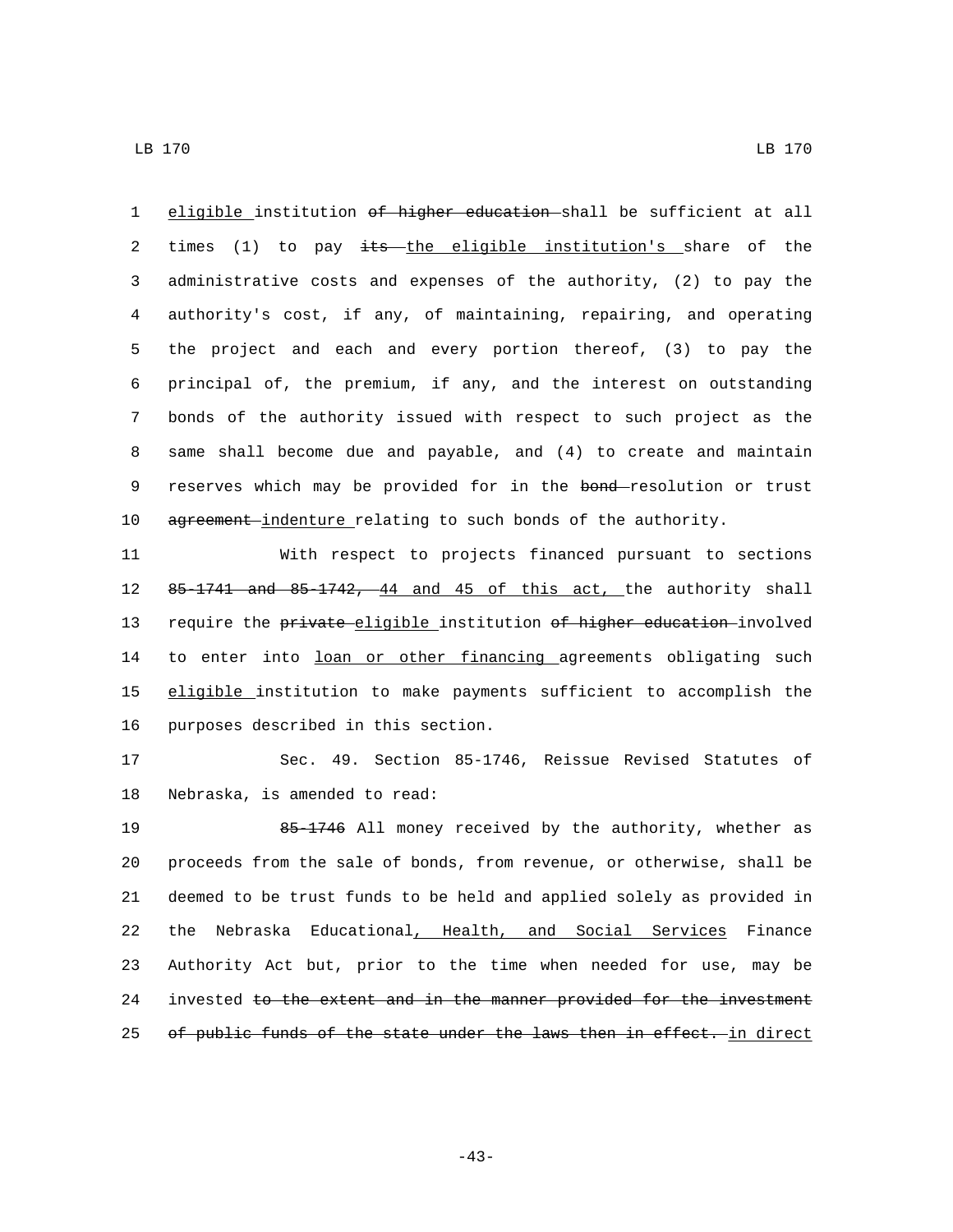LB 170 LB 170

1 eligible institution of higher education shall be sufficient at all 2 times (1) to pay its the eligible institution's share of the 3 administrative costs and expenses of the authority, (2) to pay the 4 authority's cost, if any, of maintaining, repairing, and operating 5 the project and each and every portion thereof, (3) to pay the 6 principal of, the premium, if any, and the interest on outstanding 7 bonds of the authority issued with respect to such project as the 8 same shall become due and payable, and (4) to create and maintain 9 reserves which may be provided for in the bond-resolution or trust 10 agreement-indenture relating to such bonds of the authority.

11 With respect to projects financed pursuant to sections 12 85-1741 and 85-1742, 44 and 45 of this act, the authority shall 13 require the private eligible institution of higher education involved 14 to enter into loan or other financing agreements obligating such 15 eligible institution to make payments sufficient to accomplish the 16 purposes described in this section.

17 Sec. 49. Section 85-1746, Reissue Revised Statutes of 18 Nebraska, is amended to read:

 85-1746 All money received by the authority, whether as proceeds from the sale of bonds, from revenue, or otherwise, shall be deemed to be trust funds to be held and applied solely as provided in the Nebraska Educational, Health, and Social Services Finance Authority Act but, prior to the time when needed for use, may be 24 invested to the extent and in the manner provided for the investment 25 of public funds of the state under the laws then in effect. in direct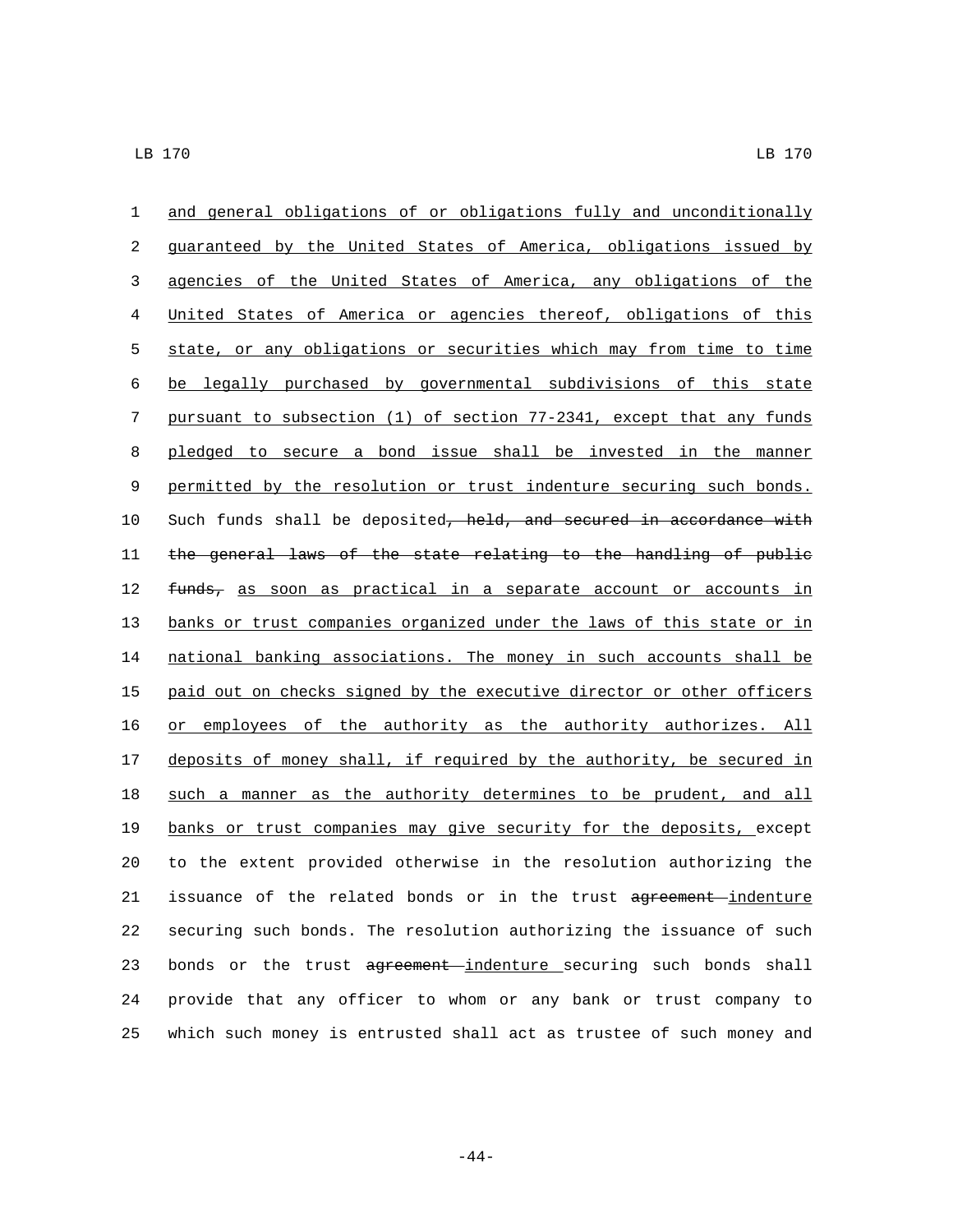and general obligations of or obligations fully and unconditionally guaranteed by the United States of America, obligations issued by agencies of the United States of America, any obligations of the United States of America or agencies thereof, obligations of this state, or any obligations or securities which may from time to time be legally purchased by governmental subdivisions of this state pursuant to subsection (1) of section 77-2341, except that any funds pledged to secure a bond issue shall be invested in the manner permitted by the resolution or trust indenture securing such bonds. 10 Such funds shall be deposited, held, and secured in accordance with the general laws of the state relating to the handling of public 12 funds, as soon as practical in a separate account or accounts in banks or trust companies organized under the laws of this state or in 14 national banking associations. The money in such accounts shall be paid out on checks signed by the executive director or other officers or employees of the authority as the authority authorizes. All 17 deposits of money shall, if required by the authority, be secured in such a manner as the authority determines to be prudent, and all banks or trust companies may give security for the deposits, except to the extent provided otherwise in the resolution authorizing the 21 issuance of the related bonds or in the trust agreement indenture securing such bonds. The resolution authorizing the issuance of such 23 bonds or the trust agreement indenture securing such bonds shall provide that any officer to whom or any bank or trust company to which such money is entrusted shall act as trustee of such money and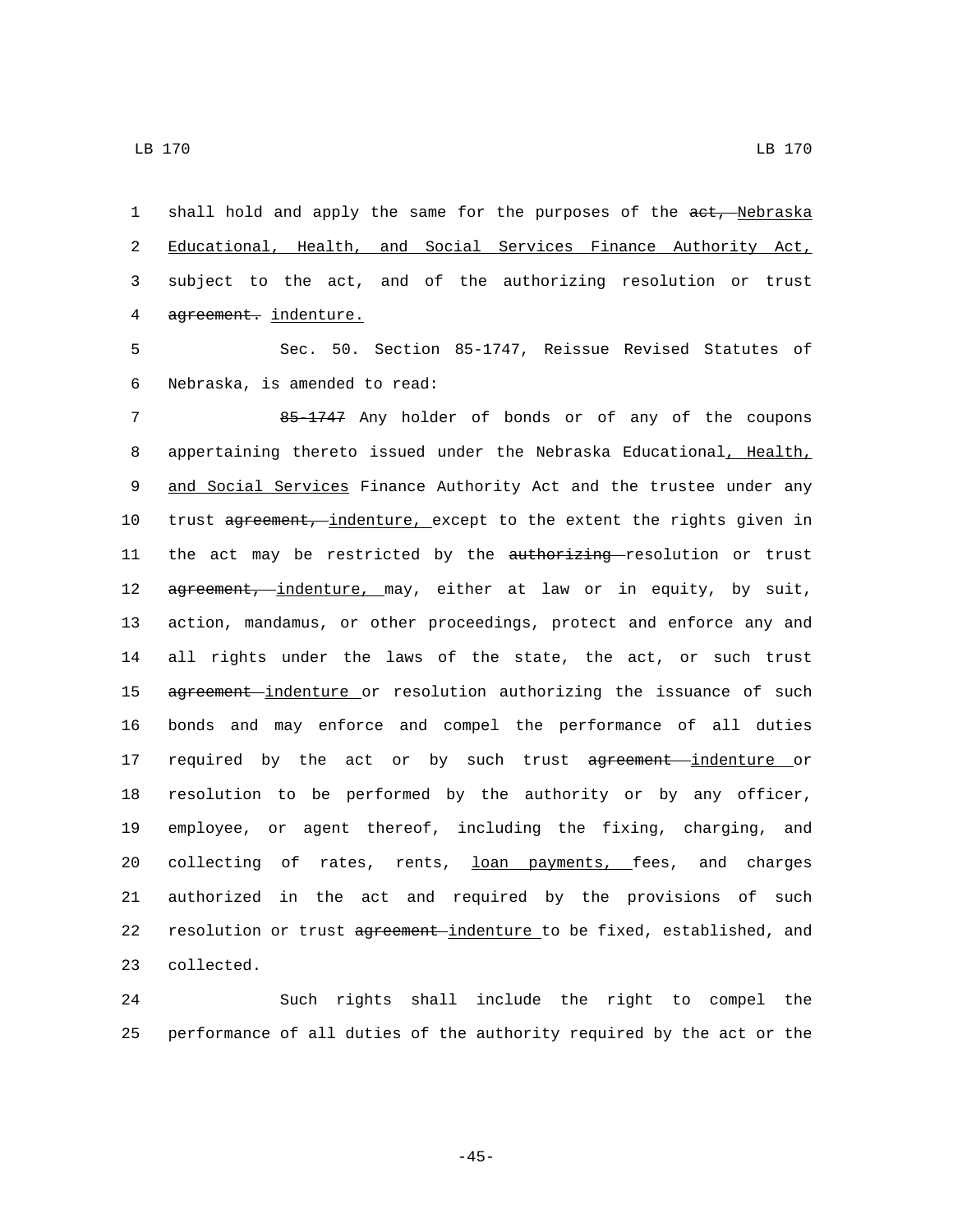LB 170 LB 170

1 shall hold and apply the same for the purposes of the act, Nebraska 2 Educational, Health, and Social Services Finance Authority Act, 3 subject to the act, and of the authorizing resolution or trust 4 agreement. indenture.

5 Sec. 50. Section 85-1747, Reissue Revised Statutes of 6 Nebraska, is amended to read:

7 85-1747 Any holder of bonds or of any of the coupons 8 appertaining thereto issued under the Nebraska Educational, Health, 9 and Social Services Finance Authority Act and the trustee under any 10 trust agreement, indenture, except to the extent the rights given in 11 the act may be restricted by the authorizing resolution or trust 12 agreement, indenture, may, either at law or in equity, by suit, 13 action, mandamus, or other proceedings, protect and enforce any and 14 all rights under the laws of the state, the act, or such trust 15 agreement-indenture or resolution authorizing the issuance of such 16 bonds and may enforce and compel the performance of all duties 17 required by the act or by such trust agreement indenture or 18 resolution to be performed by the authority or by any officer, 19 employee, or agent thereof, including the fixing, charging, and 20 collecting of rates, rents, loan payments, fees, and charges 21 authorized in the act and required by the provisions of such 22 resolution or trust agreement indenture to be fixed, established, and 23 collected.

24 Such rights shall include the right to compel the 25 performance of all duties of the authority required by the act or the

-45-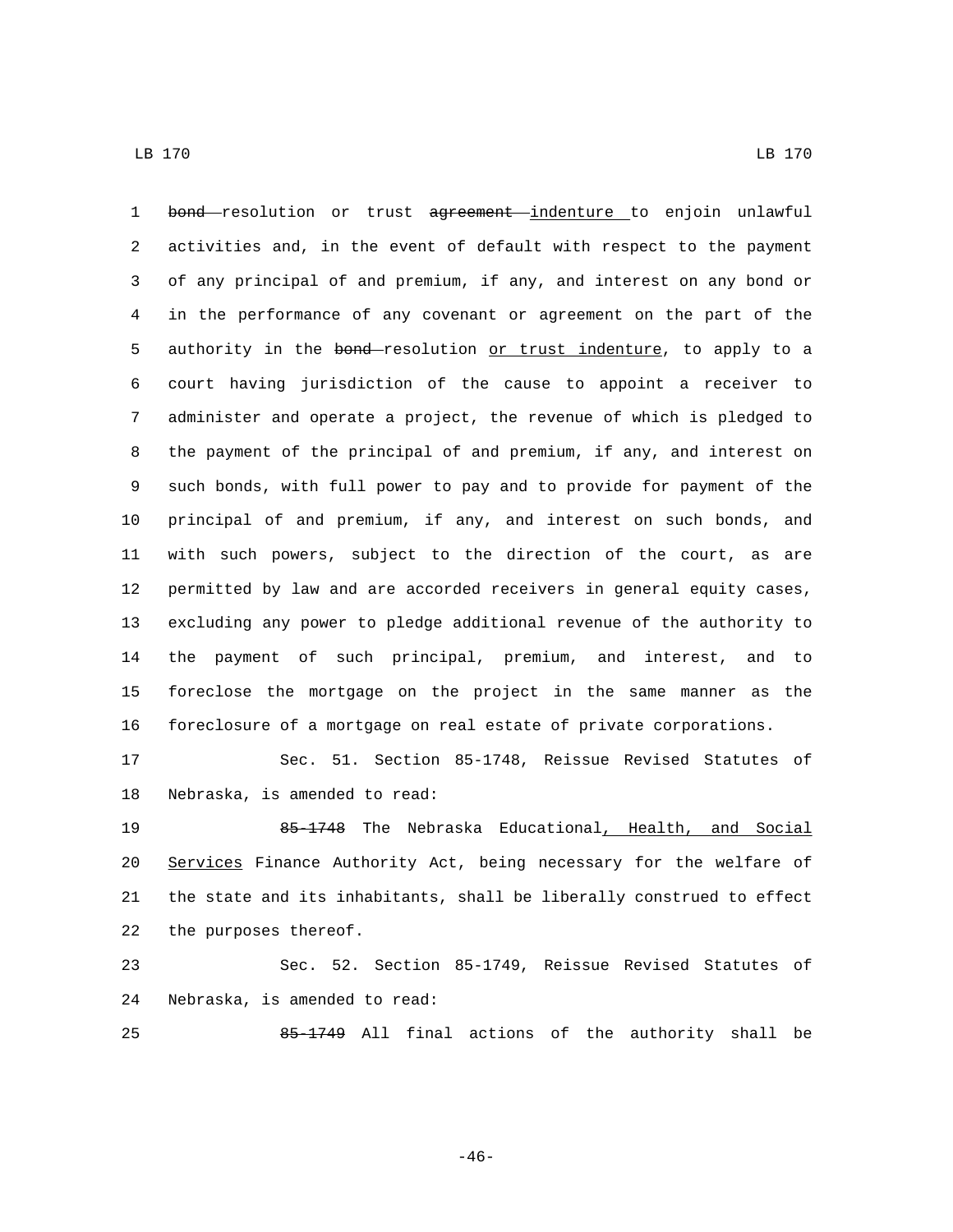1 bond resolution or trust agreement indenture to enjoin unlawful activities and, in the event of default with respect to the payment of any principal of and premium, if any, and interest on any bond or in the performance of any covenant or agreement on the part of the 5 authority in the bond-resolution or trust indenture, to apply to a court having jurisdiction of the cause to appoint a receiver to administer and operate a project, the revenue of which is pledged to the payment of the principal of and premium, if any, and interest on such bonds, with full power to pay and to provide for payment of the principal of and premium, if any, and interest on such bonds, and with such powers, subject to the direction of the court, as are permitted by law and are accorded receivers in general equity cases, excluding any power to pledge additional revenue of the authority to the payment of such principal, premium, and interest, and to foreclose the mortgage on the project in the same manner as the foreclosure of a mortgage on real estate of private corporations.

 Sec. 51. Section 85-1748, Reissue Revised Statutes of 18 Nebraska, is amended to read:

 85-1748 The Nebraska Educational, Health, and Social 20 Services Finance Authority Act, being necessary for the welfare of the state and its inhabitants, shall be liberally construed to effect 22 the purposes thereof.

 Sec. 52. Section 85-1749, Reissue Revised Statutes of 24 Nebraska, is amended to read:

85-1749 All final actions of the authority shall be

-46-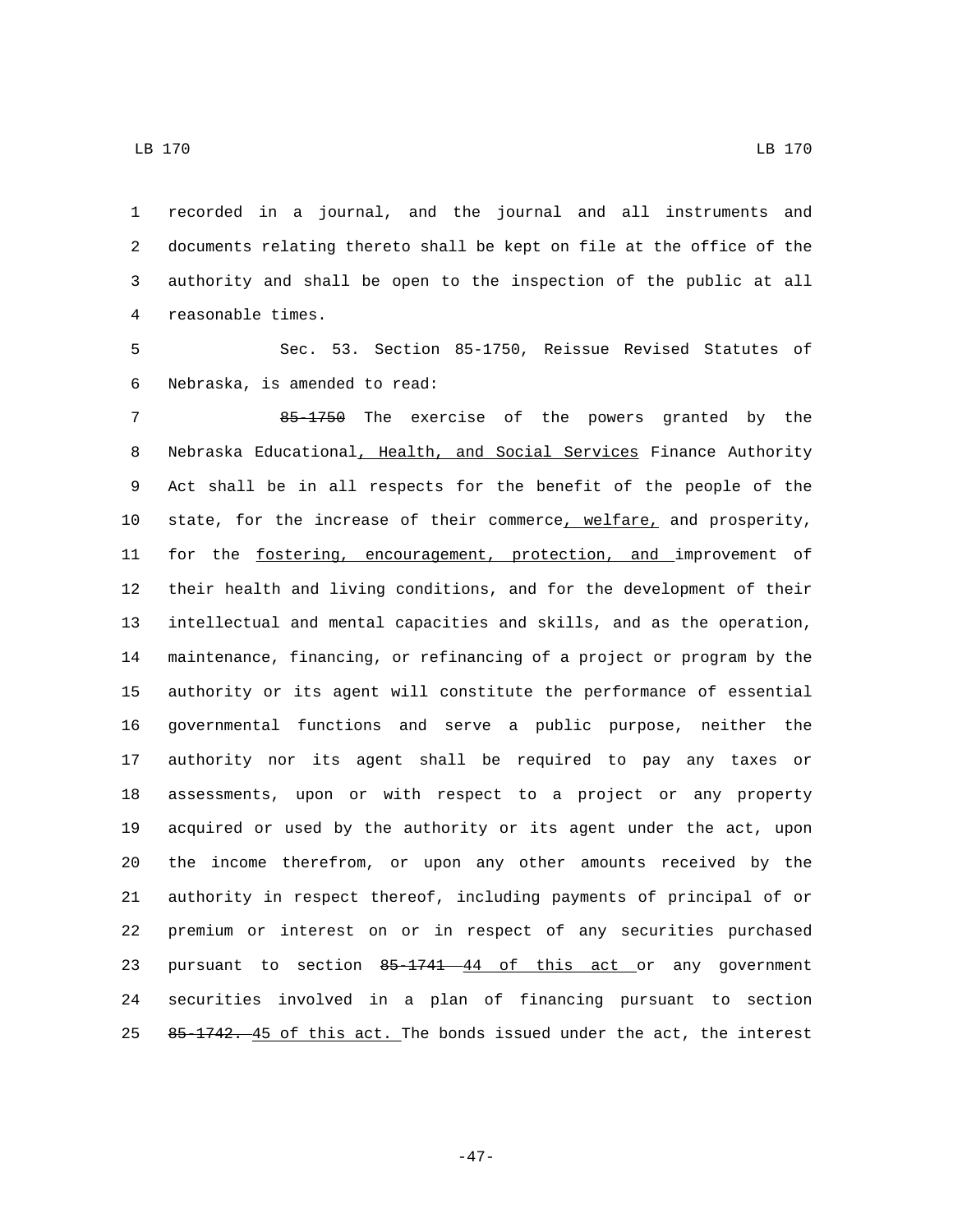recorded in a journal, and the journal and all instruments and documents relating thereto shall be kept on file at the office of the authority and shall be open to the inspection of the public at all 4 reasonable times.

 Sec. 53. Section 85-1750, Reissue Revised Statutes of 6 Nebraska, is amended to read:

 85-1750 The exercise of the powers granted by the Nebraska Educational, Health, and Social Services Finance Authority Act shall be in all respects for the benefit of the people of the state, for the increase of their commerce, welfare, and prosperity, 11 for the fostering, encouragement, protection, and improvement of their health and living conditions, and for the development of their intellectual and mental capacities and skills, and as the operation, maintenance, financing, or refinancing of a project or program by the authority or its agent will constitute the performance of essential governmental functions and serve a public purpose, neither the authority nor its agent shall be required to pay any taxes or assessments, upon or with respect to a project or any property acquired or used by the authority or its agent under the act, upon the income therefrom, or upon any other amounts received by the authority in respect thereof, including payments of principal of or premium or interest on or in respect of any securities purchased 23 pursuant to section 85-1741 44 of this act or any government securities involved in a plan of financing pursuant to section 25 85-1742. 45 of this act. The bonds issued under the act, the interest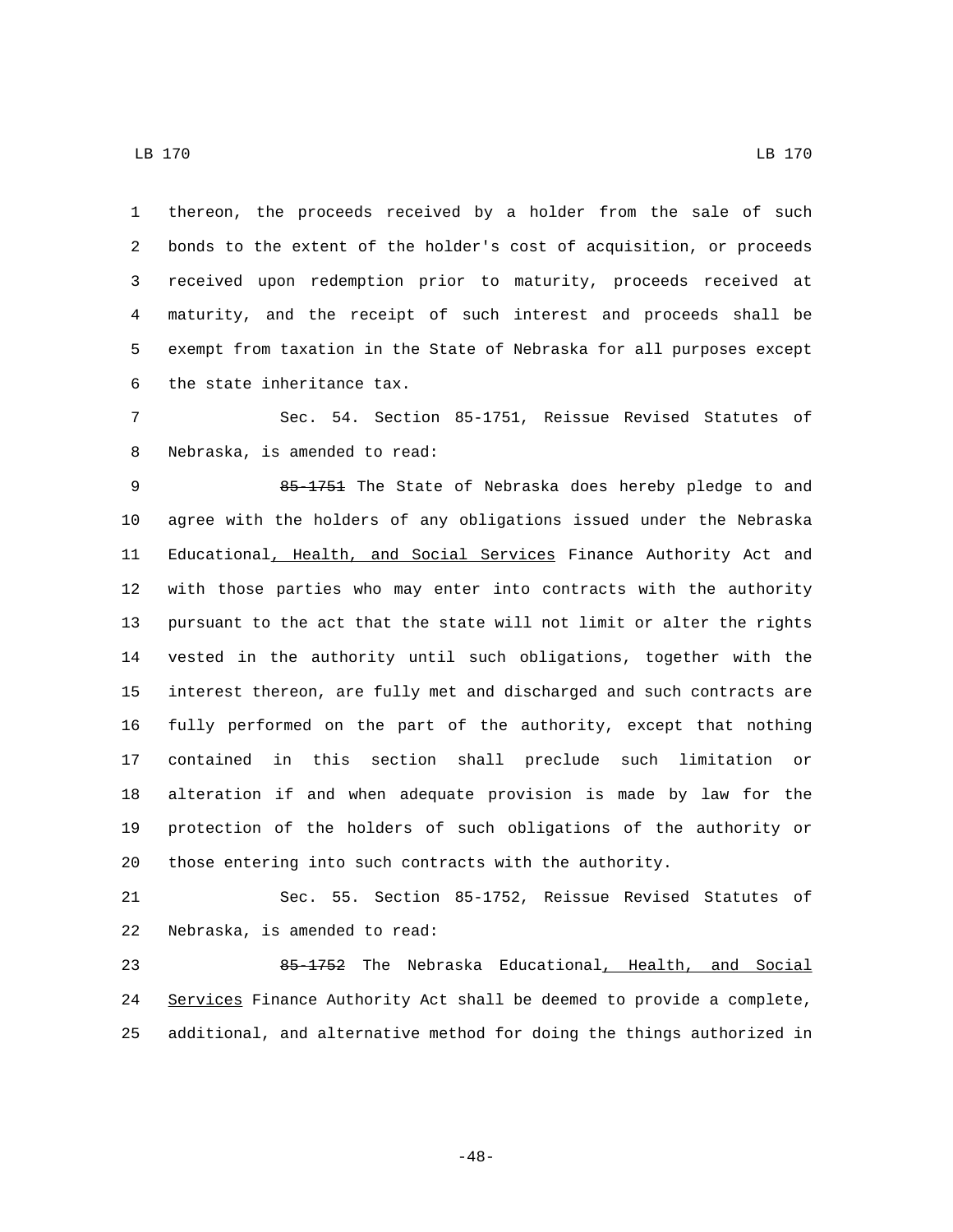thereon, the proceeds received by a holder from the sale of such bonds to the extent of the holder's cost of acquisition, or proceeds received upon redemption prior to maturity, proceeds received at maturity, and the receipt of such interest and proceeds shall be exempt from taxation in the State of Nebraska for all purposes except 6 the state inheritance tax.

 Sec. 54. Section 85-1751, Reissue Revised Statutes of 8 Nebraska, is amended to read:

 85-1751 The State of Nebraska does hereby pledge to and agree with the holders of any obligations issued under the Nebraska 11 Educational, Health, and Social Services Finance Authority Act and with those parties who may enter into contracts with the authority pursuant to the act that the state will not limit or alter the rights vested in the authority until such obligations, together with the interest thereon, are fully met and discharged and such contracts are fully performed on the part of the authority, except that nothing contained in this section shall preclude such limitation or alteration if and when adequate provision is made by law for the protection of the holders of such obligations of the authority or those entering into such contracts with the authority.

 Sec. 55. Section 85-1752, Reissue Revised Statutes of 22 Nebraska, is amended to read:

23 85-1752 The Nebraska Educational, Health, and Social 24 Services Finance Authority Act shall be deemed to provide a complete, additional, and alternative method for doing the things authorized in

-48-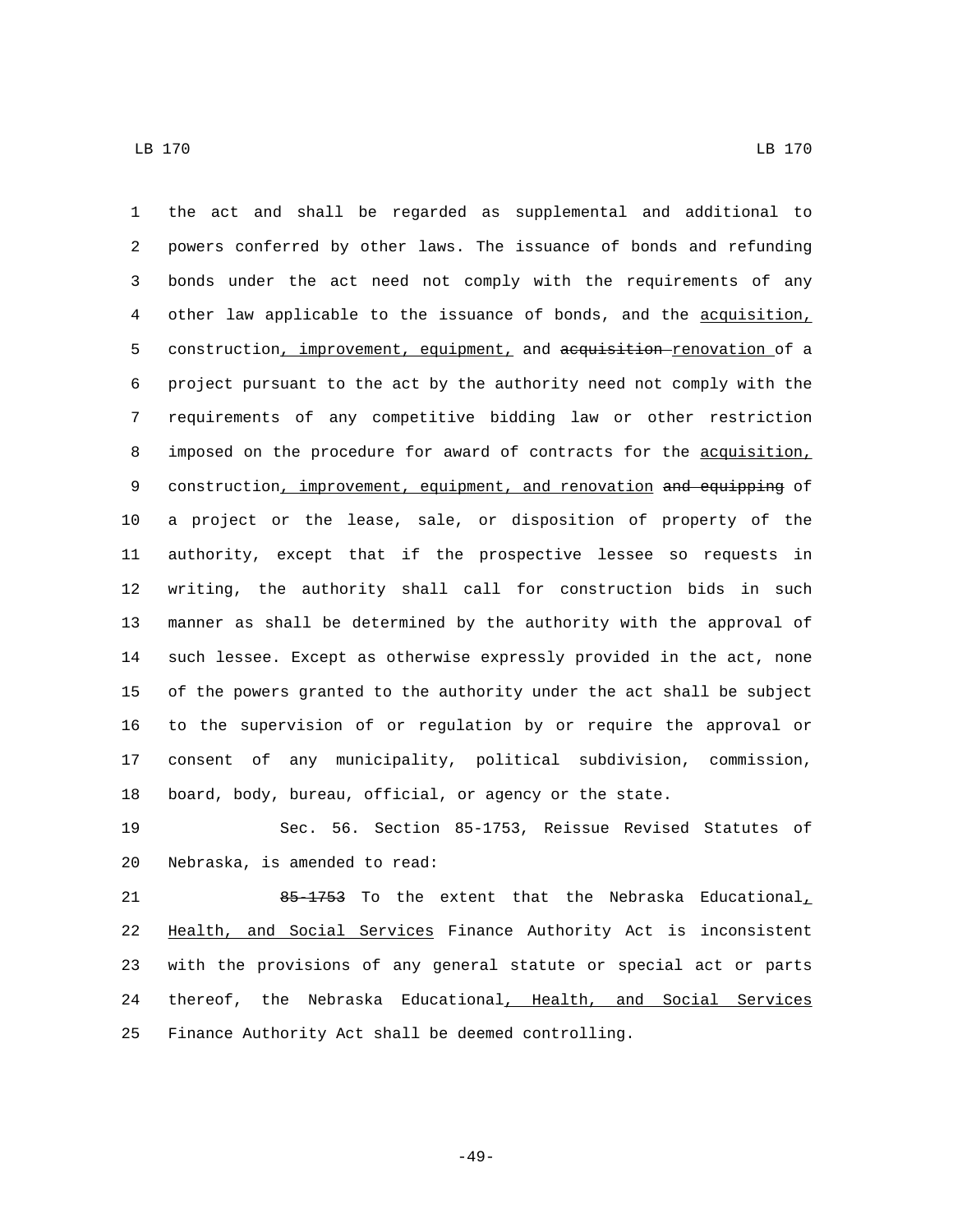the act and shall be regarded as supplemental and additional to powers conferred by other laws. The issuance of bonds and refunding bonds under the act need not comply with the requirements of any other law applicable to the issuance of bonds, and the acquisition, 5 construction, improvement, equipment, and acquisition renovation of a project pursuant to the act by the authority need not comply with the requirements of any competitive bidding law or other restriction 8 imposed on the procedure for award of contracts for the acquisition, 9 construction, improvement, equipment, and renovation and equipping of a project or the lease, sale, or disposition of property of the authority, except that if the prospective lessee so requests in writing, the authority shall call for construction bids in such manner as shall be determined by the authority with the approval of such lessee. Except as otherwise expressly provided in the act, none of the powers granted to the authority under the act shall be subject to the supervision of or regulation by or require the approval or consent of any municipality, political subdivision, commission, board, body, bureau, official, or agency or the state.

 Sec. 56. Section 85-1753, Reissue Revised Statutes of 20 Nebraska, is amended to read:

21 65-1753 To the extent that the Nebraska Educational Health, and Social Services Finance Authority Act is inconsistent with the provisions of any general statute or special act or parts thereof, the Nebraska Educational, Health, and Social Services Finance Authority Act shall be deemed controlling.

-49-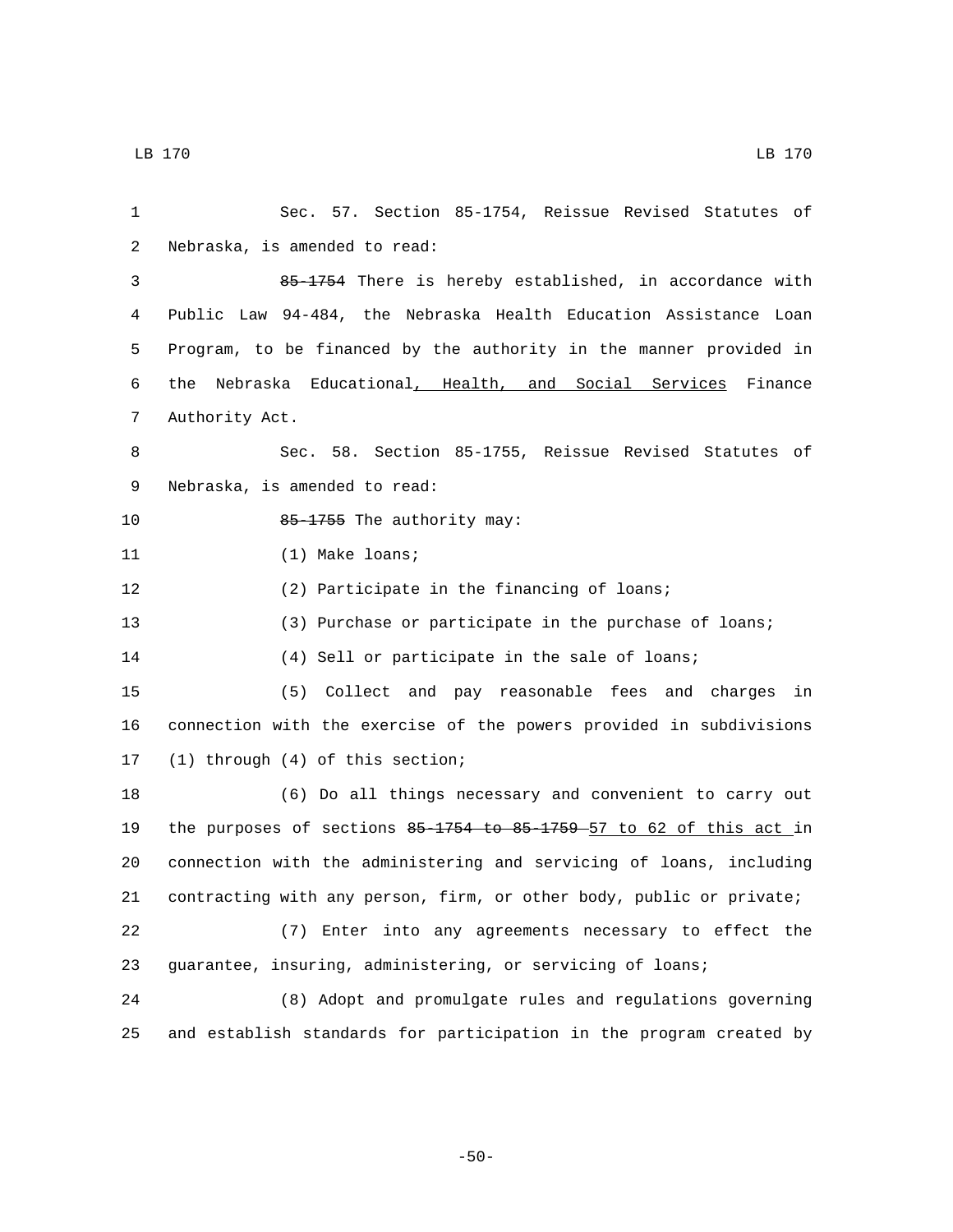| 1  | Sec. 57. Section 85-1754, Reissue Revised Statutes of                |
|----|----------------------------------------------------------------------|
| 2  | Nebraska, is amended to read:                                        |
| 3  | 85-1754 There is hereby established, in accordance with              |
| 4  | Public Law 94-484, the Nebraska Health Education Assistance Loan     |
| 5  | Program, to be financed by the authority in the manner provided in   |
| 6  | Nebraska Educational, Health, and Social Services Finance<br>the     |
| 7  | Authority Act.                                                       |
| 8  | Sec. 58. Section 85-1755, Reissue Revised Statutes of                |
| 9  | Nebraska, is amended to read:                                        |
| 10 | 85-1755 The authority may:                                           |
| 11 | $(1)$ Make loans;                                                    |
| 12 | (2) Participate in the financing of loans;                           |
| 13 | (3) Purchase or participate in the purchase of loans;                |
| 14 | (4) Sell or participate in the sale of loans;                        |
| 15 | (5) Collect and pay reasonable fees and charges in                   |
| 16 | connection with the exercise of the powers provided in subdivisions  |
| 17 | (1) through (4) of this section;                                     |
| 18 | (6) Do all things necessary and convenient to carry out              |
| 19 | the purposes of sections 85-1754 to 85-1759 57 to 62 of this act in  |
| 20 | connection with the administering and servicing of loans, including  |
| 21 | contracting with any person, firm, or other body, public or private; |
| 22 | (7) Enter into any agreements necessary to effect the                |
| 23 | guarantee, insuring, administering, or servicing of loans;           |
| 24 | (8) Adopt and promulgate rules and regulations governing             |
| 25 | and establish standards for participation in the program created by  |

-50-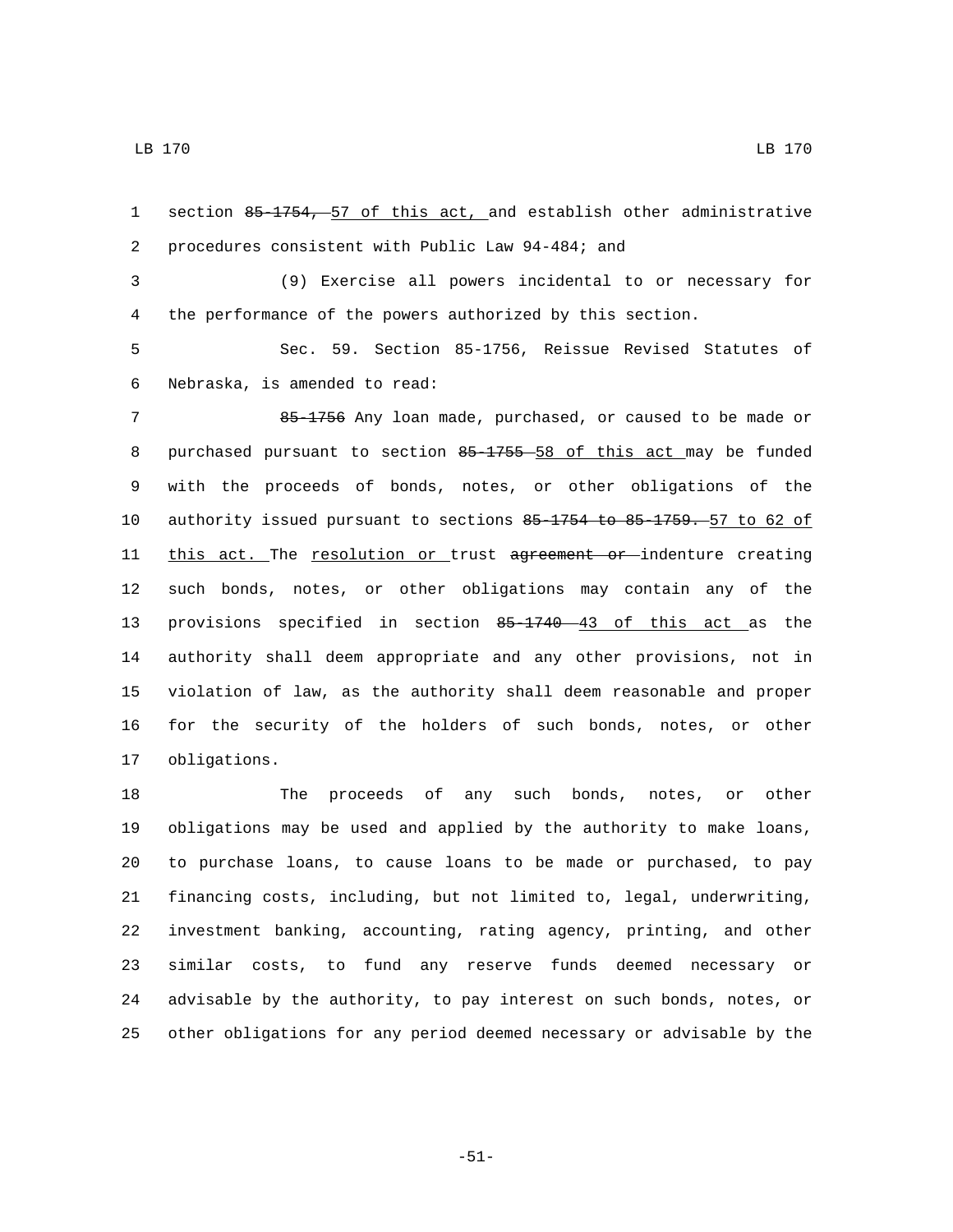section 85-1754, 57 of this act, and establish other administrative 2 procedures consistent with Public Law 94-484; and

 (9) Exercise all powers incidental to or necessary for the performance of the powers authorized by this section.

 Sec. 59. Section 85-1756, Reissue Revised Statutes of Nebraska, is amended to read:6

 85-1756 Any loan made, purchased, or caused to be made or purchased pursuant to section 85-1755 58 of this act may be funded with the proceeds of bonds, notes, or other obligations of the authority issued pursuant to sections 85-1754 to 85-1759. 57 to 62 of 11 this act. The resolution or trust agreement or indenture creating such bonds, notes, or other obligations may contain any of the provisions specified in section 85-1740 43 of this act as the authority shall deem appropriate and any other provisions, not in violation of law, as the authority shall deem reasonable and proper for the security of the holders of such bonds, notes, or other 17 obligations.

 The proceeds of any such bonds, notes, or other obligations may be used and applied by the authority to make loans, to purchase loans, to cause loans to be made or purchased, to pay financing costs, including, but not limited to, legal, underwriting, investment banking, accounting, rating agency, printing, and other similar costs, to fund any reserve funds deemed necessary or advisable by the authority, to pay interest on such bonds, notes, or other obligations for any period deemed necessary or advisable by the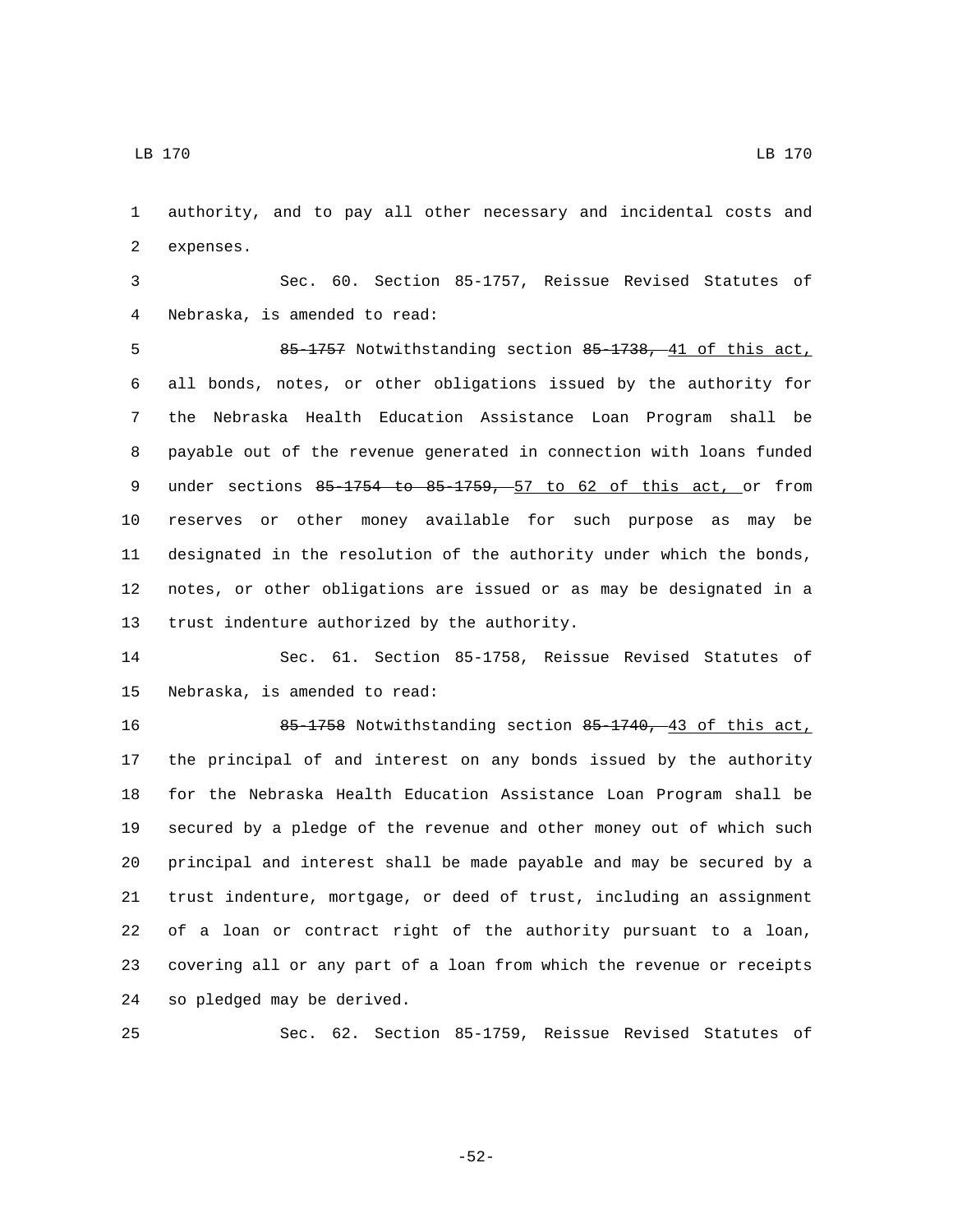authority, and to pay all other necessary and incidental costs and 2 expenses.

 Sec. 60. Section 85-1757, Reissue Revised Statutes of Nebraska, is amended to read:4

 85-1757 Notwithstanding section 85-1738, 41 of this act, all bonds, notes, or other obligations issued by the authority for the Nebraska Health Education Assistance Loan Program shall be payable out of the revenue generated in connection with loans funded 9 under sections 85 1754 to 85 1759, 57 to 62 of this act, or from reserves or other money available for such purpose as may be designated in the resolution of the authority under which the bonds, notes, or other obligations are issued or as may be designated in a 13 trust indenture authorized by the authority.

 Sec. 61. Section 85-1758, Reissue Revised Statutes of 15 Nebraska, is amended to read:

 85-1758 Notwithstanding section 85-1740, 43 of this act, the principal of and interest on any bonds issued by the authority for the Nebraska Health Education Assistance Loan Program shall be secured by a pledge of the revenue and other money out of which such principal and interest shall be made payable and may be secured by a trust indenture, mortgage, or deed of trust, including an assignment of a loan or contract right of the authority pursuant to a loan, covering all or any part of a loan from which the revenue or receipts 24 so pledged may be derived.

Sec. 62. Section 85-1759, Reissue Revised Statutes of

-52-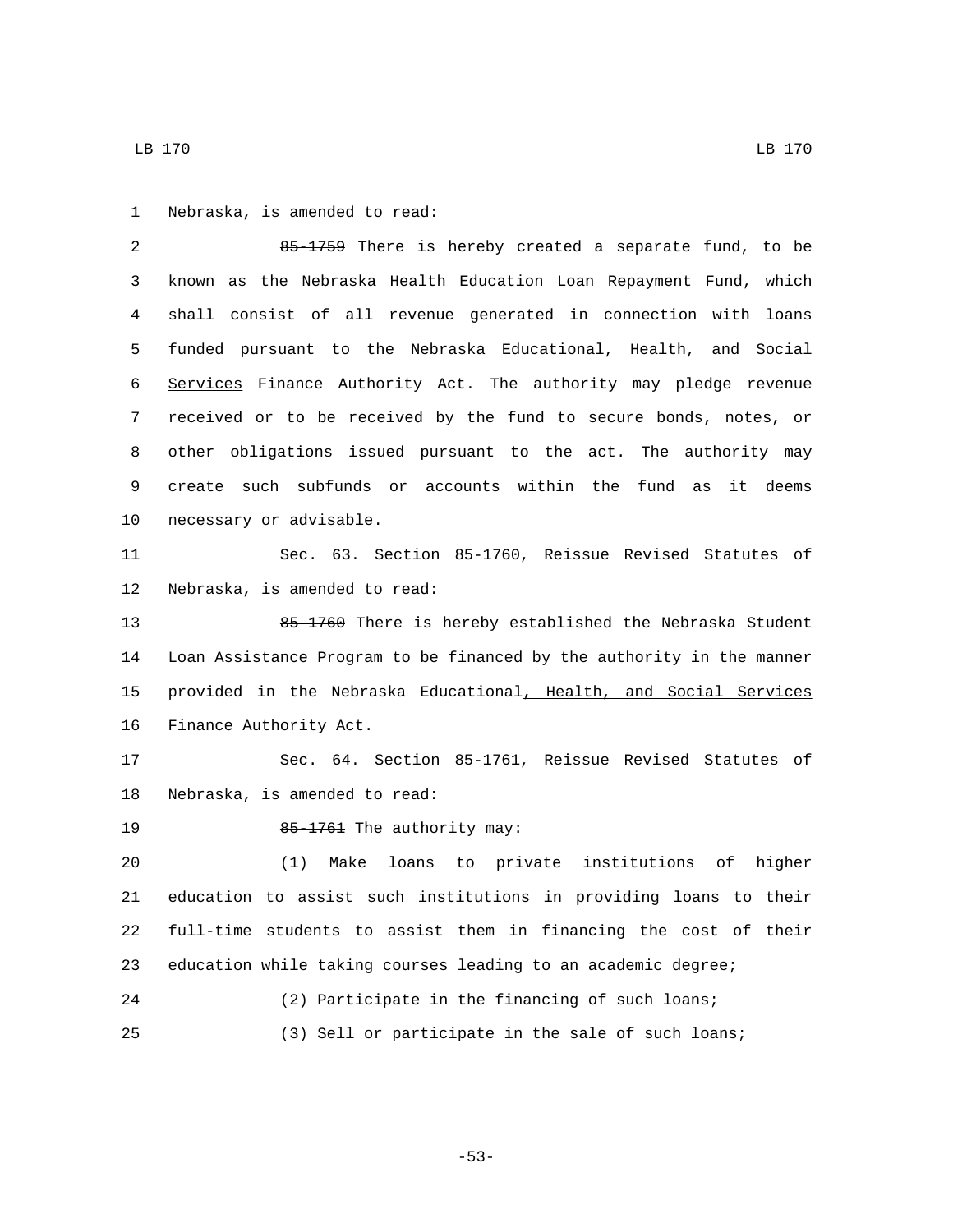1 Nebraska, is amended to read:

 85-1759 There is hereby created a separate fund, to be known as the Nebraska Health Education Loan Repayment Fund, which shall consist of all revenue generated in connection with loans funded pursuant to the Nebraska Educational, Health, and Social Services Finance Authority Act. The authority may pledge revenue received or to be received by the fund to secure bonds, notes, or other obligations issued pursuant to the act. The authority may create such subfunds or accounts within the fund as it deems 10 necessary or advisable.

 Sec. 63. Section 85-1760, Reissue Revised Statutes of 12 Nebraska, is amended to read:

 85-1760 There is hereby established the Nebraska Student Loan Assistance Program to be financed by the authority in the manner provided in the Nebraska Educational, Health, and Social Services 16 Finance Authority Act.

 Sec. 64. Section 85-1761, Reissue Revised Statutes of 18 Nebraska, is amended to read:

85-1761 The authority may:19

 (1) Make loans to private institutions of higher education to assist such institutions in providing loans to their full-time students to assist them in financing the cost of their education while taking courses leading to an academic degree;

 (2) Participate in the financing of such loans; (3) Sell or participate in the sale of such loans;

LB 170 LB 170

-53-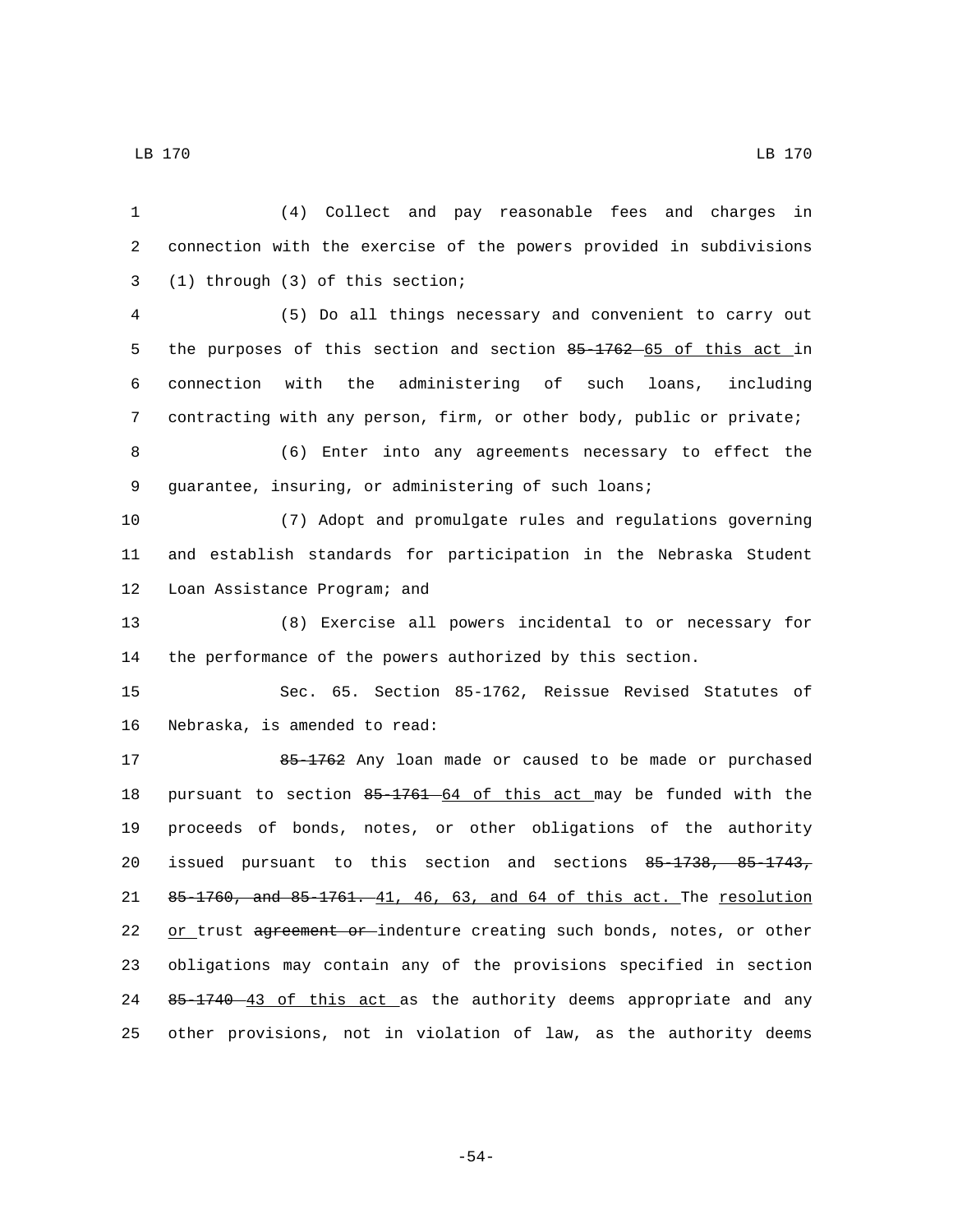LB 170 LB 170

 (4) Collect and pay reasonable fees and charges in connection with the exercise of the powers provided in subdivisions (1) through (3) of this section;3 (5) Do all things necessary and convenient to carry out 5 the purposes of this section and section 85-1762 65 of this act in connection with the administering of such loans, including contracting with any person, firm, or other body, public or private; (6) Enter into any agreements necessary to effect the guarantee, insuring, or administering of such loans; (7) Adopt and promulgate rules and regulations governing and establish standards for participation in the Nebraska Student 12 Loan Assistance Program; and (8) Exercise all powers incidental to or necessary for the performance of the powers authorized by this section. Sec. 65. Section 85-1762, Reissue Revised Statutes of 16 Nebraska, is amended to read: 17 85-1762 Any loan made or caused to be made or purchased pursuant to section 85-1761 64 of this act may be funded with the proceeds of bonds, notes, or other obligations of the authority issued pursuant to this section and sections 85-1738, 85-1743, 85-1760, and 85-1761. 41, 46, 63, and 64 of this act. The resolution 22 or trust agreement or indenture creating such bonds, notes, or other obligations may contain any of the provisions specified in section 24 85-1740 43 of this act as the authority deems appropriate and any other provisions, not in violation of law, as the authority deems

-54-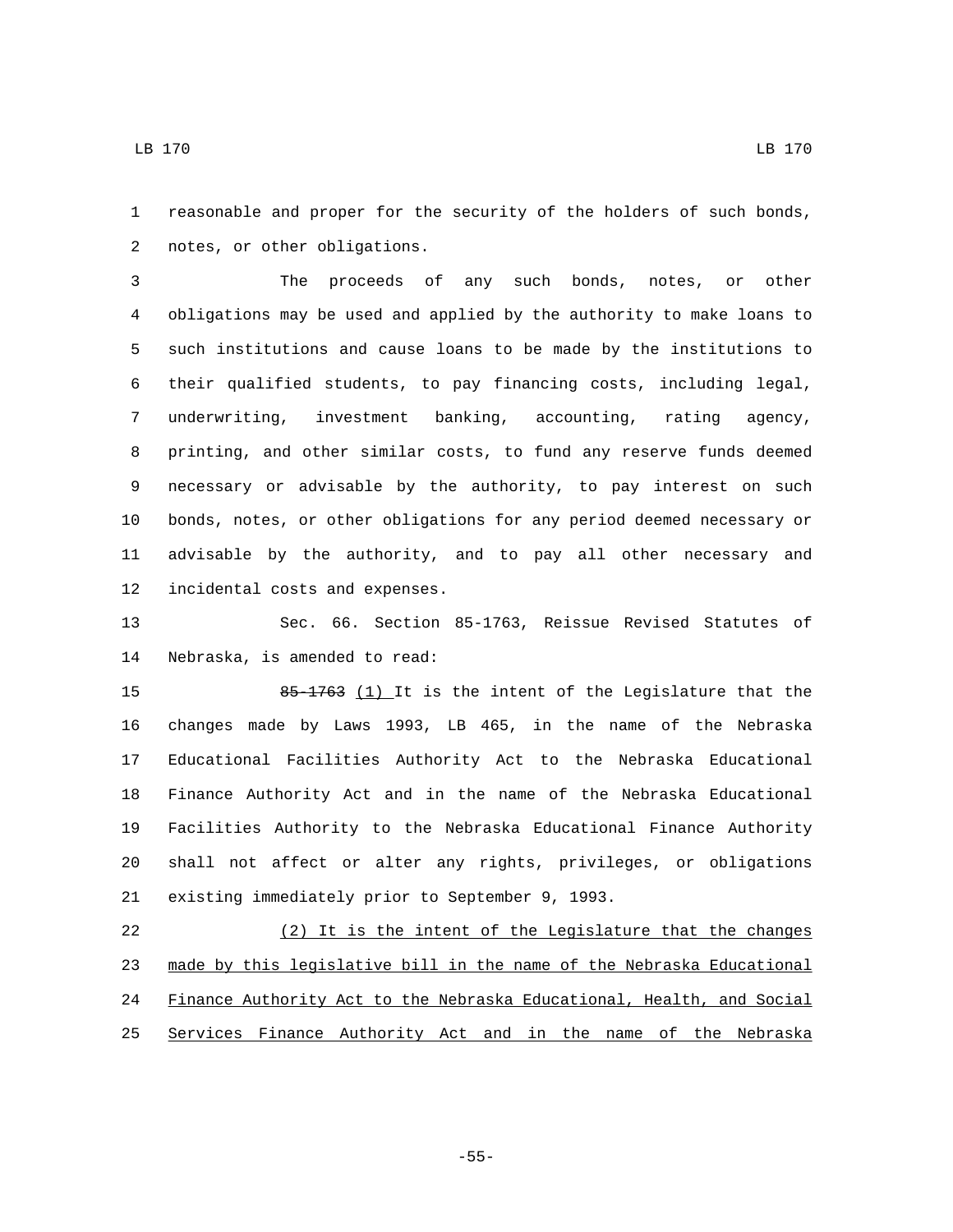reasonable and proper for the security of the holders of such bonds, 2 notes, or other obligations.

 The proceeds of any such bonds, notes, or other obligations may be used and applied by the authority to make loans to such institutions and cause loans to be made by the institutions to their qualified students, to pay financing costs, including legal, underwriting, investment banking, accounting, rating agency, printing, and other similar costs, to fund any reserve funds deemed necessary or advisable by the authority, to pay interest on such bonds, notes, or other obligations for any period deemed necessary or advisable by the authority, and to pay all other necessary and 12 incidental costs and expenses.

 Sec. 66. Section 85-1763, Reissue Revised Statutes of 14 Nebraska, is amended to read:

15 85-1763 (1) It is the intent of the Legislature that the changes made by Laws 1993, LB 465, in the name of the Nebraska Educational Facilities Authority Act to the Nebraska Educational Finance Authority Act and in the name of the Nebraska Educational Facilities Authority to the Nebraska Educational Finance Authority shall not affect or alter any rights, privileges, or obligations 21 existing immediately prior to September 9, 1993.

 (2) It is the intent of the Legislature that the changes made by this legislative bill in the name of the Nebraska Educational Finance Authority Act to the Nebraska Educational, Health, and Social Services Finance Authority Act and in the name of the Nebraska